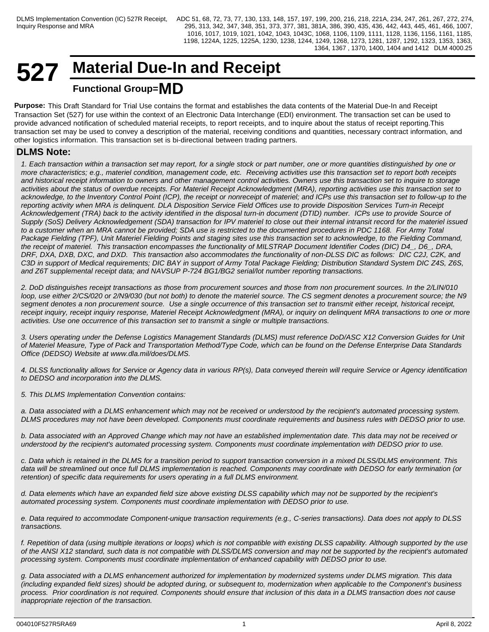## **527 Material Due-In and Receipt Functional Group=MD**

**Purpose:** This Draft Standard for Trial Use contains the format and establishes the data contents of the Material Due-In and Receipt Transaction Set (527) for use within the context of an Electronic Data Interchange (EDI) environment. The transaction set can be used to provide advanced notification of scheduled material receipts, to report receipts, and to inquire about the status of receipt reporting.This transaction set may be used to convey a description of the material, receiving conditions and quantities, necessary contract information, and other logistics information. This transaction set is bi-directional between trading partners.

## **DLMS Note:**

*1. Each transaction within a transaction set may report, for a single stock or part number, one or more quantities distinguished by one or more characteristics; e.g., materiel condition, management code, etc. Receiving activities use this transaction set to report both receipts and historical receipt information to owners and other management control activities. Owners use this transaction set to inquire to storage activities about the status of overdue receipts. For Materiel Receipt Acknowledgment (MRA), reporting activities use this transaction set to acknowledge, to the Inventory Control Point (ICP), the receipt or nonreceipt of materiel; and ICPs use this transaction set to follow-up to the reporting activity when MRA is delinquent. DLA Disposition Service Field Offices use to provide Disposition Services Turn-in Receipt Acknowledgement (TRA) back to the activity identified in the disposal turn-in document (DTID) number. ICPs use to provide Source of Supply (SoS) Delivery Acknowledgement (SDA) transaction for IPV materiel to close out their internal intransit record for the materiel issued to a customer when an MRA cannot be provided; SDA use is restricted to the documented procedures in PDC 1168. For Army Total Package Fielding (TPF), Unit Materiel Fielding Points and staging sites use this transaction set to acknowledge, to the Fielding Command, the receipt of materiel. This transaction encompasses the functionality of MILSTRAP Document Identifier Codes (DIC) D4\_, D6\_, DRA, DRF, DXA, DXB, DXC, and DXD. This transaction also accommodates the functionality of non-DLSS DIC as follows: DIC C2J, C2K, and C3D in support of Medical requirements; DIC BAY in support of Army Total Package Fielding; Distribution Standard System DIC Z4S, Z6S, and Z6T supplemental receipt data; and NAVSUP P-724 BG1/BG2 serial/lot number reporting transactions.*

*2. DoD distinguishes receipt transactions as those from procurement sources and those from non procurement sources. In the 2/LIN/010 loop, use either 2/CS/020 or 2/N9/030 (but not both) to denote the materiel source. The CS segment denotes a procurement source; the N9 segment denotes a non procurement source. Use a single occurrence of this transaction set to transmit either receipt, historical receipt, receipt inquiry, receipt inquiry response, Materiel Receipt Acknowledgment (MRA), or inquiry on delinquent MRA transactions to one or more activities. Use one occurrence of this transaction set to transmit a single or multiple transactions.*

*3. Users operating under the Defense Logistics Management Standards (DLMS) must reference DoD/ASC X12 Conversion Guides for Unit of Materiel Measure, Type of Pack and Transportation Method/Type Code, which can be found on the Defense Enterprise Data Standards Office (DEDSO) Website at www.dla.mil/does/DLMS.*

*4. DLSS functionality allows for Service or Agency data in various RP(s), Data conveyed therein will require Service or Agency identification to DEDSO and incorporation into the DLMS.*

*5. This DLMS Implementation Convention contains:*

*a. Data associated with a DLMS enhancement which may not be received or understood by the recipient's automated processing system. DLMS procedures may not have been developed. Components must coordinate requirements and business rules with DEDSO prior to use.*

*b. Data associated with an Approved Change which may not have an established implementation date. This data may not be received or understood by the recipient's automated processing system. Components must coordinate implementation with DEDSO prior to use.*

*c. Data which is retained in the DLMS for a transition period to support transaction conversion in a mixed DLSS/DLMS environment. This data will be streamlined out once full DLMS implementation is reached. Components may coordinate with DEDSO for early termination (or retention) of specific data requirements for users operating in a full DLMS environment.*

*d. Data elements which have an expanded field size above existing DLSS capability which may not be supported by the recipient's automated processing system. Components must coordinate implementation with DEDSO prior to use.*

*e. Data required to accommodate Component-unique transaction requirements (e.g., C-series transactions). Data does not apply to DLSS transactions.*

*f. Repetition of data (using multiple iterations or loops) which is not compatible with existing DLSS capability. Although supported by the use of the ANSI X12 standard, such data is not compatible with DLSS/DLMS conversion and may not be supported by the recipient's automated processing system. Components must coordinate implementation of enhanced capability with DEDSO prior to use.*

*g. Data associated with a DLMS enhancement authorized for implementation by modernized systems under DLMS migration. This data (including expanded field sizes) should be adopted during, or subsequent to, modernization when applicable to the Component's business process. Prior coordination is not required. Components should ensure that inclusion of this data in a DLMS transaction does not cause inappropriate rejection of the transaction.*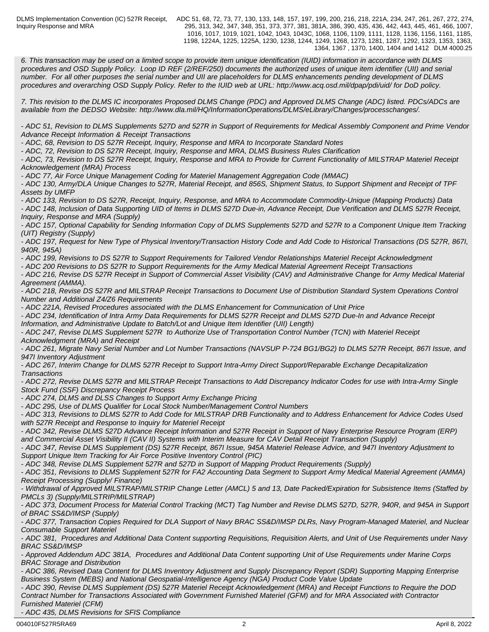Inquiry Response and MRA

DLMS Implementation Convention (IC) 527R Receipt, ADC 51, 68, 72, 73, 77, 130, 133, 148, 157, 197, 199, 200, 216, 218, 221A, 234, 247, 261, 267, 272, 274, 295, 313, 342, 347, 348, 351, 373, 377, 381, 381A, 386, 390, 435, 436, 442, 443, 445, 461, 466, 1007, 1016, 1017, 1019, 1021, 1042, 1043, 1043C, 1068, 1106, 1109, 1111, 1128, 1136, 1156, 1161, 1185, 1198, 1224A, 1225, 1225A, 1230, 1238, 1244, 1249, 1268, 1273, 1281, 1287, 1292, 1323, 1353, 1363, 1364, 1367 , 1370, 1400, 1404 and 1412 DLM 4000.25

*6. This transaction may be used on a limited scope to provide item unique identification (IUID) information in accordance with DLMS procedures and OSD Supply Policy. Loop ID REF (2/REF/250) documents the authorized uses of unique item identifier (UII) and serial number. For all other purposes the serial number and UII are placeholders for DLMS enhancements pending development of DLMS procedures and overarching OSD Supply Policy. Refer to the IUID web at URL: http://www.acq.osd.mil/dpap/pdi/uid/ for DoD policy.*

*7. This revision to the DLMS IC incorporates Proposed DLMS Change (PDC) and Approved DLMS Change (ADC) listed. PDCs/ADCs are available from the DEDSO Website: http://www.dla.mil/HQ/InformationOperations/DLMS/eLibrary/Changes/processchanges/.*

*- ADC 51, Revision to DLMS Supplements 527D and 527R in Support of Requirements for Medical Assembly Component and Prime Vendor Advance Receipt Information & Receipt Transactions*

*- ADC, 68, Revision to DS 527R Receipt, Inquiry, Response and MRA to Incorporate Standard Notes*

*- ADC, 72, Revision to DS 527R Receipt, Inquiry, Response and MRA, DLMS Business Rules Clarification*

*- ADC, 73, Revision to DS 527R Receipt, Inquiry, Response and MRA to Provide for Current Functionality of MILSTRAP Materiel Receipt Acknowledgement (MRA) Process*

*- ADC 77, Air Force Unique Management Coding for Materiel Management Aggregation Code (MMAC)*

*- ADC 130, Army/DLA Unique Changes to 527R, Material Receipt, and 856S, Shipment Status, to Support Shipment and Receipt of TPF Assets by UMFP*

*- ADC 133, Revision to DS 527R, Receipt, Inquiry, Response, and MRA to Accommodate Commodity-Unique (Mapping Products) Data - ADC 148, Inclusion of Data Supporting UID of Items in DLMS 527D Due-in, Advance Receipt, Due Verification and DLMS 527R Receipt, Inquiry, Response and MRA (Supply)*

*- ADC 157, Optional Capability for Sending Information Copy of DLMS Supplements 527D and 527R to a Component Unique Item Tracking (UIT) Registry (Supply)*

*- ADC 197, Request for New Type of Physical Inventory/Transaction History Code and Add Code to Historical Transactions (DS 527R, 867I, 940R, 945A)*

*- ADC 199, Revisions to DS 527R to Support Requirements for Tailored Vendor Relationships Materiel Receipt Acknowledgment*

*- ADC 200 Revisions to DS 527R to Support Requirements for the Army Medical Material Agreement Receipt Transactions*

*- ADC 216, Revise DS 527R Receipt in Support of Commercial Asset Visibility (CAV) and Administrative Change for Army Medical Material Agreement (AMMA).*

*- ADC 218, Revise DS 527R and MILSTRAP Receipt Transactions to Document Use of Distribution Standard System Operations Control Number and Additional Z4/Z6 Requirements*

*- ADC 221A, Revised Procedures associated with the DLMS Enhancement for Communication of Unit Price*

*- ADC 234, Identification of Intra Army Data Requirements for DLMS 527R Receipt and DLMS 527D Due-In and Advance Receipt*

*Information, and Administrative Update to Batch/Lot and Unique Item Identifier (UII) Length)*

*- ADC 247, Revise DLMS Supplement 527R to Authorize Use of Transportation Control Number (TCN) with Materiel Receipt Acknowledgment (MRA) and Receipt*

*- ADC 261, Migrate Navy Serial Number and Lot Number Transactions (NAVSUP P-724 BG1/BG2) to DLMS 527R Receipt, 867I Issue, and 947I Inventory Adjustment* 

*- ADC 267, Interim Change for DLMS 527R Receipt to Support Intra-Army Direct Support/Reparable Exchange Decapitalization Transactions*

*- ADC 272, Revise DLMS 527R and MILSTRAP Receipt Transactions to Add Discrepancy Indicator Codes for use with Intra-Army Single Stock Fund (SSF) Discrepancy Receipt Process*

*- ADC 274, DLMS and DLSS Changes to Support Army Exchange Pricing*

*- ADC 295, Use of DLMS Qualifier for Local Stock Number/Management Control Numbers* 

*- ADC 313, Revisions to DLMS 527R to Add Code for MILSTRAP DRB Functionality and to Address Enhancement for Advice Codes Used with 527R Receipt and Response to Inquiry for Materiel Receipt*

*- ADC 342, Revise DLMS 527D Advance Receipt Information and 527R Receipt in Support of Navy Enterprise Resource Program (ERP) and Commercial Asset Visibility II (CAV II) Systems with Interim Measure for CAV Detail Receipt Transaction (Supply)*

*- ADC 347, Revise DLMS Supplement (DS) 527R Receipt, 867I Issue, 945A Materiel Release Advice, and 947I Inventory Adjustment to Support Unique Item Tracking for Air Force Positive Inventory Control (PIC)*

*- ADC 348, Revise DLMS Supplement 527R and 527D in Support of Mapping Product Requirements (Supply)*

*- ADC 351, Revisions to DLMS Supplement 527R for FA2 Accounting Data Segment to Support Army Medical Material Agreement (AMMA) Receipt Processing (Supply/ Finance)*

*- Withdrawal of Approved MILSTRAP/MILSTRIP Change Letter (AMCL) 5 and 13, Date Packed/Expiration for Subsistence Items (Staffed by PMCLs 3) (Supply/MILSTRIP/MILSTRAP)*

*- ADC 373, Document Process for Material Control Tracking (MCT) Tag Number and Revise DLMS 527D, 527R, 940R, and 945A in Support of BRAC SS&D/IMSP (Supply)*

*- ADC 377, Transaction Copies Required for DLA Support of Navy BRAC SS&D/IMSP DLRs, Navy Program-Managed Materiel, and Nuclear Consumable Support Materiel*

*- ADC 381, Procedures and Additional Data Content supporting Requisitions, Requisition Alerts, and Unit of Use Requirements under Navy BRAC SS&D/IMSP*

*- Approved Addendum ADC 381A, Procedures and Additional Data Content supporting Unit of Use Requirements under Marine Corps BRAC Storage and Distribution*

*- ADC 386, Revised Data Content for DLMS Inventory Adjustment and Supply Discrepancy Report (SDR) Supporting Mapping Enterprise Business System (MEBS) and National Geospatial-Intelligence Agency (NGA) Product Code Value Update*

*- ADC 390, Revise DLMS Supplement (DS) 527R Materiel Receipt Acknowledgement (MRA) and Receipt Functions to Require the DOD Contract Number for Transactions Associated with Government Furnished Materiel (GFM) and for MRA Associated with Contractor Furnished Materiel (CFM)*

*- ADC 435, DLMS Revisions for SFIS Compliance*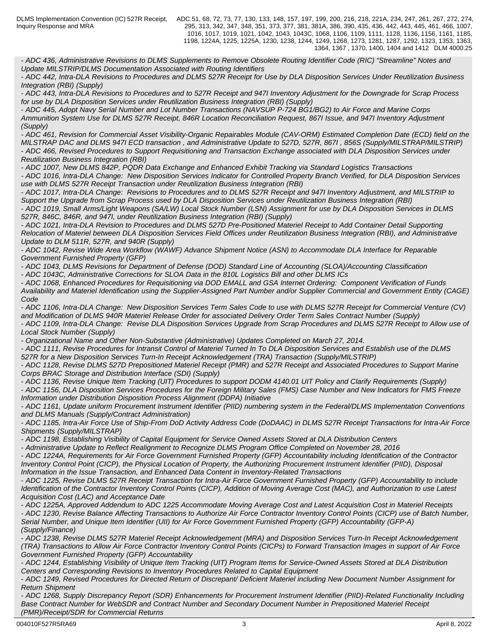Inquiry Response and MRA

DLMS Implementation Convention (IC) 527R Receipt, ADC 51, 68, 72, 73, 77, 130, 133, 148, 157, 197, 199, 200, 216, 218, 221A, 234, 247, 261, 267, 272, 274, 295, 313, 342, 347, 348, 351, 373, 377, 381, 381A, 386, 390, 435, 436, 442, 443, 445, 461, 466, 1007, 1016, 1017, 1019, 1021, 1042, 1043, 1043C, 1068, 1106, 1109, 1111, 1128, 1136, 1156, 1161, 1185, 1198, 1224A, 1225, 1225A, 1230, 1238, 1244, 1249, 1268, 1273, 1281, 1287, 1292, 1323, 1353, 1363, 1364, 1367 , 1370, 1400, 1404 and 1412 DLM 4000.25

*- ADC 436, Administrative Revisions to DLMS Supplements to Remove Obsolete Routing Identifier Code (RIC) "Streamline" Notes and Update MILSTRIP/DLMS Documentation Associated with Routing Identifiers*

*- ADC 442, Intra-DLA Revisions to Procedures and DLMS 527R Receipt for Use by DLA Disposition Services Under Reutilization Business Integration (RBI) (Supply)*

*- ADC 443, Intra-DLA Revisions to Procedures and to 527R Receipt and 947I Inventory Adjustment for the Downgrade for Scrap Process for use by DLA Disposition Services under Reutilization Business Integration (RBI) (Supply)* 

*- ADC 445, Adopt Navy Serial Number and Lot Number Transactions (NAVSUP P-724 BG1/BG2) to Air Force and Marine Corps Ammunition System Use for DLMS 527R Receipt, 846R Location Reconciliation Request, 867I Issue, and 947I Inventory Adjustment (Supply)*

*- ADC 461, Revision for Commercial Asset Visibility-Organic Repairables Module (CAV-ORM) Estimated Completion Date (ECD) field on the MILSTRAP DAC and DLMS 947I ECD transaction , and Administrative Update to 527D, 527R, 867I , 856S (Supply/MILSTRAP/MILSTRIP) - ADC 466, Revised Procedures to Support Requisitioning and Transaction Exchange associated with DLA Disposition Services under Reutilization Business Integration (RBI)*

*- ADC 1007, New DLMS 842P, PQDR Data Exchange and Enhanced Exhibit Tracking via Standard Logistics Transactions*

*- ADC 1016, Intra-DLA Change: New Disposition Services Indicator for Controlled Property Branch Verified, for DLA Disposition Services use with DLMS 527R Receipt Transaction under Reutilization Business Integration (RBI)*

*- ADC 1017, Intra-DLA Change: Revisions to Procedures and to DLMS 527R Receipt and 947I Inventory Adjustment, and MILSTRIP to Support the Upgrade from Scrap Process used by DLA Disposition Services under Reutilization Business Integration (RBI)*

*- ADC 1019, Small Arms/Light Weapons (SA/LW) Local Stock Number (LSN) Assignment for use by DLA Disposition Services in DLMS 527R, 846C, 846R, and 947I, under Reutilization Business Integration (RBI) (Supply)*

*- ADC 1021, Intra-DLA Revision to Procedures and DLMS 527D Pre-Positioned Materiel Receipt to Add Container Detail Supporting Relocation of Materiel between DLA Disposition Services Field Offices under Reutilization Business Integration (RBI), and Administrative Update to DLM 511R, 527R, and 940R (Supply)*

*- ADC 1042, Revise Wide Area Workflow (WAWF) Advance Shipment Notice (ASN) to Accommodate DLA Interface for Reparable Government Furnished Property (GFP)*

*- ADC 1043, DLMS Revisions for Department of Defense (DOD) Standard Line of Accounting (SLOA)/Accounting Classification*

*- ADC 1043C, Administrative Corrections for SLOA Data in the 810L Logistics Bill and other DLMS ICs*

*- ADC 1068, Enhanced Procedures for Requisitioning via DOD EMALL and GSA Internet Ordering: Component Verification of Funds Availability and Materiel Identification using the Supplier-Assigned Part Number and/or Supplier Commercial and Government Entity (CAGE) Code*

*- ADC 1106, Intra-DLA Change: New Disposition Services Term Sales Code to use with DLMS 527R Receipt for Commercial Venture (CV) and Modification of DLMS 940R Materiel Release Order for associated Delivery Order Term Sales Contract Number (Supply)*

*- ADC 1109, Intra-DLA Change: Revise DLA Disposition Services Upgrade from Scrap Procedures and DLMS 527R Receipt to Allow use of Local Stock Number (Supply)*

*- Organizational Name and Other Non-Substantive (Administrative) Updates Completed on March 27, 2014.*

*- ADC 1111, Revise Procedures for Intransit Control of Materiel Turned In To DLA Disposition Services and Establish use of the DLMS 527R for a New Disposition Services Turn-In Receipt Acknowledgement (TRA) Transaction (Supply/MILSTRIP)*

*- ADC 1128, Revise DLMS 527D Prepositioned Materiel Receipt (PMR) and 527R Receipt and Associated Procedures to Support Marine Corps BRAC Storage and Distribution Interface (SDI) (Supply)*

*- ADC 1136, Revise Unique Item Tracking (UIT) Procedures to support DODM 4140.01 UIT Policy and Clarify Requirements (Supply)*

*- ADC 1156, DLA Disposition Services Procedures for the Foreign Military Sales (FMS) Case Number and New Indicators for FMS Freeze Information under Distribution Disposition Process Alignment (DDPA) Initiative*

*- ADC 1161, Update uniform Procurement Instrument Identifier (PIID) numbering system in the Federal/DLMS Implementation Conventions and DLMS Manuals (Supply/Contract Administration)*

*- ADC 1185, Intra-Air Force Use of Ship-From DoD Activity Address Code (DoDAAC) in DLMS 527R Receipt Transactions for Intra-Air Force Shipments (Supply/MILSTRAP)*

*- ADC 1198, Establishing Visibility of Capital Equipment for Service Owned Assets Stored at DLA Distribution Centers*

*- Administrative Update to Reflect Realignment to Recognize DLMS Program Office Completed on November 28, 2016*

*- ADC 1224A, Requirements for Air Force Government Furnished Property (GFP) Accountability including Identification of the Contractor Inventory Control Point (CICP), the Physical Location of Property, the Authorizing Procurement Instrument Identifier (PIID), Disposal Information in the Issue Transaction, and Enhanced Data Content in Inventory-Related Transactions*

*- ADC 1225, Revise DLMS 527R Receipt Transaction for Intra-Air Force Government Furnished Property (GFP) Accountability to include Identification of the Contractor Inventory Control Points (CICP), Addition of Moving Average Cost (MAC), and Authorization to use Latest Acquisition Cost (LAC) and Acceptance Date*

*- ADC 1225A, Approved Addendum to ADC 1225 Accommodate Moving Average Cost and Latest Acquisition Cost in Materiel Receipts - ADC 1230, Revise Balance Affecting Transactions to Authorize Air Force Contractor Inventory Control Points (CICP) use of Batch Number, Serial Number, and Unique Item Identifier (UII) for Air Force Government Furnished Property (GFP) Accountability (GFP-A) (Supply/Finance)*

*- ADC 1238, Revise DLMS 527R Materiel Receipt Acknowledgement (MRA) and Disposition Services Turn-In Receipt Acknowledgement (TRA) Transactions to Allow Air Force Contractor Inventory Control Points (CICPs) to Forward Transaction Images in support of Air Force Government Furnished Property (GFP) Accountability*

*- ADC 1244, Establishing Visibility of Unique Item Tracking (UIT) Program Items for Service-Owned Assets Stored at DLA Distribution Centers and Corresponding Revisions to Inventory Procedures Related to Capital Equipment*

*- ADC 1249, Revised Procedures for Directed Return of Discrepant/ Deficient Materiel including New Document Number Assignment for Return Shipment*

*- ADC 1268, Supply Discrepancy Report (SDR) Enhancements for Procurement Instrument Identifier (PIID)-Related Functionality Including Base Contract Number for WebSDR and Contract Number and Secondary Document Number in Prepositioned Materiel Receipt (PMR)/Receipt/SDR for Commercial Returns*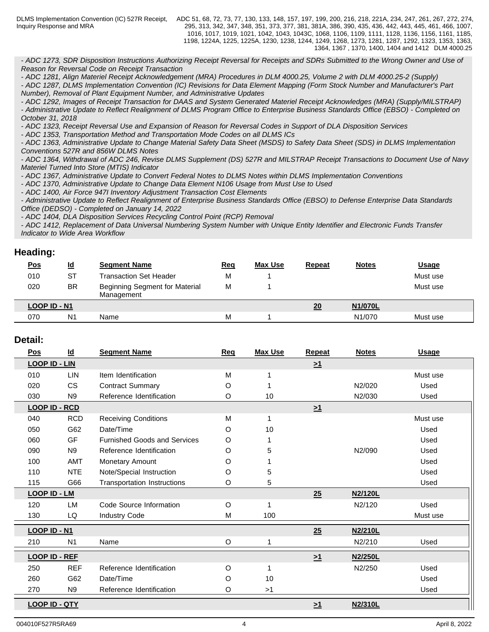DLMS Implementation Convention (IC) 527R Receipt, Inquiry Response and MRA

ADC 51, 68, 72, 73, 77, 130, 133, 148, 157, 197, 199, 200, 216, 218, 221A, 234, 247, 261, 267, 272, 274, 295, 313, 342, 347, 348, 351, 373, 377, 381, 381A, 386, 390, 435, 436, 442, 443, 445, 461, 466, 1007, 1016, 1017, 1019, 1021, 1042, 1043, 1043C, 1068, 1106, 1109, 1111, 1128, 1136, 1156, 1161, 1185, 1198, 1224A, 1225, 1225A, 1230, 1238, 1244, 1249, 1268, 1273, 1281, 1287, 1292, 1323, 1353, 1363, 1364, 1367 , 1370, 1400, 1404 and 1412 DLM 4000.25

*- ADC 1273, SDR Disposition Instructions Authorizing Receipt Reversal for Receipts and SDRs Submitted to the Wrong Owner and Use of Reason for Reversal Code on Receipt Transaction*

*- ADC 1281, Align Materiel Receipt Acknowledgement (MRA) Procedures in DLM 4000.25, Volume 2 with DLM 4000.25-2 (Supply)*

*- ADC 1287, DLMS Implementation Convention (IC) Revisions for Data Element Mapping (Form Stock Number and Manufacturer's Part Number), Removal of Plant Equipment Number, and Administrative Updates* 

*- ADC 1292, Images of Receipt Transaction for DAAS and System Generated Materiel Receipt Acknowledges (MRA) (Supply/MILSTRAP) - Administrative Update to Reflect Realignment of DLMS Program Office to Enterprise Business Standards Office (EBSO) - Completed on October 31, 2018*

*- ADC 1323, Receipt Reversal Use and Expansion of Reason for Reversal Codes in Support of DLA Disposition Services*

*- ADC 1353, Transportation Method and Transportation Mode Codes on all DLMS ICs*

*- ADC 1363, Administrative Update to Change Material Safety Data Sheet (MSDS) to Safety Data Sheet (SDS) in DLMS Implementation Conventions 527R and 856W DLMS Notes*

*- ADC 1364, Withdrawal of ADC 246, Revise DLMS Supplement (DS) 527R and MILSTRAP Receipt Transactions to Document Use of Navy Materiel Turned Into Store (MTIS) Indicator*

*- ADC 1367, Administrative Update to Convert Federal Notes to DLMS Notes within DLMS Implementation Conventions* 

*- ADC 1370, Administrative Update to Change Data Element N106 Usage from Must Use to Used*

*- ADC 1400, Air Force 947I Inventory Adjustment Transaction Cost Elements*

*- Administrative Update to Reflect Realignment of Enterprise Business Standards Office (EBSO) to Defense Enterprise Data Standards Office (DEDSO) - Completed on January 14, 2022*

*- ADC 1404, DLA Disposition Services Recycling Control Point (RCP) Removal*

*- ADC 1412, Replacement of Data Universal Numbering System Number with Unique Entity Identifier and Electronic Funds Transfer Indicator to Wide Area Workflow*

## **Heading:**

| <u>Pos</u>     | <u>ld</u>      | <b>Segment Name</b>                                 | <b>Req</b> | <b>Max Use</b> | <b>Repeat</b> | <b>Notes</b> | <b>Usage</b> |
|----------------|----------------|-----------------------------------------------------|------------|----------------|---------------|--------------|--------------|
| 010            | <b>ST</b>      | Transaction Set Header                              | M          |                |               |              | Must use     |
| 020            | BR             | <b>Beginning Segment for Material</b><br>Management | M          |                |               |              | Must use     |
| $LOOP$ ID - N1 |                |                                                     |            |                | 20            | N1/070L      |              |
| 070            | N <sub>1</sub> | Name                                                | М          |                |               | N1/070       | Must use     |

## **Detail:**

| Pos                  | $\underline{\mathsf{Id}}$ | <b>Segment Name</b>                 | Req | <b>Max Use</b> | Repeat              | <b>Notes</b> | <b>Usage</b> |
|----------------------|---------------------------|-------------------------------------|-----|----------------|---------------------|--------------|--------------|
| <b>LOOP ID - LIN</b> |                           |                                     |     |                | $\geq$ <sup>1</sup> |              |              |
| 010                  | <b>LIN</b>                | Item Identification                 | M   |                |                     |              | Must use     |
| 020                  | <b>CS</b>                 | <b>Contract Summary</b>             | O   |                |                     | N2/020       | Used         |
| 030                  | N <sub>9</sub>            | Reference Identification            | O   | 10             |                     | N2/030       | Used         |
| <b>LOOP ID - RCD</b> |                           |                                     |     |                | $\geq 1$            |              |              |
| 040                  | <b>RCD</b>                | <b>Receiving Conditions</b>         | M   | 1              |                     |              | Must use     |
| 050                  | G62                       | Date/Time                           | O   | 10             |                     |              | Used         |
| 060                  | GF                        | <b>Furnished Goods and Services</b> | O   |                |                     |              | Used         |
| 090                  | N <sub>9</sub>            | Reference Identification            | O   | 5              |                     | N2/090       | Used         |
| 100                  | <b>AMT</b>                | Monetary Amount                     | O   |                |                     |              | Used         |
| 110                  | <b>NTE</b>                | Note/Special Instruction            | O   | 5              |                     |              | Used         |
| 115                  | G66                       | Transportation Instructions         | O   | 5              |                     |              | Used         |
| <b>LOOP ID - LM</b>  |                           |                                     |     |                | 25                  | N2/120L      |              |
| 120                  | LM                        | Code Source Information             | O   |                |                     | N2/120       | Used         |
| 130                  | LQ                        | <b>Industry Code</b>                | M   | 100            |                     |              | Must use     |
| <b>LOOP ID - N1</b>  |                           |                                     |     |                | 25                  | N2/210L      |              |
| 210                  | N <sub>1</sub>            | Name                                | O   |                |                     | N2/210       | Used         |
| <b>LOOP ID - REF</b> |                           |                                     |     |                | $\geq 1$            | N2/250L      |              |
| 250                  | <b>REF</b>                | Reference Identification            | O   |                |                     | N2/250       | Used         |
| 260                  | G62                       | Date/Time                           | O   | 10             |                     |              | Used         |
| 270                  | N <sub>9</sub>            | Reference Identification            | O   | >1             |                     |              | Used         |
| <b>LOOP ID - QTY</b> |                           |                                     |     |                | >1                  | N2/310L      |              |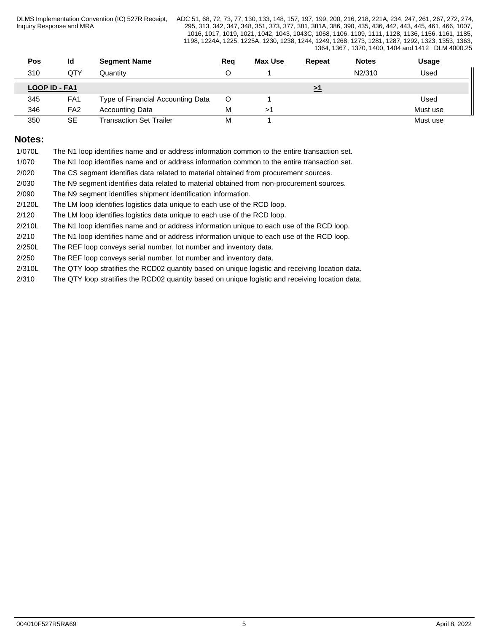DLMS Implementation Convention (IC) 527R Receipt, Inquiry Response and MRA

ADC 51, 68, 72, 73, 77, 130, 133, 148, 157, 197, 199, 200, 216, 218, 221A, 234, 247, 261, 267, 272, 274, 295, 313, 342, 347, 348, 351, 373, 377, 381, 381A, 386, 390, 435, 436, 442, 443, 445, 461, 466, 1007, 1016, 1017, 1019, 1021, 1042, 1043, 1043C, 1068, 1106, 1109, 1111, 1128, 1136, 1156, 1161, 1185, 1198, 1224A, 1225, 1225A, 1230, 1238, 1244, 1249, 1268, 1273, 1281, 1287, 1292, 1323, 1353, 1363, 1364, 1367 , 1370, 1400, 1404 and 1412 DLM 4000.25

| <u>Pos</u> | $\underline{\mathsf{Id}}$ |                 | <b>Segment Name</b>               | <u>Req</u> | <b>Max Use</b> | <b>Repeat</b> | <b>Notes</b> | <b>Usage</b> |
|------------|---------------------------|-----------------|-----------------------------------|------------|----------------|---------------|--------------|--------------|
| 310        |                           | QTY             | Quantitv                          |            |                |               | N2/310       | Used         |
|            | LOOP ID - FA1             |                 |                                   |            |                | <u>&gt;1</u>  |              |              |
| 345        |                           | FA <sub>1</sub> | Type of Financial Accounting Data | O          |                |               |              | Used         |
| 346        |                           | FA <sub>2</sub> | <b>Accounting Data</b>            | М          |                |               |              | Must use     |
| 350        |                           | <b>SE</b>       | Transaction Set Trailer           | М          |                |               |              | Must use     |

## **Notes:**

- 1/070L The N1 loop identifies name and or address information common to the entire transaction set.
- 1/070 The N1 loop identifies name and or address information common to the entire transaction set.
- 2/020 The CS segment identifies data related to material obtained from procurement sources.
- 2/030 The N9 segment identifies data related to material obtained from non-procurement sources.
- 2/090 The N9 segment identifies shipment identification information.
- 2/120L The LM loop identifies logistics data unique to each use of the RCD loop.
- 2/120 The LM loop identifies logistics data unique to each use of the RCD loop.
- 2/210L The N1 loop identifies name and or address information unique to each use of the RCD loop.
- 2/210 The N1 loop identifies name and or address information unique to each use of the RCD loop.
- 2/250L The REF loop conveys serial number, lot number and inventory data.
- 2/250 The REF loop conveys serial number, lot number and inventory data.
- 2/310L The QTY loop stratifies the RCD02 quantity based on unique logistic and receiving location data.
- 2/310 The QTY loop stratifies the RCD02 quantity based on unique logistic and receiving location data.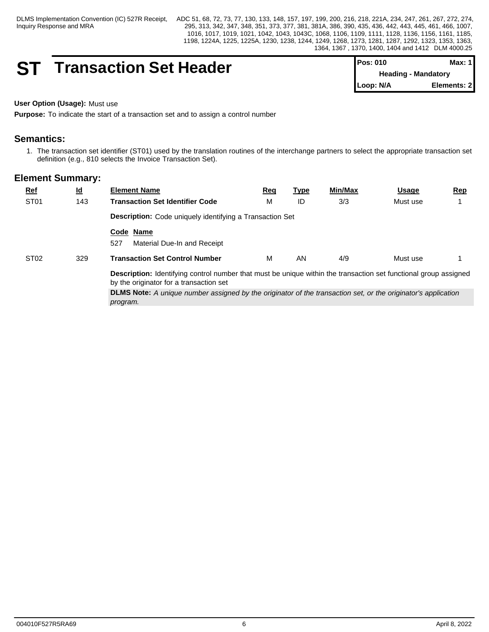## **ST Transaction Set Header**

| IPos: 010 | Max: 1 I                   |
|-----------|----------------------------|
|           | <b>Heading - Mandatory</b> |
| Loop: N/A | Elements: 2                |

## **User Option (Usage):** Must use

**Purpose:** To indicate the start of a transaction set and to assign a control number

## **Semantics:**

1. The transaction set identifier (ST01) used by the translation routines of the interchange partners to select the appropriate transaction set definition (e.g., 810 selects the Invoice Transaction Set).

| ST <sub>01</sub><br>3/3<br>м<br>143<br><b>Transaction Set Identifier Code</b><br>ID<br>Must use<br>Description: Code uniquely identifying a Transaction Set<br>Code Name<br>527<br>Material Due-In and Receipt<br>4/9<br>ST <sub>02</sub><br><b>Transaction Set Control Number</b><br>м<br>329<br>AN<br>Must use<br><b>Description:</b> Identifying control number that must be unique within the transaction set functional group assigned<br>by the originator for a transaction set | $Ref$ | <u>ld</u> | <b>Element Name</b> | <u>Req</u> | <u>Type</u> | Min/Max | <u>Usage</u> | <u>Rep</u> |  |  |  |
|----------------------------------------------------------------------------------------------------------------------------------------------------------------------------------------------------------------------------------------------------------------------------------------------------------------------------------------------------------------------------------------------------------------------------------------------------------------------------------------|-------|-----------|---------------------|------------|-------------|---------|--------------|------------|--|--|--|
|                                                                                                                                                                                                                                                                                                                                                                                                                                                                                        |       |           |                     |            |             |         |              |            |  |  |  |
|                                                                                                                                                                                                                                                                                                                                                                                                                                                                                        |       |           |                     |            |             |         |              |            |  |  |  |
|                                                                                                                                                                                                                                                                                                                                                                                                                                                                                        |       |           |                     |            |             |         |              |            |  |  |  |
|                                                                                                                                                                                                                                                                                                                                                                                                                                                                                        |       |           |                     |            |             |         |              |            |  |  |  |
|                                                                                                                                                                                                                                                                                                                                                                                                                                                                                        |       |           |                     |            |             |         |              |            |  |  |  |
| <b>DLMS Note:</b> A unique number assigned by the originator of the transaction set, or the originator's application<br>program.                                                                                                                                                                                                                                                                                                                                                       |       |           |                     |            |             |         |              |            |  |  |  |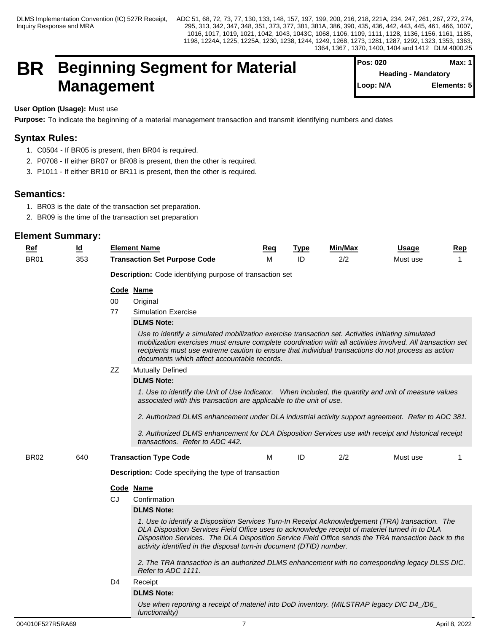## **BR** Beginning Segment for Material Pos: 020 Meading - Mandatory **Management**

| <b>I</b> Pos: 020          | Max: 1      |
|----------------------------|-------------|
| <b>Heading - Mandatory</b> |             |
| Loop: N/A                  | Elements: 5 |
|                            |             |

**User Option (Usage):** Must use

**Purpose:** To indicate the beginning of a material management transaction and transmit identifying numbers and dates

## **Syntax Rules:**

- 1. C0504 If BR05 is present, then BR04 is required.
- 2. P0708 If either BR07 or BR08 is present, then the other is required.
- 3. P1011 If either BR10 or BR11 is present, then the other is required.

## **Semantics:**

- 1. BR03 is the date of the transaction set preparation.
- 2. BR09 is the time of the transaction set preparation

| Ref         | $\underline{\mathsf{Id}}$ |                                                             | <b>Element Name</b>                                                                                                                                                                                                                                                                                                                                                               | Req | <u>Type</u> | <b>Min/Max</b> | Usage    | Rep         |  |  |  |
|-------------|---------------------------|-------------------------------------------------------------|-----------------------------------------------------------------------------------------------------------------------------------------------------------------------------------------------------------------------------------------------------------------------------------------------------------------------------------------------------------------------------------|-----|-------------|----------------|----------|-------------|--|--|--|
| <b>BR01</b> | 353                       |                                                             | <b>Transaction Set Purpose Code</b>                                                                                                                                                                                                                                                                                                                                               | м   | ID          | 2/2            | Must use | $\mathbf 1$ |  |  |  |
|             |                           |                                                             | Description: Code identifying purpose of transaction set                                                                                                                                                                                                                                                                                                                          |     |             |                |          |             |  |  |  |
|             |                           |                                                             | Code Name                                                                                                                                                                                                                                                                                                                                                                         |     |             |                |          |             |  |  |  |
|             |                           | 00                                                          | Original                                                                                                                                                                                                                                                                                                                                                                          |     |             |                |          |             |  |  |  |
|             |                           | 77                                                          | <b>Simulation Exercise</b>                                                                                                                                                                                                                                                                                                                                                        |     |             |                |          |             |  |  |  |
|             |                           |                                                             | <b>DLMS Note:</b>                                                                                                                                                                                                                                                                                                                                                                 |     |             |                |          |             |  |  |  |
|             |                           |                                                             | Use to identify a simulated mobilization exercise transaction set. Activities initiating simulated<br>mobilization exercises must ensure complete coordination with all activities involved. All transaction set<br>recipients must use extreme caution to ensure that individual transactions do not process as action<br>documents which affect accountable records.            |     |             |                |          |             |  |  |  |
|             |                           | ZZ                                                          | <b>Mutually Defined</b>                                                                                                                                                                                                                                                                                                                                                           |     |             |                |          |             |  |  |  |
|             |                           |                                                             | <b>DLMS Note:</b>                                                                                                                                                                                                                                                                                                                                                                 |     |             |                |          |             |  |  |  |
|             |                           |                                                             | 1. Use to identify the Unit of Use Indicator. When included, the quantity and unit of measure values<br>associated with this transaction are applicable to the unit of use.                                                                                                                                                                                                       |     |             |                |          |             |  |  |  |
|             |                           |                                                             | 2. Authorized DLMS enhancement under DLA industrial activity support agreement. Refer to ADC 381.                                                                                                                                                                                                                                                                                 |     |             |                |          |             |  |  |  |
|             |                           |                                                             | 3. Authorized DLMS enhancement for DLA Disposition Services use with receipt and historical receipt<br>transactions. Refer to ADC 442.                                                                                                                                                                                                                                            |     |             |                |          |             |  |  |  |
| <b>BR02</b> | 640                       |                                                             | <b>Transaction Type Code</b>                                                                                                                                                                                                                                                                                                                                                      | M   | ID          | 2/2            | Must use | 1           |  |  |  |
|             |                           | <b>Description:</b> Code specifying the type of transaction |                                                                                                                                                                                                                                                                                                                                                                                   |     |             |                |          |             |  |  |  |
|             |                           |                                                             | Code Name                                                                                                                                                                                                                                                                                                                                                                         |     |             |                |          |             |  |  |  |
|             |                           | CJ                                                          | Confirmation                                                                                                                                                                                                                                                                                                                                                                      |     |             |                |          |             |  |  |  |
|             |                           |                                                             | <b>DLMS Note:</b>                                                                                                                                                                                                                                                                                                                                                                 |     |             |                |          |             |  |  |  |
|             |                           |                                                             | 1. Use to identify a Disposition Services Turn-In Receipt Acknowledgement (TRA) transaction. The<br>DLA Disposition Services Field Office uses to acknowledge receipt of materiel turned in to DLA<br>Disposition Services. The DLA Disposition Service Field Office sends the TRA transaction back to the<br>activity identified in the disposal turn-in document (DTID) number. |     |             |                |          |             |  |  |  |
|             |                           |                                                             | 2. The TRA transaction is an authorized DLMS enhancement with no corresponding legacy DLSS DIC.<br>Refer to ADC 1111.                                                                                                                                                                                                                                                             |     |             |                |          |             |  |  |  |
|             |                           | D4                                                          | Receipt                                                                                                                                                                                                                                                                                                                                                                           |     |             |                |          |             |  |  |  |
|             |                           |                                                             | <b>DLMS Note:</b>                                                                                                                                                                                                                                                                                                                                                                 |     |             |                |          |             |  |  |  |
|             |                           |                                                             | Use when reporting a receipt of materiel into DoD inventory. (MILSTRAP legacy DIC D4_/D6_<br>functionality)                                                                                                                                                                                                                                                                       |     |             |                |          |             |  |  |  |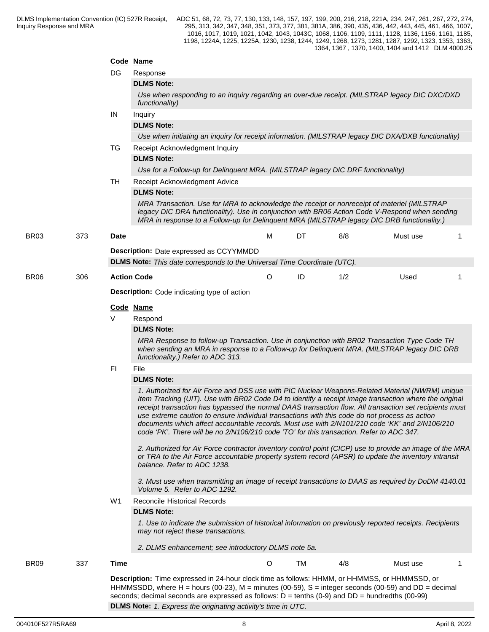|                  |                                                                                                                                                                                                                                                                                                                            | Code Name                                          |                                                                                                                                                                                                                                                                                                                                                                                                                                                                                                                                                                                                                  |         |    |     |          |   |  |  |  |
|------------------|----------------------------------------------------------------------------------------------------------------------------------------------------------------------------------------------------------------------------------------------------------------------------------------------------------------------------|----------------------------------------------------|------------------------------------------------------------------------------------------------------------------------------------------------------------------------------------------------------------------------------------------------------------------------------------------------------------------------------------------------------------------------------------------------------------------------------------------------------------------------------------------------------------------------------------------------------------------------------------------------------------------|---------|----|-----|----------|---|--|--|--|
|                  |                                                                                                                                                                                                                                                                                                                            | DG.                                                | Response                                                                                                                                                                                                                                                                                                                                                                                                                                                                                                                                                                                                         |         |    |     |          |   |  |  |  |
|                  |                                                                                                                                                                                                                                                                                                                            |                                                    | <b>DLMS Note:</b>                                                                                                                                                                                                                                                                                                                                                                                                                                                                                                                                                                                                |         |    |     |          |   |  |  |  |
|                  |                                                                                                                                                                                                                                                                                                                            |                                                    | Use when responding to an inquiry regarding an over-due receipt. (MILSTRAP legacy DIC DXC/DXD<br>functionality)                                                                                                                                                                                                                                                                                                                                                                                                                                                                                                  |         |    |     |          |   |  |  |  |
|                  |                                                                                                                                                                                                                                                                                                                            | IN                                                 | Inquiry                                                                                                                                                                                                                                                                                                                                                                                                                                                                                                                                                                                                          |         |    |     |          |   |  |  |  |
|                  |                                                                                                                                                                                                                                                                                                                            |                                                    | <b>DLMS Note:</b>                                                                                                                                                                                                                                                                                                                                                                                                                                                                                                                                                                                                |         |    |     |          |   |  |  |  |
|                  |                                                                                                                                                                                                                                                                                                                            |                                                    | Use when initiating an inquiry for receipt information. (MILSTRAP legacy DIC DXA/DXB functionality)                                                                                                                                                                                                                                                                                                                                                                                                                                                                                                              |         |    |     |          |   |  |  |  |
|                  |                                                                                                                                                                                                                                                                                                                            | TG                                                 | Receipt Acknowledgment Inquiry                                                                                                                                                                                                                                                                                                                                                                                                                                                                                                                                                                                   |         |    |     |          |   |  |  |  |
|                  |                                                                                                                                                                                                                                                                                                                            |                                                    | <b>DLMS Note:</b>                                                                                                                                                                                                                                                                                                                                                                                                                                                                                                                                                                                                |         |    |     |          |   |  |  |  |
|                  |                                                                                                                                                                                                                                                                                                                            |                                                    | Use for a Follow-up for Delinquent MRA. (MILSTRAP legacy DIC DRF functionality)                                                                                                                                                                                                                                                                                                                                                                                                                                                                                                                                  |         |    |     |          |   |  |  |  |
|                  |                                                                                                                                                                                                                                                                                                                            | TH                                                 | Receipt Acknowledgment Advice                                                                                                                                                                                                                                                                                                                                                                                                                                                                                                                                                                                    |         |    |     |          |   |  |  |  |
|                  |                                                                                                                                                                                                                                                                                                                            |                                                    | <b>DLMS Note:</b>                                                                                                                                                                                                                                                                                                                                                                                                                                                                                                                                                                                                |         |    |     |          |   |  |  |  |
|                  |                                                                                                                                                                                                                                                                                                                            |                                                    | MRA Transaction. Use for MRA to acknowledge the receipt or nonreceipt of materiel (MILSTRAP<br>legacy DIC DRA functionality). Use in conjunction with BR06 Action Code V-Respond when sending<br>MRA in response to a Follow-up for Delinquent MRA (MILSTRAP legacy DIC DRB functionality.)                                                                                                                                                                                                                                                                                                                      |         |    |     |          |   |  |  |  |
| <b>BR03</b>      | 373                                                                                                                                                                                                                                                                                                                        | Date                                               |                                                                                                                                                                                                                                                                                                                                                                                                                                                                                                                                                                                                                  | м       | DT | 8/8 | Must use | 1 |  |  |  |
|                  |                                                                                                                                                                                                                                                                                                                            |                                                    | <b>Description:</b> Date expressed as CCYYMMDD                                                                                                                                                                                                                                                                                                                                                                                                                                                                                                                                                                   |         |    |     |          |   |  |  |  |
|                  |                                                                                                                                                                                                                                                                                                                            |                                                    | <b>DLMS Note:</b> This date corresponds to the Universal Time Coordinate (UTC).                                                                                                                                                                                                                                                                                                                                                                                                                                                                                                                                  |         |    |     |          |   |  |  |  |
| <b>BR06</b>      | 306                                                                                                                                                                                                                                                                                                                        | <b>Action Code</b>                                 |                                                                                                                                                                                                                                                                                                                                                                                                                                                                                                                                                                                                                  | $\circ$ | ID | 1/2 | Used     | 1 |  |  |  |
|                  |                                                                                                                                                                                                                                                                                                                            | <b>Description:</b> Code indicating type of action |                                                                                                                                                                                                                                                                                                                                                                                                                                                                                                                                                                                                                  |         |    |     |          |   |  |  |  |
|                  |                                                                                                                                                                                                                                                                                                                            | Code Name                                          |                                                                                                                                                                                                                                                                                                                                                                                                                                                                                                                                                                                                                  |         |    |     |          |   |  |  |  |
|                  |                                                                                                                                                                                                                                                                                                                            | V                                                  | Respond                                                                                                                                                                                                                                                                                                                                                                                                                                                                                                                                                                                                          |         |    |     |          |   |  |  |  |
|                  |                                                                                                                                                                                                                                                                                                                            |                                                    | <b>DLMS Note:</b>                                                                                                                                                                                                                                                                                                                                                                                                                                                                                                                                                                                                |         |    |     |          |   |  |  |  |
|                  |                                                                                                                                                                                                                                                                                                                            |                                                    | MRA Response to follow-up Transaction. Use in conjunction with BR02 Transaction Type Code TH<br>when sending an MRA in response to a Follow-up for Delinquent MRA. (MILSTRAP legacy DIC DRB<br>functionality.) Refer to ADC 313.                                                                                                                                                                                                                                                                                                                                                                                 |         |    |     |          |   |  |  |  |
|                  |                                                                                                                                                                                                                                                                                                                            | FI                                                 | File                                                                                                                                                                                                                                                                                                                                                                                                                                                                                                                                                                                                             |         |    |     |          |   |  |  |  |
|                  |                                                                                                                                                                                                                                                                                                                            |                                                    | <b>DLMS Note:</b>                                                                                                                                                                                                                                                                                                                                                                                                                                                                                                                                                                                                |         |    |     |          |   |  |  |  |
|                  |                                                                                                                                                                                                                                                                                                                            |                                                    | 1. Authorized for Air Force and DSS use with PIC Nuclear Weapons-Related Material (NWRM) unique<br>Item Tracking (UIT). Use with BR02 Code D4 to identify a receipt image transaction where the original<br>receipt transaction has bypassed the normal DAAS transaction flow. All transaction set recipients must<br>use extreme caution to ensure individual transactions with this code do not process as action<br>documents which affect accountable records. Must use with 2/N101/210 code 'KK' and 2/N106/210<br>code 'PK'. There will be no 2/N106/210 code 'TO' for this transaction. Refer to ADC 347. |         |    |     |          |   |  |  |  |
|                  |                                                                                                                                                                                                                                                                                                                            |                                                    | 2. Authorized for Air Force contractor inventory control point (CICP) use to provide an image of the MRA<br>or TRA to the Air Force accountable property system record (APSR) to update the inventory intransit<br>balance. Refer to ADC 1238.                                                                                                                                                                                                                                                                                                                                                                   |         |    |     |          |   |  |  |  |
|                  |                                                                                                                                                                                                                                                                                                                            |                                                    | 3. Must use when transmitting an image of receipt transactions to DAAS as required by DoDM 4140.01<br>Volume 5. Refer to ADC 1292.                                                                                                                                                                                                                                                                                                                                                                                                                                                                               |         |    |     |          |   |  |  |  |
|                  |                                                                                                                                                                                                                                                                                                                            | W1                                                 | <b>Reconcile Historical Records</b>                                                                                                                                                                                                                                                                                                                                                                                                                                                                                                                                                                              |         |    |     |          |   |  |  |  |
|                  |                                                                                                                                                                                                                                                                                                                            |                                                    | <b>DLMS Note:</b>                                                                                                                                                                                                                                                                                                                                                                                                                                                                                                                                                                                                |         |    |     |          |   |  |  |  |
|                  |                                                                                                                                                                                                                                                                                                                            |                                                    | 1. Use to indicate the submission of historical information on previously reported receipts. Recipients<br>may not reject these transactions.                                                                                                                                                                                                                                                                                                                                                                                                                                                                    |         |    |     |          |   |  |  |  |
|                  |                                                                                                                                                                                                                                                                                                                            |                                                    | 2. DLMS enhancement; see introductory DLMS note 5a.                                                                                                                                                                                                                                                                                                                                                                                                                                                                                                                                                              |         |    |     |          |   |  |  |  |
| BR <sub>09</sub> | 337                                                                                                                                                                                                                                                                                                                        | Time                                               |                                                                                                                                                                                                                                                                                                                                                                                                                                                                                                                                                                                                                  | $\circ$ | TM | 4/8 | Must use |   |  |  |  |
|                  | Description: Time expressed in 24-hour clock time as follows: HHMM, or HHMMSS, or HHMMSSD, or<br>HHMMSSDD, where H = hours (00-23), M = minutes (00-59), S = integer seconds (00-59) and DD = decimal<br>seconds; decimal seconds are expressed as follows: $D = \text{tenths} (0.9)$ and $DD = \text{hundredths} (00.99)$ |                                                    |                                                                                                                                                                                                                                                                                                                                                                                                                                                                                                                                                                                                                  |         |    |     |          |   |  |  |  |

**DLMS Note:** *1. Express the originating activity's time in UTC.*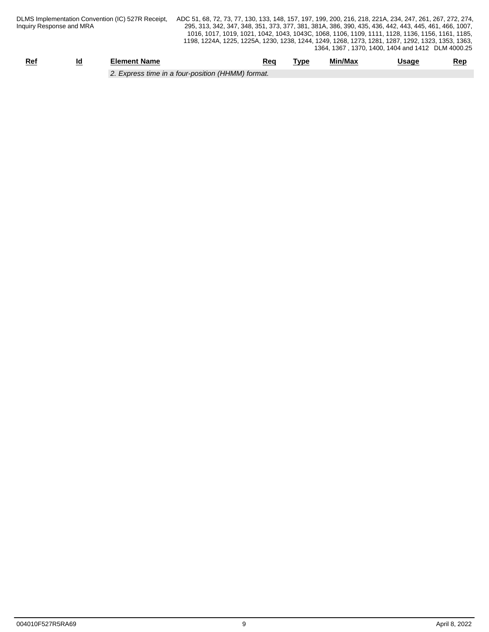| DLMS Implementation Convention (IC) 527R Receipt, | ADC 51, 68, 72, 73, 77 |
|---------------------------------------------------|------------------------|
| Inquiry Response and MRA                          | 295, 313, 342, 347,    |

| Rei                                            | ıc<br>_ | Element Name | Rea | <b>Tvpe</b> | Min/Max | Jsage | Rep |  |
|------------------------------------------------|---------|--------------|-----|-------------|---------|-------|-----|--|
| Express time in a four-position (HHMM) format. |         |              |     |             |         |       |     |  |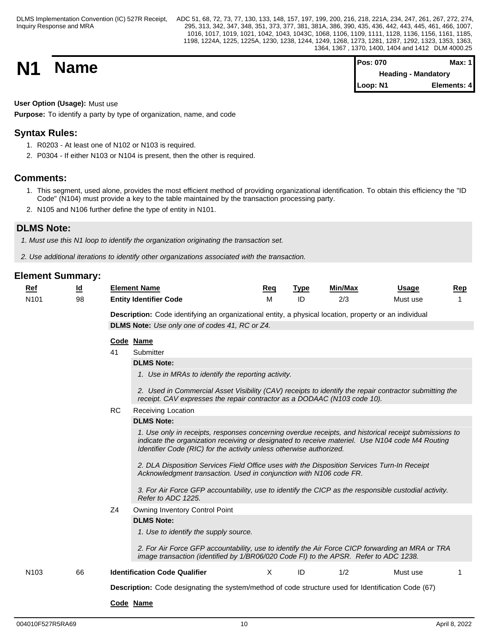| <b>N1</b> | <b>Name</b> | <b>Pos: 070</b>            | Max: 1 <i>'</i> |  |
|-----------|-------------|----------------------------|-----------------|--|
|           |             | <b>Heading - Mandatory</b> |                 |  |
|           |             | Loop: N1                   | Elements: 4     |  |

**User Option (Usage):** Must use

**Purpose:** To identify a party by type of organization, name, and code

## **Syntax Rules:**

- 1. R0203 At least one of N102 or N103 is required.
- 2. P0304 If either N103 or N104 is present, then the other is required.

## **Comments:**

- 1. This segment, used alone, provides the most efficient method of providing organizational identification. To obtain this efficiency the "ID Code" (N104) must provide a key to the table maintained by the transaction processing party.
- 2. N105 and N106 further define the type of entity in N101.

## **DLMS Note:**

*1. Must use this N1 loop to identify the organization originating the transaction set.*

*2. Use additional iterations to identify other organizations associated with the transaction.*

| Ref              | <u>Ιd</u> |           | <b>Element Name</b>                                                                                                                                                                                                                                                             | Req      | <b>Type</b> | Min/Max | <b>Usage</b> | Rep |  |  |  |
|------------------|-----------|-----------|---------------------------------------------------------------------------------------------------------------------------------------------------------------------------------------------------------------------------------------------------------------------------------|----------|-------------|---------|--------------|-----|--|--|--|
| N <sub>101</sub> | 98        |           | <b>Entity Identifier Code</b>                                                                                                                                                                                                                                                   | M        | ID          | 2/3     | Must use     |     |  |  |  |
|                  |           |           | Description: Code identifying an organizational entity, a physical location, property or an individual                                                                                                                                                                          |          |             |         |              |     |  |  |  |
|                  |           |           | DLMS Note: Use only one of codes 41, RC or Z4.                                                                                                                                                                                                                                  |          |             |         |              |     |  |  |  |
|                  |           |           | Code Name                                                                                                                                                                                                                                                                       |          |             |         |              |     |  |  |  |
|                  |           | 41        | Submitter                                                                                                                                                                                                                                                                       |          |             |         |              |     |  |  |  |
|                  |           |           | <b>DLMS Note:</b>                                                                                                                                                                                                                                                               |          |             |         |              |     |  |  |  |
|                  |           |           | 1. Use in MRAs to identify the reporting activity.                                                                                                                                                                                                                              |          |             |         |              |     |  |  |  |
|                  |           |           | 2. Used in Commercial Asset Visibility (CAV) receipts to identify the repair contractor submitting the<br>receipt. CAV expresses the repair contractor as a DODAAC (N103 code 10).                                                                                              |          |             |         |              |     |  |  |  |
|                  |           | <b>RC</b> | Receiving Location                                                                                                                                                                                                                                                              |          |             |         |              |     |  |  |  |
|                  |           |           | <b>DLMS Note:</b>                                                                                                                                                                                                                                                               |          |             |         |              |     |  |  |  |
|                  |           |           | 1. Use only in receipts, responses concerning overdue receipts, and historical receipt submissions to<br>indicate the organization receiving or designated to receive materiel. Use N104 code M4 Routing<br>Identifier Code (RIC) for the activity unless otherwise authorized. |          |             |         |              |     |  |  |  |
|                  |           |           | 2. DLA Disposition Services Field Office uses with the Disposition Services Turn-In Receipt<br>Acknowledgment transaction. Used in conjunction with N106 code FR.                                                                                                               |          |             |         |              |     |  |  |  |
|                  |           |           | 3. For Air Force GFP accountability, use to identify the CICP as the responsible custodial activity.<br>Refer to ADC 1225.                                                                                                                                                      |          |             |         |              |     |  |  |  |
|                  |           | Z4        | Owning Inventory Control Point                                                                                                                                                                                                                                                  |          |             |         |              |     |  |  |  |
|                  |           |           | <b>DLMS Note:</b>                                                                                                                                                                                                                                                               |          |             |         |              |     |  |  |  |
|                  |           |           | 1. Use to identify the supply source.                                                                                                                                                                                                                                           |          |             |         |              |     |  |  |  |
|                  |           |           | 2. For Air Force GFP accountability, use to identify the Air Force CICP forwarding an MRA or TRA<br>image transaction (identified by 1/BR06/020 Code FI) to the APSR. Refer to ADC 1238.                                                                                        |          |             |         |              |     |  |  |  |
| N <sub>103</sub> | 66        |           | <b>Identification Code Qualifier</b>                                                                                                                                                                                                                                            | $\times$ | ID          | 1/2     | Must use     | 1   |  |  |  |
|                  |           |           | Description: Code designating the system/method of code structure used for Identification Code (67)                                                                                                                                                                             |          |             |         |              |     |  |  |  |
|                  |           |           | Code Name                                                                                                                                                                                                                                                                       |          |             |         |              |     |  |  |  |
|                  |           |           |                                                                                                                                                                                                                                                                                 |          |             |         |              |     |  |  |  |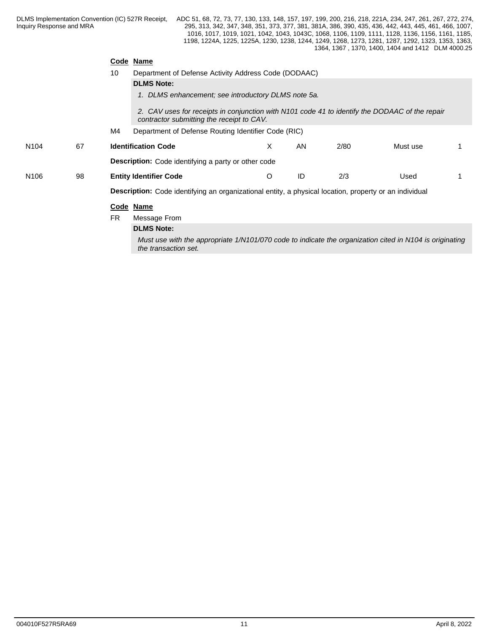|                  |    | Code      | Name                                                                                                                                        |   |    |      |          |  |
|------------------|----|-----------|---------------------------------------------------------------------------------------------------------------------------------------------|---|----|------|----------|--|
|                  |    | 10        | Department of Defense Activity Address Code (DODAAC)                                                                                        |   |    |      |          |  |
|                  |    |           | <b>DLMS Note:</b>                                                                                                                           |   |    |      |          |  |
|                  |    |           | 1. DLMS enhancement; see introductory DLMS note 5a.                                                                                         |   |    |      |          |  |
|                  |    |           | 2. CAV uses for receipts in conjunction with N101 code 41 to identify the DODAAC of the repair<br>contractor submitting the receipt to CAV. |   |    |      |          |  |
|                  |    | M4        | Department of Defense Routing Identifier Code (RIC)                                                                                         |   |    |      |          |  |
| N <sub>104</sub> | 67 |           | <b>Identification Code</b>                                                                                                                  | X | AN | 2/80 | Must use |  |
|                  |    |           | <b>Description:</b> Code identifying a party or other code                                                                                  |   |    |      |          |  |
| N <sub>106</sub> | 98 |           | <b>Entity Identifier Code</b>                                                                                                               | O | ID | 2/3  | Used     |  |
|                  |    |           | Description: Code identifying an organizational entity, a physical location, property or an individual                                      |   |    |      |          |  |
|                  |    |           | Code Name                                                                                                                                   |   |    |      |          |  |
|                  |    | <b>FR</b> | Message From                                                                                                                                |   |    |      |          |  |
|                  |    |           | <b>DLMS Note:</b>                                                                                                                           |   |    |      |          |  |

*Must use with the appropriate 1/N101/070 code to indicate the organization cited in N104 is originating the transaction set.*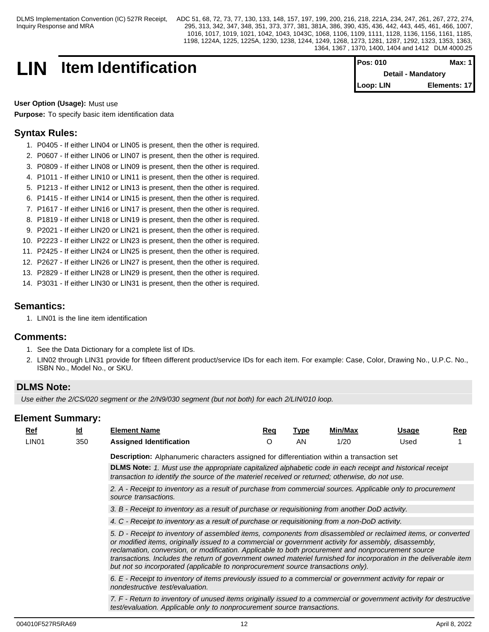## **LIN** Item Identification

| <b>Pos: 010</b>           | Max: $1$     |  |
|---------------------------|--------------|--|
| <b>Detail - Mandatory</b> |              |  |
| Loop: LIN                 | Elements: 17 |  |

**User Option (Usage):** Must use **Purpose:** To specify basic item identification data

## **Syntax Rules:**

- 1. P0405 If either LIN04 or LIN05 is present, then the other is required.
- 2. P0607 If either LIN06 or LIN07 is present, then the other is required.
- 3. P0809 If either LIN08 or LIN09 is present, then the other is required.
- 4. P1011 If either LIN10 or LIN11 is present, then the other is required.
- 5. P1213 If either LIN12 or LIN13 is present, then the other is required.
- 6. P1415 If either LIN14 or LIN15 is present, then the other is required.
- 7. P1617 If either LIN16 or LIN17 is present, then the other is required.
- 8. P1819 If either LIN18 or LIN19 is present, then the other is required.
- 9. P2021 If either LIN20 or LIN21 is present, then the other is required.
- 10. P2223 If either LIN22 or LIN23 is present, then the other is required.
- 11. P2425 If either LIN24 or LIN25 is present, then the other is required.
- 12. P2627 If either LIN26 or LIN27 is present, then the other is required.
- 13. P2829 If either LIN28 or LIN29 is present, then the other is required.
- 14. P3031 If either LIN30 or LIN31 is present, then the other is required.

## **Semantics:**

1. LIN01 is the line item identification

## **Comments:**

- 1. See the Data Dictionary for a complete list of IDs.
- 2. LIN02 through LIN31 provide for fifteen different product/service IDs for each item. For example: Case, Color, Drawing No., U.P.C. No., ISBN No., Model No., or SKU.

## **DLMS Note:**

Use either the 2/CS/020 segment or the 2/N9/030 segment (but not both) for each 2/LIN/010 loop.

| Ref |                   | <u>ld</u> | <b>Element Name</b>                                                                                                                                                                                                                                                                                                                                                                                                                                                                                                                     | Reg | <u>Type</u> | Min/Max | Usage | $\mathbf{Rep}$ |  |  |  |  |  |  |
|-----|-------------------|-----------|-----------------------------------------------------------------------------------------------------------------------------------------------------------------------------------------------------------------------------------------------------------------------------------------------------------------------------------------------------------------------------------------------------------------------------------------------------------------------------------------------------------------------------------------|-----|-------------|---------|-------|----------------|--|--|--|--|--|--|
|     | LIN <sub>01</sub> | 350       | <b>Assigned Identification</b>                                                                                                                                                                                                                                                                                                                                                                                                                                                                                                          | O   | AN          | 1/20    | Used  |                |  |  |  |  |  |  |
|     |                   |           | Description: Alphanumeric characters assigned for differentiation within a transaction set                                                                                                                                                                                                                                                                                                                                                                                                                                              |     |             |         |       |                |  |  |  |  |  |  |
|     |                   |           | DLMS Note: 1. Must use the appropriate capitalized alphabetic code in each receipt and historical receipt<br>transaction to identify the source of the materiel received or returned; otherwise, do not use.                                                                                                                                                                                                                                                                                                                            |     |             |         |       |                |  |  |  |  |  |  |
|     |                   |           | 2. A - Receipt to inventory as a result of purchase from commercial sources. Applicable only to procurement<br>source transactions.                                                                                                                                                                                                                                                                                                                                                                                                     |     |             |         |       |                |  |  |  |  |  |  |
|     |                   |           | 3. B - Receipt to inventory as a result of purchase or requisitioning from another DoD activity.                                                                                                                                                                                                                                                                                                                                                                                                                                        |     |             |         |       |                |  |  |  |  |  |  |
|     |                   |           | 4. C - Receipt to inventory as a result of purchase or requisitioning from a non-DoD activity.                                                                                                                                                                                                                                                                                                                                                                                                                                          |     |             |         |       |                |  |  |  |  |  |  |
|     |                   |           | 5. D - Receipt to inventory of assembled items, components from disassembled or reclaimed items, or converted<br>or modified items, originally issued to a commercial or government activity for assembly, disassembly,<br>reclamation, conversion, or modification. Applicable to both procurement and nonprocurement source<br>transactions. Includes the return of government owned materiel furnished for incorporation in the deliverable item<br>but not so incorporated (applicable to nonprocurement source transactions only). |     |             |         |       |                |  |  |  |  |  |  |
|     |                   |           | 6. E - Receipt to inventory of items previously issued to a commercial or government activity for repair or<br>nondestructive test/evaluation.                                                                                                                                                                                                                                                                                                                                                                                          |     |             |         |       |                |  |  |  |  |  |  |
|     |                   |           | 7. F - Return to inventory of unused items originally issued to a commercial or government activity for destructive<br>test/evaluation. Applicable only to nonprocurement source transactions.                                                                                                                                                                                                                                                                                                                                          |     |             |         |       |                |  |  |  |  |  |  |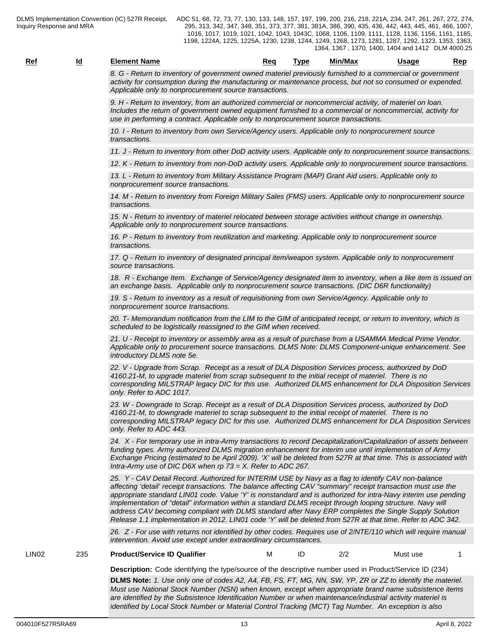*8. G - Return to inventory of government owned materiel previously furnished to a commercial or government activity for consumption during the manufacturing or maintenance process, but not so consumed or expended. Applicable only to nonprocurement source transactions.*

*9. H - Return to inventory, from an authorized commercial or noncommercial activity, of materiel on loan. Includes the return of government owned equipment furnished to a commercial or noncommercial, activity for use in performing a contract. Applicable only to nonprocurement source transactions.*

*10. I - Return to inventory from own Service/Agency users. Applicable only to nonprocurement source transactions.*

*11. J - Return to inventory from other DoD activity users. Applicable only to nonprocurement source transactions.*

*12. K - Return to inventory from non-DoD activity users. Applicable only to nonprocurement source transactions.*

*13. L - Return to inventory from Military Assistance Program (MAP) Grant Aid users. Applicable only to nonprocurement source transactions.*

*14. M - Return to inventory from Foreign Military Sales (FMS) users. Applicable only to nonprocurement source transactions.*

*15. N - Return to inventory of materiel relocated between storage activities without change in ownership. Applicable only to nonprocurement source transactions.*

*16. P - Return to inventory from reutilization and marketing. Applicable only to nonprocurement source transactions.*

*17. Q - Return to inventory of designated principal item/weapon system. Applicable only to nonprocurement source transactions.*

*18. R - Exchange Item. Exchange of Service/Agency designated item to inventory, when a like item is issued on an exchange basis. Applicable only to nonprocurement source transactions. (DIC D6R functionality)*

*19. S - Return to inventory as a result of requisitioning from own Service/Agency. Applicable only to nonprocurement source transactions.*

*20. T- Memorandum notification from the LIM to the GIM of anticipated receipt, or return to inventory, which is scheduled to be logistically reassigned to the GIM when received.*

*21. U - Receipt to inventory or assembly area as a result of purchase from a USAMMA Medical Prime Vendor. Applicable only to procurement source transactions. DLMS Note: DLMS Component-unique enhancement. See introductory DLMS note 5e.*

*22. V - Upgrade from Scrap. Receipt as a result of DLA Disposition Services process, authorized by DoD 4160.21-M, to upgrade materiel from scrap subsequent to the initial receipt of materiel. There is no corresponding MILSTRAP legacy DIC for this use. Authorized DLMS enhancement for DLA Disposition Services only. Refer to ADC 1017.*

*23. W - Downgrade to Scrap. Receipt as a result of DLA Disposition Services process, authorized by DoD 4160.21-M, to downgrade materiel to scrap subsequent to the initial receipt of materiel. There is no corresponding MILSTRAP legacy DIC for this use. Authorized DLMS enhancement for DLA Disposition Services only. Refer to ADC 443.*

*24. X - For temporary use in intra-Army transactions to record Decapitalization/Capitalization of assets between funding types. Army authorized DLMS migration enhancement for interim use until implementation of Army Exchange Pricing (estimated to be April 2009). 'X' will be deleted from 527R at that time. This is associated with Intra-Army use of DIC D6X when rp 73 = X. Refer to ADC 267.*

*25. Y - CAV Detail Record. Authorized for INTERIM USE by Navy as a flag to identify CAV non-balance affecting 'detail' receipt transactions. The balance affecting CAV "summary" receipt transaction must use the appropriate standard LIN01 code. Value 'Y' is nonstandard and is authorized for intra-Navy interim use pending implementation of "detail" information within a standard DLMS receipt through looping structure. Navy will address CAV becoming compliant with DLMS standard after Navy ERP completes the Single Supply Solution Release 1.1 implementation in 2012. LIN01 code 'Y' will be deleted from 527R at that time. Refer to ADC 342.*

*26. Z - For use with returns not identified by other codes. Requires use of 2/NTE/110 which will require manual intervention. Avoid use except under extraordinary circumstances.*

LIN02 235 **Product/Service ID Qualifier** M ID 2/2 Must use 1

- -

**Description:** Code identifying the type/source of the descriptive number used in Product/Service ID (234) **DLMS Note:** *1. Use only one of codes A2, A4, FB, FS, FT, MG, NN, SW, YP, ZR or ZZ to identify the materiel. Must use National Stock Number (NSN) when known, except when appropriate brand name subsistence items are identified by the Subsistence Identification Number or when maintenance/industrial activity materiel is identified by Local Stock Number or Material Control Tracking (MCT) Tag Number. An exception is also*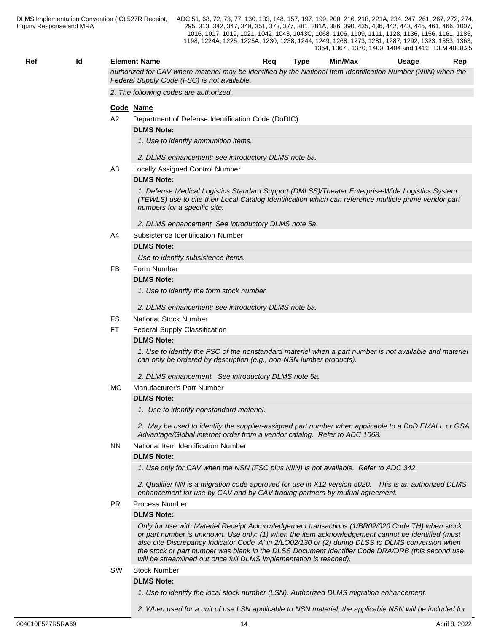## **Ref Id Element Name Req Type Min/Max Usage Rep**

*authorized for CAV where materiel may be identified by the National Item Identification Number (NIIN) when the Federal Supply Code (FSC) is not available.*

*2. The following codes are authorized.*

## **Code Name**

A2 Department of Defense Identification Code (DoDIC)

### **DLMS Note:**

*1. Use to identify ammunition items.*

#### *2. DLMS enhancement; see introductory DLMS note 5a.*

A3 Locally Assigned Control Number

## **DLMS Note:**

*1. Defense Medical Logistics Standard Support (DMLSS)/Theater Enterprise-Wide Logistics System (TEWLS) use to cite their Local Catalog Identification which can reference multiple prime vendor part numbers for a specific site.*

*2. DLMS enhancement. See introductory DLMS note 5a.*

A4 Subsistence Identification Number

## **DLMS Note:**

*Use to identify subsistence items.* 

FB Form Number

#### **DLMS Note:**

*1. Use to identify the form stock number.*

*2. DLMS enhancement; see introductory DLMS note 5a.*

- FS National Stock Number
- FT Federal Supply Classification

#### **DLMS Note:**

*1. Use to identify the FSC of the nonstandard materiel when a part number is not available and materiel can only be ordered by description (e.g., non-NSN lumber products).*

*2. DLMS enhancement. See introductory DLMS note 5a.*

## MG Manufacturer's Part Number

## **DLMS Note:**

*1. Use to identify nonstandard materiel.*

*2. May be used to identify the supplier-assigned part number when applicable to a DoD EMALL or GSA Advantage/Global internet order from a vendor catalog. Refer to ADC 1068.*

## NN National Item Identification Number

## **DLMS Note:**

*1. Use only for CAV when the NSN (FSC plus NIIN) is not available. Refer to ADC 342.*

*2. Qualifier NN is a migration code approved for use in X12 version 5020. This is an authorized DLMS enhancement for use by CAV and by CAV trading partners by mutual agreement.*

PR Process Number

#### **DLMS Note:**

*Only for use with Materiel Receipt Acknowledgement transactions (1/BR02/020 Code TH) when stock or part number is unknown. Use only: (1) when the item acknowledgement cannot be identified (must also cite Discrepancy Indicator Code 'A' in 2/LQ02/130 or (2) during DLSS to DLMS conversion when the stock or part number was blank in the DLSS Document Identifier Code DRA/DRB (this second use will be streamlined out once full DLMS implementation is reached).*

#### SW Stock Number

#### **DLMS Note:**

*1. Use to identify the local stock number (LSN). Authorized DLMS migration enhancement.*

*2. When used for a unit of use LSN applicable to NSN materiel, the applicable NSN will be included for*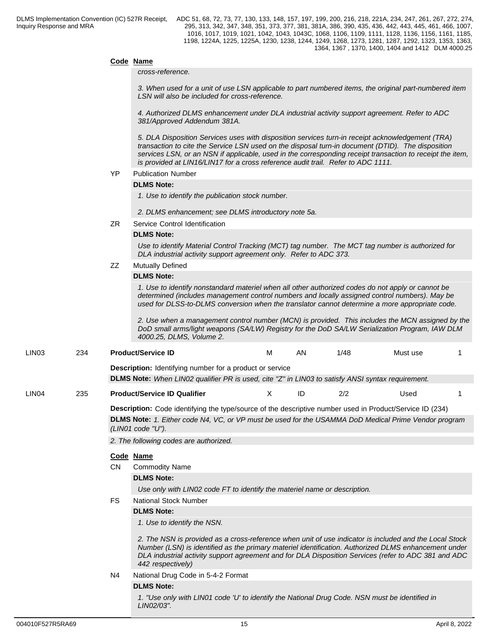## **Code Name**

#### *cross-reference.*

*3. When used for a unit of use LSN applicable to part numbered items, the original part-numbered item LSN will also be included for cross-reference.*

*4. Authorized DLMS enhancement under DLA industrial activity support agreement. Refer to ADC 381/Approved Addendum 381A.*

*5. DLA Disposition Services uses with disposition services turn-in receipt acknowledgement (TRA) transaction to cite the Service LSN used on the disposal turn-in document (DTID). The disposition services LSN, or an NSN if applicable, used in the corresponding receipt transaction to receipt the item, is provided at LIN16/LIN17 for a cross reference audit trail. Refer to ADC 1111.*

#### YP Publication Number

## **DLMS Note:**

*1. Use to identify the publication stock number.*

*2. DLMS enhancement; see DLMS introductory note 5a.*

ZR Service Control Identification

## **DLMS Note:**

*Use to identify Material Control Tracking (MCT) tag number. The MCT tag number is authorized for DLA industrial activity support agreement only. Refer to ADC 373.*

## ZZ Mutually Defined

## **DLMS Note:**

*1. Use to identify nonstandard materiel when all other authorized codes do not apply or cannot be determined (includes management control numbers and locally assigned control numbers). May be used for DLSS-to-DLMS conversion when the translator cannot determine a more appropriate code.*

*2. Use when a management control number (MCN) is provided. This includes the MCN assigned by the DoD small arms/light weapons (SA/LW) Registry for the DoD SA/LW Serialization Program, IAW DLM 4000.25, DLMS, Volume 2.*

**Description:** Identifying number for a product or service **DLMS Note:** *When LIN02 qualifier PR is used, cite "Z" in LIN03 to satisfy ANSI syntax requirement.*

LIN04 235 **Product/Service ID Qualifier** X ID 2/2 Used 1

**Description:** Code identifying the type/source of the descriptive number used in Product/Service ID (234)

**DLMS Note:** *1. Either code N4, VC, or VP must be used for the USAMMA DoD Medical Prime Vendor program (LIN01 code "U").*

*2. The following codes are authorized.*

## **Code Name**

CN Commodity Name

## **DLMS Note:**

*Use only with LIN02 code FT to identify the materiel name or description.* 

FS National Stock Number

## **DLMS Note:**

*1. Use to identify the NSN.* 

*2. The NSN is provided as a cross-reference when unit of use indicator is included and the Local Stock Number (LSN) is identified as the primary materiel identification. Authorized DLMS enhancement under DLA industrial activity support agreement and for DLA Disposition Services (refer to ADC 381 and ADC 442 respectively)*

N4 National Drug Code in 5-4-2 Format

## **DLMS Note:**

*1. "Use only with LIN01 code 'U' to identify the National Drug Code. NSN must be identified in LIN02/03".*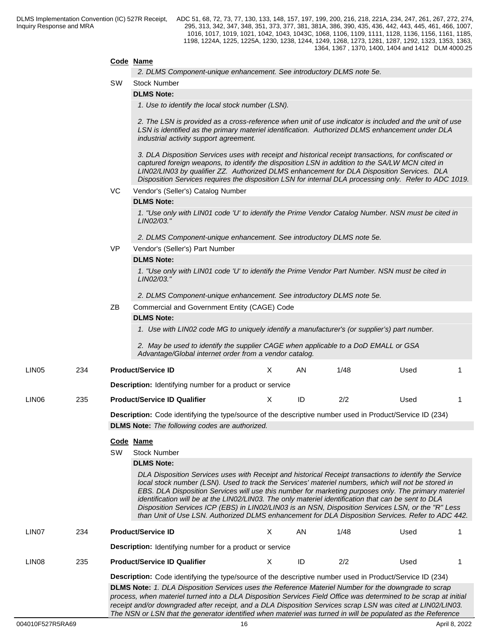## **Code Name**

*2. DLMS Component-unique enhancement. See introductory DLMS note 5e.*

SW Stock Number

**DLMS Note:**

*1. Use to identify the local stock number (LSN).*

*2. The LSN is provided as a cross-reference when unit of use indicator is included and the unit of use LSN is identified as the primary materiel identification. Authorized DLMS enhancement under DLA industrial activity support agreement.*

*3. DLA Disposition Services uses with receipt and historical receipt transactions, for confiscated or captured foreign weapons, to identify the disposition LSN in addition to the SA/LW MCN cited in LIN02/LIN03 by qualifier ZZ. Authorized DLMS enhancement for DLA Disposition Services. DLA Disposition Services requires the disposition LSN for internal DLA processing only. Refer to ADC 1019.*

VC Vendor's (Seller's) Catalog Number

#### **DLMS Note:**

*1. "Use only with LIN01 code 'U' to identify the Prime Vendor Catalog Number. NSN must be cited in LIN02/03."*

*2. DLMS Component-unique enhancement. See introductory DLMS note 5e.*

VP Vendor's (Seller's) Part Number

## **DLMS Note:**

*1. "Use only with LIN01 code 'U' to identify the Prime Vendor Part Number. NSN must be cited in LIN02/03."*

*2. DLMS Component-unique enhancement. See introductory DLMS note 5e.*

ZB Commercial and Government Entity (CAGE) Code

#### **DLMS Note:**

*1. Use with LIN02 code MG to uniquely identify a manufacturer's (or supplier's) part number.*

*2. May be used to identify the supplier CAGE when applicable to a DoD EMALL or GSA Advantage/Global internet order from a vendor catalog.*

| <b>LIN05</b>      | 234 | <b>Product/Service ID</b>                                       | AN | 1/48 | Used |  |
|-------------------|-----|-----------------------------------------------------------------|----|------|------|--|
|                   |     | <b>Description:</b> Identifying number for a product or service |    |      |      |  |
| LIN <sub>06</sub> | 235 | <b>Product/Service ID Qualifier</b>                             |    | 2/2  | Used |  |

**Description:** Code identifying the type/source of the descriptive number used in Product/Service ID (234) **DLMS Note:** *The following codes are authorized.*

#### **Code Name**

SW Stock Number

#### **DLMS Note:**

*DLA Disposition Services uses with Receipt and historical Receipt transactions to identify the Service local stock number (LSN). Used to track the Services' materiel numbers, which will not be stored in EBS. DLA Disposition Services will use this number for marketing purposes only. The primary materiel identification will be at the LIN02/LIN03. The only materiel identification that can be sent to DLA Disposition Services ICP (EBS) in LIN02/LIN03 is an NSN, Disposition Services LSN, or the "R" Less than Unit of Use LSN. Authorized DLMS enhancement for DLA Disposition Services. Refer to ADC 442.*

| LIN <sub>07</sub> | 234 | <b>Product/Service ID</b>                                       | ΑN | 1/48 | Used |  |
|-------------------|-----|-----------------------------------------------------------------|----|------|------|--|
|                   |     | <b>Description:</b> Identifying number for a product or service |    |      |      |  |
| LIN <sub>08</sub> | 235 | <b>Product/Service ID Qualifier</b>                             | ID | 2/2  | Used |  |

**Description:** Code identifying the type/source of the descriptive number used in Product/Service ID (234) **DLMS Note:** *1. DLA Disposition Services uses the Reference Materiel Number for the downgrade to scrap process, when materiel turned into a DLA Disposition Services Field Office was determined to be scrap at initial receipt and/or downgraded after receipt, and a DLA Disposition Services scrap LSN was cited at LIN02/LIN03. The NSN or LSN that the generator identified when materiel was turned in will be populated as the Reference*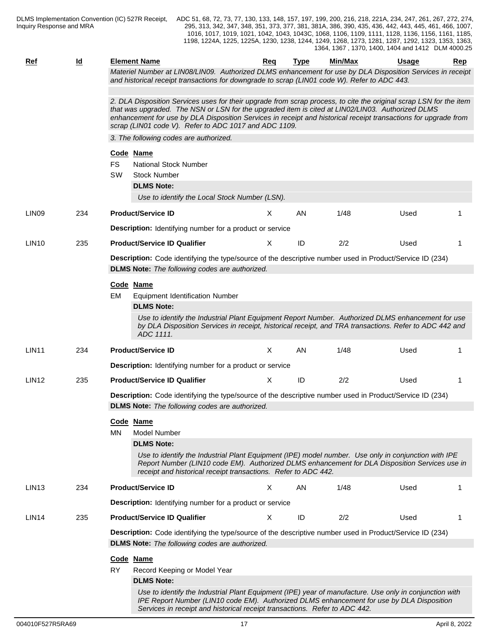| <b>Ref</b>        | <u>ld</u> | <b>Element Name</b>                                                                                                                                                                                                                                                                                                                                                                                | Req      | <b>Type</b> | <b>Min/Max</b> | <u>Usage</u> | Rep |  |  |  |  |
|-------------------|-----------|----------------------------------------------------------------------------------------------------------------------------------------------------------------------------------------------------------------------------------------------------------------------------------------------------------------------------------------------------------------------------------------------------|----------|-------------|----------------|--------------|-----|--|--|--|--|
|                   |           | Materiel Number at LIN08/LIN09. Authorized DLMS enhancement for use by DLA Disposition Services in receipt<br>and historical receipt transactions for downgrade to scrap (LIN01 code W). Refer to ADC 443.                                                                                                                                                                                         |          |             |                |              |     |  |  |  |  |
|                   |           | 2. DLA Disposition Services uses for their upgrade from scrap process, to cite the original scrap LSN for the item<br>that was upgraded. The NSN or LSN for the upgraded item is cited at LIN02/LIN03. Authorized DLMS<br>enhancement for use by DLA Disposition Services in receipt and historical receipt transactions for upgrade from<br>scrap (LIN01 code V). Refer to ADC 1017 and ADC 1109. |          |             |                |              |     |  |  |  |  |
|                   |           | 3. The following codes are authorized.                                                                                                                                                                                                                                                                                                                                                             |          |             |                |              |     |  |  |  |  |
|                   |           | Code Name                                                                                                                                                                                                                                                                                                                                                                                          |          |             |                |              |     |  |  |  |  |
|                   |           | <b>FS</b><br><b>National Stock Number</b>                                                                                                                                                                                                                                                                                                                                                          |          |             |                |              |     |  |  |  |  |
|                   |           | <b>SW</b><br><b>Stock Number</b>                                                                                                                                                                                                                                                                                                                                                                   |          |             |                |              |     |  |  |  |  |
|                   |           | <b>DLMS Note:</b>                                                                                                                                                                                                                                                                                                                                                                                  |          |             |                |              |     |  |  |  |  |
|                   |           | Use to identify the Local Stock Number (LSN).                                                                                                                                                                                                                                                                                                                                                      |          |             |                |              |     |  |  |  |  |
| LIN <sub>09</sub> | 234       | <b>Product/Service ID</b>                                                                                                                                                                                                                                                                                                                                                                          | X        | AN          | 1/48           | Used         |     |  |  |  |  |
|                   |           | <b>Description:</b> Identifying number for a product or service                                                                                                                                                                                                                                                                                                                                    |          |             |                |              |     |  |  |  |  |
| <b>LIN10</b>      | 235       | <b>Product/Service ID Qualifier</b>                                                                                                                                                                                                                                                                                                                                                                | X        | ID          | 2/2            | Used         |     |  |  |  |  |
|                   |           | Description: Code identifying the type/source of the descriptive number used in Product/Service ID (234)                                                                                                                                                                                                                                                                                           |          |             |                |              |     |  |  |  |  |
|                   |           | <b>DLMS Note:</b> The following codes are authorized.                                                                                                                                                                                                                                                                                                                                              |          |             |                |              |     |  |  |  |  |
|                   |           | Code Name                                                                                                                                                                                                                                                                                                                                                                                          |          |             |                |              |     |  |  |  |  |
|                   |           | EM<br><b>Equipment Identification Number</b><br><b>DLMS Note:</b>                                                                                                                                                                                                                                                                                                                                  |          |             |                |              |     |  |  |  |  |
|                   |           | Use to identify the Industrial Plant Equipment Report Number. Authorized DLMS enhancement for use<br>by DLA Disposition Services in receipt, historical receipt, and TRA transactions. Refer to ADC 442 and<br>ADC 1111.                                                                                                                                                                           |          |             |                |              |     |  |  |  |  |
| <b>LIN11</b>      | 234       | <b>Product/Service ID</b>                                                                                                                                                                                                                                                                                                                                                                          | $\times$ | AN          | 1/48           | Used         |     |  |  |  |  |
|                   |           | <b>Description:</b> Identifying number for a product or service                                                                                                                                                                                                                                                                                                                                    |          |             |                |              |     |  |  |  |  |
| <b>LIN12</b>      | 235       | <b>Product/Service ID Qualifier</b>                                                                                                                                                                                                                                                                                                                                                                | X        | ID          | 2/2            | Used         |     |  |  |  |  |
|                   |           | Description: Code identifying the type/source of the descriptive number used in Product/Service ID (234)                                                                                                                                                                                                                                                                                           |          |             |                |              |     |  |  |  |  |
|                   |           | <b>DLMS Note:</b> The following codes are authorized.                                                                                                                                                                                                                                                                                                                                              |          |             |                |              |     |  |  |  |  |
|                   |           | Code Name                                                                                                                                                                                                                                                                                                                                                                                          |          |             |                |              |     |  |  |  |  |
|                   |           | <b>MN</b><br>Model Number                                                                                                                                                                                                                                                                                                                                                                          |          |             |                |              |     |  |  |  |  |
|                   |           | <b>DLMS Note:</b>                                                                                                                                                                                                                                                                                                                                                                                  |          |             |                |              |     |  |  |  |  |
|                   |           | Use to identify the Industrial Plant Equipment (IPE) model number. Use only in conjunction with IPE<br>Report Number (LIN10 code EM). Authorized DLMS enhancement for DLA Disposition Services use in<br>receipt and historical receipt transactions. Refer to ADC 442.                                                                                                                            |          |             |                |              |     |  |  |  |  |
| LIN <sub>13</sub> | 234       | <b>Product/Service ID</b>                                                                                                                                                                                                                                                                                                                                                                          | Χ        | AN          | 1/48           | Used         |     |  |  |  |  |
|                   |           | <b>Description:</b> Identifying number for a product or service                                                                                                                                                                                                                                                                                                                                    |          |             |                |              |     |  |  |  |  |
| LIN <sub>14</sub> | 235       | <b>Product/Service ID Qualifier</b>                                                                                                                                                                                                                                                                                                                                                                | X        | ID          | 2/2            | Used         |     |  |  |  |  |
|                   |           | Description: Code identifying the type/source of the descriptive number used in Product/Service ID (234)                                                                                                                                                                                                                                                                                           |          |             |                |              |     |  |  |  |  |
|                   |           | <b>DLMS Note:</b> The following codes are authorized.                                                                                                                                                                                                                                                                                                                                              |          |             |                |              |     |  |  |  |  |
|                   |           | Code Name                                                                                                                                                                                                                                                                                                                                                                                          |          |             |                |              |     |  |  |  |  |
|                   |           | <b>RY</b><br>Record Keeping or Model Year                                                                                                                                                                                                                                                                                                                                                          |          |             |                |              |     |  |  |  |  |
|                   |           | <b>DLMS Note:</b>                                                                                                                                                                                                                                                                                                                                                                                  |          |             |                |              |     |  |  |  |  |
|                   |           | Use to identify the Industrial Plant Equipment (IPE) year of manufacture. Use only in conjunction with<br>IPE Report Number (LIN10 code EM). Authorized DLMS enhancement for use by DLA Disposition<br>Services in receipt and historical receipt transactions. Refer to ADC 442.                                                                                                                  |          |             |                |              |     |  |  |  |  |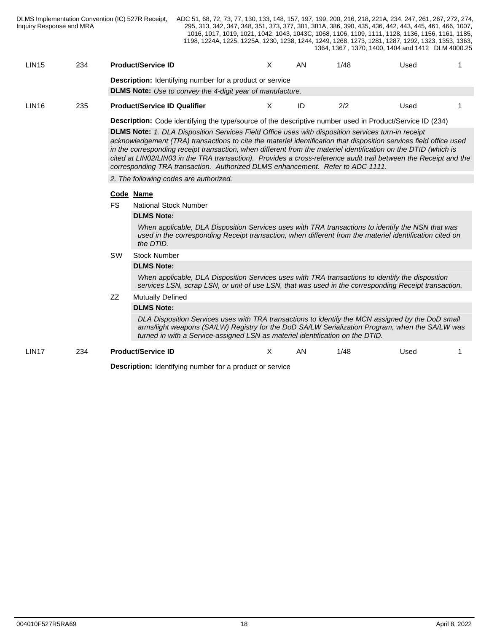| LIN15 | 234 | <b>Product/Service ID</b>                                        |   | AN | 1/48 | Used |  |
|-------|-----|------------------------------------------------------------------|---|----|------|------|--|
|       |     | <b>Description:</b> Identifying number for a product or service  |   |    |      |      |  |
|       |     | <b>DLMS Note:</b> Use to convey the 4-digit year of manufacture. |   |    |      |      |  |
| LIN16 | 235 | <b>Product/Service ID Qualifier</b>                              | ∧ | ID | 2/2  | Used |  |

**Description:** Code identifying the type/source of the descriptive number used in Product/Service ID (234)

**DLMS Note:** *1. DLA Disposition Services Field Office uses with disposition services turn-in receipt acknowledgement (TRA) transactions to cite the materiel identification that disposition services field office used in the corresponding receipt transaction, when different from the materiel identification on the DTID (which is cited at LIN02/LIN03 in the TRA transaction). Provides a cross-reference audit trail between the Receipt and the corresponding TRA transaction. Authorized DLMS enhancement. Refer to ADC 1111.*

*2. The following codes are authorized.*

#### **Code Name**

FS National Stock Number

#### **DLMS Note:**

*When applicable, DLA Disposition Services uses with TRA transactions to identify the NSN that was used in the corresponding Receipt transaction, when different from the materiel identification cited on the DTID.*

SW Stock Number

#### **DLMS Note:**

*When applicable, DLA Disposition Services uses with TRA transactions to identify the disposition services LSN, scrap LSN, or unit of use LSN, that was used in the corresponding Receipt transaction.*

## ZZ Mutually Defined

## **DLMS Note:**

*DLA Disposition Services uses with TRA transactions to identify the MCN assigned by the DoD small arms/light weapons (SA/LW) Registry for the DoD SA/LW Serialization Program, when the SA/LW was turned in with a Service-assigned LSN as materiel identification on the DTID.*

## LIN17 234 **Product/Service ID** X AN 1/48 Used 1

**Description:** Identifying number for a product or service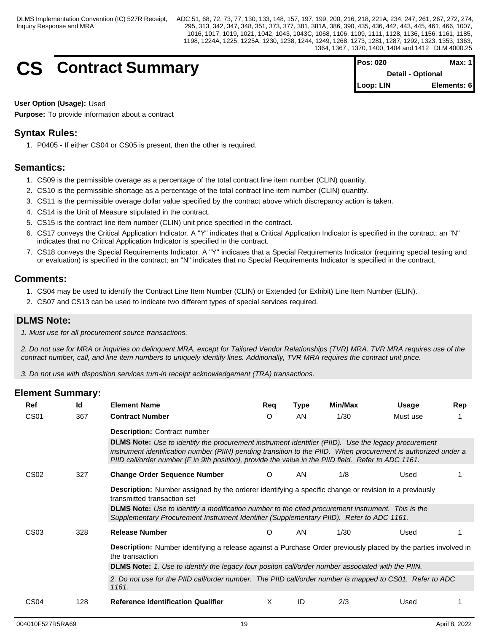# **CS** Contract Summary

| <b>Pos: 020</b> | Max: $1$          |  |
|-----------------|-------------------|--|
|                 | Detail - Optional |  |
| Loop: LIN       | Elements: 6       |  |

## **User Option (Usage):** Used

**Purpose:** To provide information about a contract

## **Syntax Rules:**

1. P0405 - If either CS04 or CS05 is present, then the other is required.

## **Semantics:**

- 1. CS09 is the permissible overage as a percentage of the total contract line item number (CLIN) quantity.
- 2. CS10 is the permissible shortage as a percentage of the total contract line item number (CLIN) quantity.
- 3. CS11 is the permissible overage dollar value specified by the contract above which discrepancy action is taken.
- 4. CS14 is the Unit of Measure stipulated in the contract.
- 5. CS15 is the contract line item number (CLIN) unit price specified in the contract.
- 6. CS17 conveys the Critical Application Indicator. A "Y" indicates that a Critical Application Indicator is specified in the contract; an "N" indicates that no Critical Application Indicator is specified in the contract.
- 7. CS18 conveys the Special Requirements Indicator. A "Y" indicates that a Special Requirements Indicator (requiring special testing and or evaluation) is specified in the contract; an "N" indicates that no Special Requirements Indicator is specified in the contract.

## **Comments:**

- 1. CS04 may be used to identify the Contract Line Item Number (CLIN) or Extended (or Exhibit) Line Item Number (ELIN).
- 2. CS07 and CS13 can be used to indicate two different types of special services required.

## **DLMS Note:**

*1. Must use for all procurement source transactions.*

*2. Do not use for MRA or inquiries on delinquent MRA, except for Tailored Vendor Relationships (TVR) MRA. TVR MRA requires use of the contract number, call, and line item numbers to uniquely identify lines. Additionally, TVR MRA requires the contract unit price.*

*3. Do not use with disposition services turn-in receipt acknowledgement (TRA) transactions.*

| Ref              | $\underline{\mathsf{Id}}$ | <b>Element Name</b>                                                                                                                                                                                                                                                                                                                 | Req | <b>Type</b> | <b>Min/Max</b> | Usage    | Rep |
|------------------|---------------------------|-------------------------------------------------------------------------------------------------------------------------------------------------------------------------------------------------------------------------------------------------------------------------------------------------------------------------------------|-----|-------------|----------------|----------|-----|
| CS <sub>01</sub> | 367                       | <b>Contract Number</b>                                                                                                                                                                                                                                                                                                              | O   | AN          | 1/30           | Must use |     |
|                  |                           | <b>Description: Contract number</b>                                                                                                                                                                                                                                                                                                 |     |             |                |          |     |
|                  |                           | <b>DLMS Note:</b> Use to identify the procurement instrument identifier (PIID). Use the legacy procurement<br>instrument identification number (PIIN) pending transition to the PIID. When procurement is authorized under a<br>PIID call/order number (F in 9th position), provide the value in the PIID field. Refer to ADC 1161. |     |             |                |          |     |
| CS <sub>02</sub> | 327                       | <b>Change Order Sequence Number</b>                                                                                                                                                                                                                                                                                                 | O   | AN          | 1/8            | Used     |     |
|                  |                           | <b>Description:</b> Number assigned by the orderer identifying a specific change or revision to a previously<br>transmitted transaction set                                                                                                                                                                                         |     |             |                |          |     |
|                  |                           | <b>DLMS Note:</b> Use to identify a modification number to the cited procurement instrument. This is the<br>Supplementary Procurement Instrument Identifier (Supplementary PIID). Refer to ADC 1161.                                                                                                                                |     |             |                |          |     |
| CS <sub>03</sub> | 328                       | <b>Release Number</b>                                                                                                                                                                                                                                                                                                               | O   | AN          | 1/30           | Used     |     |
|                  |                           | Description: Number identifying a release against a Purchase Order previously placed by the parties involved in<br>the transaction                                                                                                                                                                                                  |     |             |                |          |     |
|                  |                           | DLMS Note: 1. Use to identify the legacy four positon call/order number associated with the PIIN.                                                                                                                                                                                                                                   |     |             |                |          |     |
|                  |                           | 2. Do not use for the PIID call/order number. The PIID call/order number is mapped to CS01. Refer to ADC<br>1161.                                                                                                                                                                                                                   |     |             |                |          |     |
| CS <sub>04</sub> | 128                       | <b>Reference Identification Qualifier</b>                                                                                                                                                                                                                                                                                           | X   | ID          | 2/3            | Used     |     |
|                  |                           |                                                                                                                                                                                                                                                                                                                                     |     |             |                |          |     |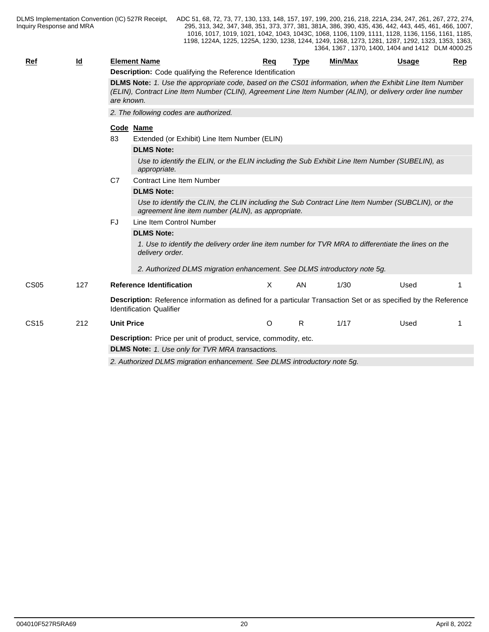| <b>Ref</b>       | Id  |                                                                          | <b>Element Name</b>                                                                                                                                                                                                    | Req     | <b>Type</b> | Min/Max | <b>Usage</b> | Rep |  |  |  |  |  |  |
|------------------|-----|--------------------------------------------------------------------------|------------------------------------------------------------------------------------------------------------------------------------------------------------------------------------------------------------------------|---------|-------------|---------|--------------|-----|--|--|--|--|--|--|
|                  |     |                                                                          | Description: Code qualifying the Reference Identification                                                                                                                                                              |         |             |         |              |     |  |  |  |  |  |  |
|                  |     | are known.                                                               | DLMS Note: 1. Use the appropriate code, based on the CS01 information, when the Exhibit Line Item Number<br>(ELIN), Contract Line Item Number (CLIN), Agreement Line Item Number (ALIN), or delivery order line number |         |             |         |              |     |  |  |  |  |  |  |
|                  |     |                                                                          | 2. The following codes are authorized.                                                                                                                                                                                 |         |             |         |              |     |  |  |  |  |  |  |
|                  |     | Code Name                                                                |                                                                                                                                                                                                                        |         |             |         |              |     |  |  |  |  |  |  |
|                  |     | 83                                                                       | Extended (or Exhibit) Line Item Number (ELIN)                                                                                                                                                                          |         |             |         |              |     |  |  |  |  |  |  |
|                  |     |                                                                          | <b>DLMS Note:</b>                                                                                                                                                                                                      |         |             |         |              |     |  |  |  |  |  |  |
|                  |     |                                                                          | Use to identify the ELIN, or the ELIN including the Sub Exhibit Line Item Number (SUBELIN), as<br>appropriate.                                                                                                         |         |             |         |              |     |  |  |  |  |  |  |
|                  |     | C <sub>7</sub>                                                           | <b>Contract Line Item Number</b>                                                                                                                                                                                       |         |             |         |              |     |  |  |  |  |  |  |
|                  |     |                                                                          | <b>DLMS Note:</b>                                                                                                                                                                                                      |         |             |         |              |     |  |  |  |  |  |  |
|                  |     |                                                                          | Use to identify the CLIN, the CLIN including the Sub Contract Line Item Number (SUBCLIN), or the<br>agreement line item number (ALIN), as appropriate.                                                                 |         |             |         |              |     |  |  |  |  |  |  |
|                  |     | FJ                                                                       | Line Item Control Number                                                                                                                                                                                               |         |             |         |              |     |  |  |  |  |  |  |
|                  |     |                                                                          | <b>DLMS Note:</b>                                                                                                                                                                                                      |         |             |         |              |     |  |  |  |  |  |  |
|                  |     |                                                                          | 1. Use to identify the delivery order line item number for TVR MRA to differentiate the lines on the<br>delivery order.                                                                                                |         |             |         |              |     |  |  |  |  |  |  |
|                  |     |                                                                          | 2. Authorized DLMS migration enhancement. See DLMS introductory note 5g.                                                                                                                                               |         |             |         |              |     |  |  |  |  |  |  |
| CS <sub>05</sub> | 127 |                                                                          | <b>Reference Identification</b>                                                                                                                                                                                        | X       | AN          | 1/30    | Used         |     |  |  |  |  |  |  |
|                  |     |                                                                          | Description: Reference information as defined for a particular Transaction Set or as specified by the Reference<br><b>Identification Qualifier</b>                                                                     |         |             |         |              |     |  |  |  |  |  |  |
| <b>CS15</b>      | 212 | <b>Unit Price</b>                                                        |                                                                                                                                                                                                                        | $\circ$ | R.          | 1/17    | Used         |     |  |  |  |  |  |  |
|                  |     |                                                                          | Description: Price per unit of product, service, commodity, etc.                                                                                                                                                       |         |             |         |              |     |  |  |  |  |  |  |
|                  |     |                                                                          | <b>DLMS Note:</b> 1. Use only for TVR MRA transactions.                                                                                                                                                                |         |             |         |              |     |  |  |  |  |  |  |
|                  |     | 2. Authorized DLMS migration enhancement. See DLMS introductory note 5g. |                                                                                                                                                                                                                        |         |             |         |              |     |  |  |  |  |  |  |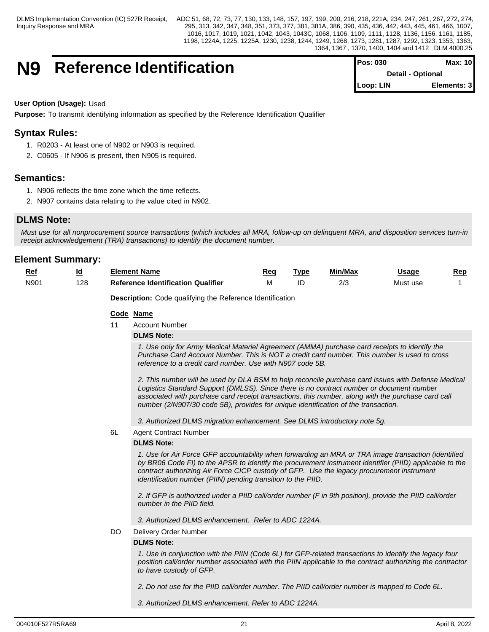## **N9** Reference Identification

| IPos: 030                | Max: 10     |  |
|--------------------------|-------------|--|
| <b>Detail - Optional</b> |             |  |
| Loop: LIN                | Elements: 3 |  |

## **User Option (Usage):** Used

**Purpose:** To transmit identifying information as specified by the Reference Identification Qualifier

## **Syntax Rules:**

- 1. R0203 At least one of N902 or N903 is required.
- 2. C0605 If N906 is present, then N905 is required.

## **Semantics:**

- 1. N906 reflects the time zone which the time reflects.
- 2. N907 contains data relating to the value cited in N902.

## **DLMS Note:**

*Must use for all nonprocurement source transactions (which includes all MRA, follow-up on delinquent MRA, and disposition services turn-in receipt acknowledgement (TRA) transactions) to identify the document number.*

## **Element Summary:**

| . .<br><u>is re</u>         | <br>ـــ | Element Name                                         | Rec | Tvp. | ---<br>Min/Max | Usaɑe              | Rep |
|-----------------------------|---------|------------------------------------------------------|-----|------|----------------|--------------------|-----|
| $\cdots$<br>ווסוח<br>$\sim$ | 128     | Qualifier<br>.<br>: Identification<br>Jataranca<br>᠁ |     |      | הו ה<br>–,     | N /I 1<br>Must use |     |

**Description:** Code qualifying the Reference Identification

### **Code Name**

11 Account Number

## **DLMS Note:**

*1. Use only for Army Medical Materiel Agreement (AMMA) purchase card receipts to identify the Purchase Card Account Number. This is NOT a credit card number. This number is used to cross reference to a credit card number. Use with N907 code 5B.*

*2. This number will be used by DLA BSM to help reconcile purchase card issues with Defense Medical Logistics Standard Support (DMLSS). Since there is no contract number or document number associated with purchase card receipt transactions, this number, along with the purchase card call number (2/N907/30 code 5B), provides for unique identification of the transaction.*

*3. Authorized DLMS migration enhancement. See DLMS introductory note 5g.*

#### 6L Agent Contract Number

#### **DLMS Note:**

*1. Use for Air Force GFP accountability when forwarding an MRA or TRA image transaction (identified by BR06 Code FI) to the APSR to identify the procurement instrument identifier (PIID) applicable to the contract authorizing Air Force CICP custody of GFP. Use the legacy procurement instrument identification number (PIIN) pending transition to the PIID.*

*2. If GFP is authorized under a PIID call/order number (F in 9th position), provide the PIID call/order number in the PIID field.* 

*3. Authorized DLMS enhancement. Refer to ADC 1224A.*

DO Delivery Order Number

## **DLMS Note:**

*1. Use in conjunction with the PIIN (Code 6L) for GFP-related transactions to identify the legacy four position call/order number associated with the PIIN applicable to the contract authorizing the contractor to have custody of GFP.*

*2. Do not use for the PIID call/order number. The PIID call/order number is mapped to Code 6L.*

*3. Authorized DLMS enhancement. Refer to ADC 1224A.*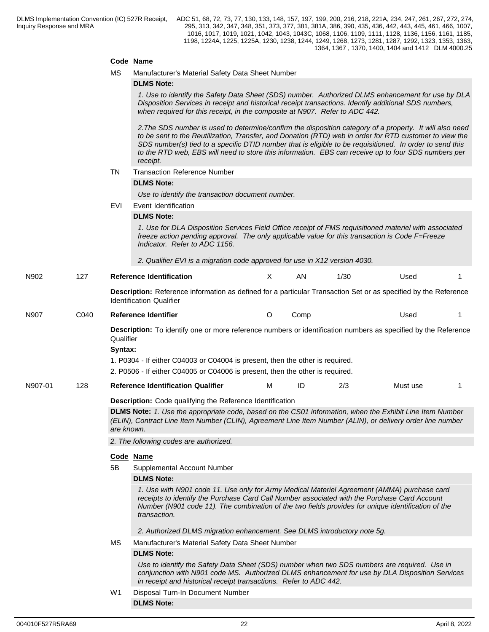## **Code Name**

|  | MS | Manufacturer's Material Safety Data Sheet Number |  |
|--|----|--------------------------------------------------|--|
|--|----|--------------------------------------------------|--|

#### **DLMS Note:**

*1. Use to identify the Safety Data Sheet (SDS) number. Authorized DLMS enhancement for use by DLA Disposition Services in receipt and historical receipt transactions. Identify additional SDS numbers, when required for this receipt, in the composite at N907. Refer to ADC 442.*

*2.The SDS number is used to determine/confirm the disposition category of a property. It will also need to be sent to the Reutilization, Transfer, and Donation (RTD) web in order for RTD customer to view the SDS number(s) tied to a specific DTID number that is eligible to be requisitioned. In order to send this to the RTD web, EBS will need to store this information. EBS can receive up to four SDS numbers per receipt.* 

TN Transaction Reference Number

## **DLMS Note:**

*Use to identify the transaction document number.*

EVI Event Identification

#### **DLMS Note:**

*1. Use for DLA Disposition Services Field Office receipt of FMS requisitioned materiel with associated freeze action pending approval. The only applicable value for this transaction is Code F=Freeze Indicator. Refer to ADC 1156.*

*2. Qualifier EVI is a migration code approved for use in X12 version 4030.*

N902 127 **Reference Identification** X AN 1/30 Used 1 **Description:** Reference information as defined for a particular Transaction Set or as specified by the Reference Identification Qualifier N907 C040 **Reference Identifier** O Comp Used 1 **Description:** To identify one or more reference numbers or identification numbers as specified by the Reference Qualifier **Syntax:**  1. P0304 - If either C04003 or C04004 is present, then the other is required. 2. P0506 - If either C04005 or C04006 is present, then the other is required. N907-01 128 **Reference Identification Qualifier** M ID 2/3 Must use 1 **Description:** Code qualifying the Reference Identification **DLMS Note:** *1. Use the appropriate code, based on the CS01 information, when the Exhibit Line Item Number (ELIN), Contract Line Item Number (CLIN), Agreement Line Item Number (ALIN), or delivery order line number are known. 2. The following codes are authorized.* **Code Name** 5B Supplemental Account Number **DLMS Note:** *1. Use with N901 code 11. Use only for Army Medical Materiel Agreement (AMMA) purchase card receipts to identify the Purchase Card Call Number associated with the Purchase Card Account Number (N901 code 11). The combination of the two fields provides for unique identification of the transaction. 2. Authorized DLMS migration enhancement. See DLMS introductory note 5g.* MS Manufacturer's Material Safety Data Sheet Number **DLMS Note:** *Use to identify the Safety Data Sheet (SDS) number when two SDS numbers are required. Use in conjunction with N901 code MS. Authorized DLMS enhancement for use by DLA Disposition Services in receipt and historical receipt transactions. Refer to ADC 442.*

> W1 Disposal Turn-In Document Number **DLMS Note:**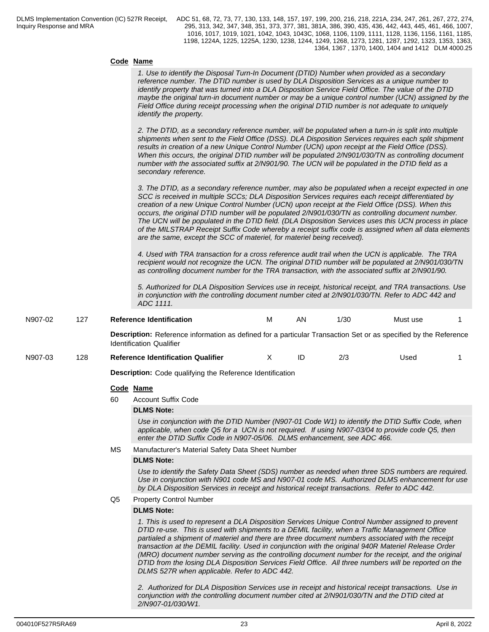### **Code Name**

*1. Use to identify the Disposal Turn-In Document (DTID) Number when provided as a secondary reference number. The DTID number is used by DLA Disposition Services as a unique number to identify property that was turned into a DLA Disposition Service Field Office. The value of the DTID maybe the original turn-in document number or may be a unique control number (UCN) assigned by the Field Office during receipt processing when the original DTID number is not adequate to uniquely identify the property.*

*2. The DTID, as a secondary reference number, will be populated when a turn-in is split into multiple shipments when sent to the Field Office (DSS). DLA Disposition Services requires each split shipment results in creation of a new Unique Control Number (UCN) upon receipt at the Field Office (DSS). When this occurs, the original DTID number will be populated 2/N901/030/TN as controlling document number with the associated suffix at 2/N901/90. The UCN will be populated in the DTID field as a secondary reference.*

*3. The DTID, as a secondary reference number, may also be populated when a receipt expected in one SCC is received in multiple SCCs; DLA Disposition Services requires each receipt differentiated by creation of a new Unique Control Number (UCN) upon receipt at the Field Office (DSS). When this occurs, the original DTID number will be populated 2/N901/030/TN as controlling document number. The UCN will be populated in the DTID field. (DLA Disposition Services uses this UCN process in place of the MILSTRAP Receipt Suffix Code whereby a receipt suffix code is assigned when all data elements are the same, except the SCC of materiel, for materiel being received).*

*4. Used with TRA transaction for a cross reference audit trail when the UCN is applicable. The TRA recipient would not recognize the UCN. The original DTID number will be populated at 2/N901/030/TN as controlling document number for the TRA transaction, with the associated suffix at 2/N901/90.*

*5. Authorized for DLA Disposition Services use in receipt, historical receipt, and TRA transactions. Use in conjunction with the controlling document number cited at 2/N901/030/TN. Refer to ADC 442 and ADC 1111.*

| N907-02 | 127 |    | <b>Reference Identification</b>                                                                                                                                                                                                                                                                                                                                                                                                                                                                                                                                                                                                 | м | ΑN | 1/30 | Must use |  |
|---------|-----|----|---------------------------------------------------------------------------------------------------------------------------------------------------------------------------------------------------------------------------------------------------------------------------------------------------------------------------------------------------------------------------------------------------------------------------------------------------------------------------------------------------------------------------------------------------------------------------------------------------------------------------------|---|----|------|----------|--|
|         |     |    | Description: Reference information as defined for a particular Transaction Set or as specified by the Reference<br><b>Identification Qualifier</b>                                                                                                                                                                                                                                                                                                                                                                                                                                                                              |   |    |      |          |  |
| N907-03 | 128 |    | <b>Reference Identification Qualifier</b>                                                                                                                                                                                                                                                                                                                                                                                                                                                                                                                                                                                       | X | ID | 2/3  | Used     |  |
|         |     |    | Description: Code qualifying the Reference Identification                                                                                                                                                                                                                                                                                                                                                                                                                                                                                                                                                                       |   |    |      |          |  |
|         |     |    | Code Name                                                                                                                                                                                                                                                                                                                                                                                                                                                                                                                                                                                                                       |   |    |      |          |  |
|         |     | 60 | <b>Account Suffix Code</b>                                                                                                                                                                                                                                                                                                                                                                                                                                                                                                                                                                                                      |   |    |      |          |  |
|         |     |    | <b>DLMS Note:</b>                                                                                                                                                                                                                                                                                                                                                                                                                                                                                                                                                                                                               |   |    |      |          |  |
|         |     |    | Use in conjunction with the DTID Number (N907-01 Code W1) to identify the DTID Suffix Code, when<br>applicable, when code Q5 for a UCN is not required. If using N907-03/04 to provide code Q5, then<br>enter the DTID Suffix Code in N907-05/06. DLMS enhancement, see ADC 466.                                                                                                                                                                                                                                                                                                                                                |   |    |      |          |  |
|         |     | МS | Manufacturer's Material Safety Data Sheet Number                                                                                                                                                                                                                                                                                                                                                                                                                                                                                                                                                                                |   |    |      |          |  |
|         |     |    | <b>DLMS Note:</b>                                                                                                                                                                                                                                                                                                                                                                                                                                                                                                                                                                                                               |   |    |      |          |  |
|         |     |    | Use to identify the Safety Data Sheet (SDS) number as needed when three SDS numbers are required.<br>Use in conjunction with N901 code MS and N907-01 code MS. Authorized DLMS enhancement for use<br>by DLA Disposition Services in receipt and historical receipt transactions. Refer to ADC 442.                                                                                                                                                                                                                                                                                                                             |   |    |      |          |  |
|         |     | Q5 | <b>Property Control Number</b>                                                                                                                                                                                                                                                                                                                                                                                                                                                                                                                                                                                                  |   |    |      |          |  |
|         |     |    | <b>DLMS Note:</b>                                                                                                                                                                                                                                                                                                                                                                                                                                                                                                                                                                                                               |   |    |      |          |  |
|         |     |    | 1. This is used to represent a DLA Disposition Services Unique Control Number assigned to prevent<br>DTID re-use. This is used with shipments to a DEMIL facility, when a Traffic Management Office<br>partialed a shipment of materiel and there are three document numbers associated with the receipt<br>transaction at the DEMIL facility. Used in conjunction with the original 940R Materiel Release Order<br>(MRO) document number serving as the controlling document number for the receipt, and the original<br>DTID from the losing DLA Disposition Services Field Office. All three numbers will be reported on the |   |    |      |          |  |

*2. Authorized for DLA Disposition Services use in receipt and historical receipt transactions. Use in conjunction with the controlling document number cited at 2/N901/030/TN and the DTID cited at 2/N907-01/030/W1.*

*DLMS 527R when applicable. Refer to ADC 442.*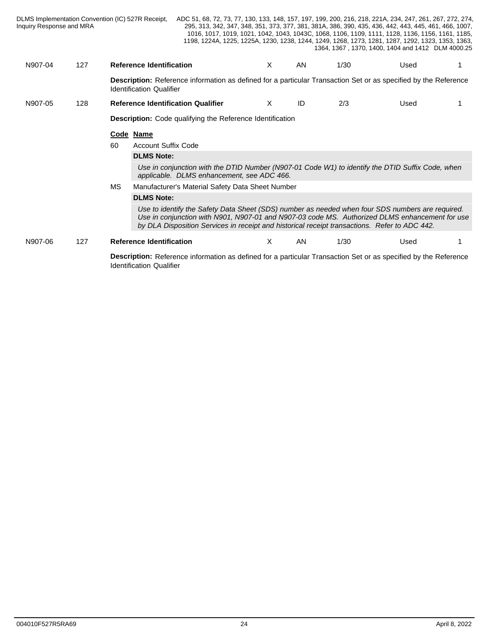| Inquiry Response and MRA |     | DLMS Implementation Convention (IC) 527R Receipt, | ADC 51, 68, 72, 73, 77, 130, 133, 148, 157, 197, 199, 200, 216, 218, 221A, 234, 247, 261, 267, 272, 274,                                                                                                                                                                                            |    |     |      | 295, 313, 342, 347, 348, 351, 373, 377, 381, 381A, 386, 390, 435, 436, 442, 443, 445, 461, 466, 1007,<br>1016, 1017, 1019, 1021, 1042, 1043, 1043C, 1068, 1106, 1109, 1111, 1128, 1136, 1156, 1161, 1185,<br>1198, 1224A, 1225, 1225A, 1230, 1238, 1244, 1249, 1268, 1273, 1281, 1287, 1292, 1323, 1353, 1363,<br>1364, 1367, 1370, 1400, 1404 and 1412 DLM 4000.25 |  |
|--------------------------|-----|---------------------------------------------------|-----------------------------------------------------------------------------------------------------------------------------------------------------------------------------------------------------------------------------------------------------------------------------------------------------|----|-----|------|---------------------------------------------------------------------------------------------------------------------------------------------------------------------------------------------------------------------------------------------------------------------------------------------------------------------------------------------------------------------|--|
| N907-04                  | 127 | <b>Reference Identification</b>                   |                                                                                                                                                                                                                                                                                                     | X. | AN. | 1/30 | Used                                                                                                                                                                                                                                                                                                                                                                |  |
|                          |     | <b>Identification Qualifier</b>                   | <b>Description:</b> Reference information as defined for a particular Transaction Set or as specified by the Reference                                                                                                                                                                              |    |     |      |                                                                                                                                                                                                                                                                                                                                                                     |  |
| N907-05                  | 128 |                                                   | <b>Reference Identification Qualifier</b>                                                                                                                                                                                                                                                           | X  | ID  | 2/3  | Used                                                                                                                                                                                                                                                                                                                                                                |  |
|                          |     |                                                   | <b>Description:</b> Code qualifying the Reference Identification                                                                                                                                                                                                                                    |    |     |      |                                                                                                                                                                                                                                                                                                                                                                     |  |
|                          |     | Code Name                                         |                                                                                                                                                                                                                                                                                                     |    |     |      |                                                                                                                                                                                                                                                                                                                                                                     |  |
|                          |     | 60                                                | <b>Account Suffix Code</b>                                                                                                                                                                                                                                                                          |    |     |      |                                                                                                                                                                                                                                                                                                                                                                     |  |
|                          |     |                                                   |                                                                                                                                                                                                                                                                                                     |    |     |      |                                                                                                                                                                                                                                                                                                                                                                     |  |
|                          |     | <b>DLMS Note:</b>                                 |                                                                                                                                                                                                                                                                                                     |    |     |      |                                                                                                                                                                                                                                                                                                                                                                     |  |
|                          |     |                                                   | Use in conjunction with the DTID Number (N907-01 Code W1) to identify the DTID Suffix Code, when<br>applicable. DLMS enhancement, see ADC 466.                                                                                                                                                      |    |     |      |                                                                                                                                                                                                                                                                                                                                                                     |  |
|                          |     | <b>MS</b>                                         | Manufacturer's Material Safety Data Sheet Number                                                                                                                                                                                                                                                    |    |     |      |                                                                                                                                                                                                                                                                                                                                                                     |  |
|                          |     | <b>DLMS Note:</b>                                 |                                                                                                                                                                                                                                                                                                     |    |     |      |                                                                                                                                                                                                                                                                                                                                                                     |  |
|                          |     |                                                   | Use to identify the Safety Data Sheet (SDS) number as needed when four SDS numbers are required.<br>Use in conjunction with N901, N907-01 and N907-03 code MS. Authorized DLMS enhancement for use<br>by DLA Disposition Services in receipt and historical receipt transactions. Refer to ADC 442. |    |     |      |                                                                                                                                                                                                                                                                                                                                                                     |  |
| N907-06                  | 127 | <b>Reference Identification</b>                   |                                                                                                                                                                                                                                                                                                     | X. | AN  | 1/30 | Used                                                                                                                                                                                                                                                                                                                                                                |  |
|                          |     |                                                   |                                                                                                                                                                                                                                                                                                     |    |     |      |                                                                                                                                                                                                                                                                                                                                                                     |  |
|                          |     |                                                   | Description: Reference information as defined for a particular Transaction Set or as specified by the Reference                                                                                                                                                                                     |    |     |      |                                                                                                                                                                                                                                                                                                                                                                     |  |

Identification Qualifier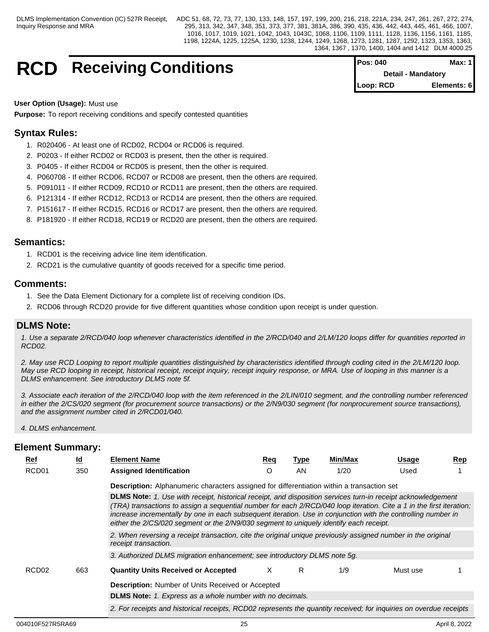> **Detail - Mandatory Loop: RCD Elements: 6**

## **RCD** Receiving Conditions **Pos: 040 Max: 1 Pos: 040 Max: 1**

**User Option (Usage):** Must use

**Purpose:** To report receiving conditions and specify contested quantities

## **Syntax Rules:**

- 1. R020406 At least one of RCD02, RCD04 or RCD06 is required.
- 2. P0203 If either RCD02 or RCD03 is present, then the other is required.
- 3. P0405 If either RCD04 or RCD05 is present, then the other is required.
- 4. P060708 If either RCD06, RCD07 or RCD08 are present, then the others are required.
- 5. P091011 If either RCD09, RCD10 or RCD11 are present, then the others are required.
- 6. P121314 If either RCD12, RCD13 or RCD14 are present, then the others are required.
- 7. P151617 If either RCD15, RCD16 or RCD17 are present, then the others are required.
- 8. P181920 If either RCD18, RCD19 or RCD20 are present, then the others are required.

## **Semantics:**

- 1. RCD01 is the receiving advice line item identification.
- 2. RCD21 is the cumulative quantity of goods received for a specific time period.

## **Comments:**

- 1. See the Data Element Dictionary for a complete list of receiving condition IDs.
- 2. RCD06 through RCD20 provide for five different quantities whose condition upon receipt is under question.

## **DLMS Note:**

*1. Use a separate 2/RCD/040 loop whenever characteristics identified in the 2/RCD/040 and 2/LM/120 loops differ for quantities reported in RCD02.*

*2. May use RCD Looping to report multiple quantities distinguished by characteristics identified through coding cited in the 2/LM/120 loop. May use RCD looping in receipt, historical receipt, receipt inquiry, receipt inquiry response, or MRA. Use of looping in this manner is a DLMS enhancement. See introductory DLMS note 5f.*

*3. Associate each iteration of the 2/RCD/040 loop with the item referenced in the 2/LIN/010 segment, and the controlling number referenced in either the 2/CS/020 segment (for procurement source transactions) or the 2/N9/030 segment (for nonprocurement source transactions), and the assignment number cited in 2/RCD01/040.*

*4. DLMS enhancement.*

| Ref               | ld  | <b>Element Name</b>                                                                                                                                                                                                                                                                                                                                                                                                                             | Req | Type | Min/Max | <b>Usage</b> | Rep |
|-------------------|-----|-------------------------------------------------------------------------------------------------------------------------------------------------------------------------------------------------------------------------------------------------------------------------------------------------------------------------------------------------------------------------------------------------------------------------------------------------|-----|------|---------|--------------|-----|
| RCD <sub>01</sub> | 350 | <b>Assigned Identification</b>                                                                                                                                                                                                                                                                                                                                                                                                                  |     | AN.  | 1/20    | Used         |     |
|                   |     | <b>Description:</b> Alphanumeric characters assigned for differentiation within a transaction set                                                                                                                                                                                                                                                                                                                                               |     |      |         |              |     |
|                   |     | DLMS Note: 1. Use with receipt, historical receipt, and disposition services turn-in receipt acknowledgement<br>(TRA) transactions to assign a sequential number for each 2/RCD/040 loop iteration. Cite a 1 in the first iteration;<br>increase incrementally by one in each subsequent iteration. Use in conjunction with the controlling number in<br>either the 2/CS/020 segment or the 2/N9/030 segment to uniquely identify each receipt. |     |      |         |              |     |
|                   |     | 2. When reversing a receipt transaction, cite the original unique previously assigned number in the original<br>receipt transaction.                                                                                                                                                                                                                                                                                                            |     |      |         |              |     |
|                   |     | 3. Authorized DLMS migration enhancement; see introductory DLMS note 5g.                                                                                                                                                                                                                                                                                                                                                                        |     |      |         |              |     |
| RCD <sub>02</sub> | 663 | <b>Quantity Units Received or Accepted</b>                                                                                                                                                                                                                                                                                                                                                                                                      | X.  | R    | 1/9     | Must use     |     |
|                   |     | <b>Description:</b> Number of Units Received or Accepted                                                                                                                                                                                                                                                                                                                                                                                        |     |      |         |              |     |
|                   |     | <b>DLMS Note:</b> 1. Express as a whole number with no decimals.                                                                                                                                                                                                                                                                                                                                                                                |     |      |         |              |     |
|                   |     | 2. For receipts and historical receipts, RCD02 represents the quantity received; for inquiries on overdue receipts                                                                                                                                                                                                                                                                                                                              |     |      |         |              |     |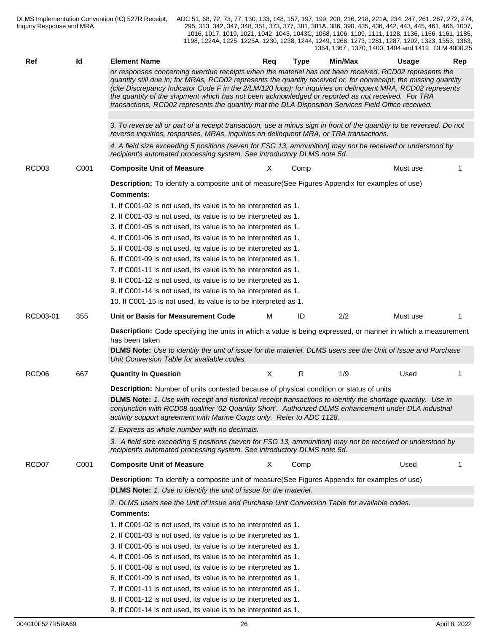| Ref               | $\underline{\mathsf{Id}}$ | <b>Element Name</b>                                                                                                                                                                                                                                                                                                                                                                                                                                                                                                                                    | Reg | <b>Type</b> | Min/Max | <b>Usage</b> | Rep |
|-------------------|---------------------------|--------------------------------------------------------------------------------------------------------------------------------------------------------------------------------------------------------------------------------------------------------------------------------------------------------------------------------------------------------------------------------------------------------------------------------------------------------------------------------------------------------------------------------------------------------|-----|-------------|---------|--------------|-----|
|                   |                           | or responses concerning overdue receipts when the materiel has not been received, RCD02 represents the<br>quantity still due in; for MRAs, RCD02 represents the quantity received or, for nonreceipt, the missing quantity<br>(cite Discrepancy Indicator Code F in the 2/LM/120 loop); for inquiries on delinguent MRA, RCD02 represents<br>the quantity of the shipment which has not been acknowledged or reported as not received. For TRA<br>transactions, RCD02 represents the quantity that the DLA Disposition Services Field Office received. |     |             |         |              |     |
|                   |                           | 3. To reverse all or part of a receipt transaction, use a minus sign in front of the quantity to be reversed. Do not<br>reverse inquiries, responses, MRAs, inquiries on delinquent MRA, or TRA transactions.                                                                                                                                                                                                                                                                                                                                          |     |             |         |              |     |
|                   |                           | 4. A field size exceeding 5 positions (seven for FSG 13, ammunition) may not be received or understood by<br>recipient's automated processing system. See introductory DLMS note 5d.                                                                                                                                                                                                                                                                                                                                                                   |     |             |         |              |     |
| RCD <sub>03</sub> | C001                      | <b>Composite Unit of Measure</b>                                                                                                                                                                                                                                                                                                                                                                                                                                                                                                                       | X   | Comp        |         | Must use     |     |
|                   |                           | <b>Description:</b> To identify a composite unit of measure(See Figures Appendix for examples of use)                                                                                                                                                                                                                                                                                                                                                                                                                                                  |     |             |         |              |     |
|                   |                           | <b>Comments:</b>                                                                                                                                                                                                                                                                                                                                                                                                                                                                                                                                       |     |             |         |              |     |
|                   |                           | 1. If C001-02 is not used, its value is to be interpreted as 1.                                                                                                                                                                                                                                                                                                                                                                                                                                                                                        |     |             |         |              |     |
|                   |                           | 2. If C001-03 is not used, its value is to be interpreted as 1.                                                                                                                                                                                                                                                                                                                                                                                                                                                                                        |     |             |         |              |     |
|                   |                           | 3. If C001-05 is not used, its value is to be interpreted as 1.                                                                                                                                                                                                                                                                                                                                                                                                                                                                                        |     |             |         |              |     |
|                   |                           | 4. If C001-06 is not used, its value is to be interpreted as 1.                                                                                                                                                                                                                                                                                                                                                                                                                                                                                        |     |             |         |              |     |
|                   |                           | 5. If C001-08 is not used, its value is to be interpreted as 1.                                                                                                                                                                                                                                                                                                                                                                                                                                                                                        |     |             |         |              |     |
|                   |                           | 6. If C001-09 is not used, its value is to be interpreted as 1.                                                                                                                                                                                                                                                                                                                                                                                                                                                                                        |     |             |         |              |     |
|                   |                           | 7. If C001-11 is not used, its value is to be interpreted as 1.                                                                                                                                                                                                                                                                                                                                                                                                                                                                                        |     |             |         |              |     |
|                   |                           | 8. If C001-12 is not used, its value is to be interpreted as 1.                                                                                                                                                                                                                                                                                                                                                                                                                                                                                        |     |             |         |              |     |
|                   |                           | 9. If C001-14 is not used, its value is to be interpreted as 1.                                                                                                                                                                                                                                                                                                                                                                                                                                                                                        |     |             |         |              |     |
|                   |                           | 10. If C001-15 is not used, its value is to be interpreted as 1.                                                                                                                                                                                                                                                                                                                                                                                                                                                                                       |     |             |         |              |     |
| RCD03-01          | 355                       | Unit or Basis for Measurement Code                                                                                                                                                                                                                                                                                                                                                                                                                                                                                                                     | м   | ID          | 2/2     | Must use     |     |
|                   |                           | <b>Description:</b> Code specifying the units in which a value is being expressed, or manner in which a measurement<br>has been taken                                                                                                                                                                                                                                                                                                                                                                                                                  |     |             |         |              |     |
|                   |                           | DLMS Note: Use to identify the unit of issue for the materiel. DLMS users see the Unit of Issue and Purchase<br>Unit Conversion Table for available codes.                                                                                                                                                                                                                                                                                                                                                                                             |     |             |         |              |     |
| RCD <sub>06</sub> | 667                       | <b>Quantity in Question</b>                                                                                                                                                                                                                                                                                                                                                                                                                                                                                                                            | X   | R           | 1/9     | Used         |     |
|                   |                           | <b>Description:</b> Number of units contested because of physical condition or status of units                                                                                                                                                                                                                                                                                                                                                                                                                                                         |     |             |         |              |     |
|                   |                           | DLMS Note: 1. Use with receipt and historical receipt transactions to identify the shortage quantity. Use in<br>conjunction with RCD08 qualifier '02-Quantity Short'. Authorized DLMS enhancement under DLA industrial<br>activity support agreement with Marine Corps only. Refer to ADC 1128.                                                                                                                                                                                                                                                        |     |             |         |              |     |
|                   |                           | 2. Express as whole number with no decimals.                                                                                                                                                                                                                                                                                                                                                                                                                                                                                                           |     |             |         |              |     |
|                   |                           | 3. A field size exceeding 5 positions (seven for FSG 13, ammunition) may not be received or understood by<br>recipient's automated processing system. See introductory DLMS note 5d.                                                                                                                                                                                                                                                                                                                                                                   |     |             |         |              |     |
| RCD <sub>07</sub> | C001                      | <b>Composite Unit of Measure</b>                                                                                                                                                                                                                                                                                                                                                                                                                                                                                                                       | X   | Comp        |         | Used         |     |
|                   |                           | Description: To identify a composite unit of measure(See Figures Appendix for examples of use)                                                                                                                                                                                                                                                                                                                                                                                                                                                         |     |             |         |              |     |
|                   |                           | <b>DLMS Note:</b> 1. Use to identify the unit of issue for the materiel.                                                                                                                                                                                                                                                                                                                                                                                                                                                                               |     |             |         |              |     |
|                   |                           | 2. DLMS users see the Unit of Issue and Purchase Unit Conversion Table for available codes.                                                                                                                                                                                                                                                                                                                                                                                                                                                            |     |             |         |              |     |
|                   |                           | <b>Comments:</b>                                                                                                                                                                                                                                                                                                                                                                                                                                                                                                                                       |     |             |         |              |     |
|                   |                           | 1. If C001-02 is not used, its value is to be interpreted as 1.                                                                                                                                                                                                                                                                                                                                                                                                                                                                                        |     |             |         |              |     |
|                   |                           | 2. If C001-03 is not used, its value is to be interpreted as 1.                                                                                                                                                                                                                                                                                                                                                                                                                                                                                        |     |             |         |              |     |
|                   |                           | 3. If C001-05 is not used, its value is to be interpreted as 1.                                                                                                                                                                                                                                                                                                                                                                                                                                                                                        |     |             |         |              |     |
|                   |                           | 4. If C001-06 is not used, its value is to be interpreted as 1.                                                                                                                                                                                                                                                                                                                                                                                                                                                                                        |     |             |         |              |     |
|                   |                           | 5. If C001-08 is not used, its value is to be interpreted as 1.                                                                                                                                                                                                                                                                                                                                                                                                                                                                                        |     |             |         |              |     |
|                   |                           | 6. If C001-09 is not used, its value is to be interpreted as 1.                                                                                                                                                                                                                                                                                                                                                                                                                                                                                        |     |             |         |              |     |
|                   |                           | 7. If C001-11 is not used, its value is to be interpreted as 1.                                                                                                                                                                                                                                                                                                                                                                                                                                                                                        |     |             |         |              |     |
|                   |                           | 8. If C001-12 is not used, its value is to be interpreted as 1.                                                                                                                                                                                                                                                                                                                                                                                                                                                                                        |     |             |         |              |     |

9. If C001-14 is not used, its value is to be interpreted as 1.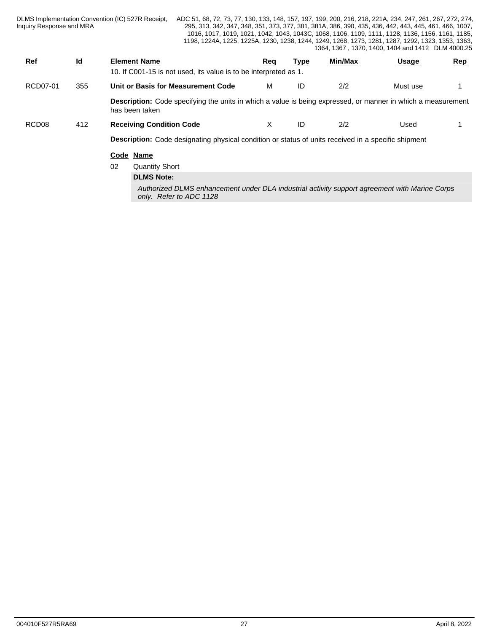| Inquiry Response and MRA |                           | DLMS Implementation Convention (IC) 527R Receipt,                                                                                     |            |             |         | ADC 51, 68, 72, 73, 77, 130, 133, 148, 157, 197, 199, 200, 216, 218, 221A, 234, 247, 261, 267, 272, 274,<br>295, 313, 342, 347, 348, 351, 373, 377, 381, 381A, 386, 390, 435, 436, 442, 443, 445, 461, 466, 1007,<br>1016, 1017, 1019, 1021, 1042, 1043, 1043C, 1068, 1106, 1109, 1111, 1128, 1136, 1156, 1161, 1185,<br>1198, 1224A, 1225, 1225A, 1230, 1238, 1244, 1249, 1268, 1273, 1281, 1287, 1292, 1323, 1353, 1363,<br>1364, 1367, 1370, 1400, 1404 and 1412 DLM 4000.25 |            |
|--------------------------|---------------------------|---------------------------------------------------------------------------------------------------------------------------------------|------------|-------------|---------|---------------------------------------------------------------------------------------------------------------------------------------------------------------------------------------------------------------------------------------------------------------------------------------------------------------------------------------------------------------------------------------------------------------------------------------------------------------------------------|------------|
| <b>Ref</b>               | $\underline{\mathsf{Id}}$ | <b>Element Name</b><br>10. If C001-15 is not used, its value is to be interpreted as 1.                                               | <u>Req</u> | <u>Type</u> | Min/Max | <u>Usage</u>                                                                                                                                                                                                                                                                                                                                                                                                                                                                    | <u>Rep</u> |
| RCD07-01                 | 355                       | Unit or Basis for Measurement Code                                                                                                    | м          | ID          | 2/2     | Must use                                                                                                                                                                                                                                                                                                                                                                                                                                                                        |            |
|                          |                           | <b>Description:</b> Code specifying the units in which a value is being expressed, or manner in which a measurement<br>has been taken |            |             |         |                                                                                                                                                                                                                                                                                                                                                                                                                                                                                 |            |
| RCD <sub>08</sub>        | 412                       | <b>Receiving Condition Code</b>                                                                                                       | X          | ID          | 2/2     | Used                                                                                                                                                                                                                                                                                                                                                                                                                                                                            |            |
|                          |                           | <b>Description:</b> Code designating physical condition or status of units received in a specific shipment                            |            |             |         |                                                                                                                                                                                                                                                                                                                                                                                                                                                                                 |            |
|                          |                           | Code Name                                                                                                                             |            |             |         |                                                                                                                                                                                                                                                                                                                                                                                                                                                                                 |            |
|                          |                           | 02<br><b>Quantity Short</b>                                                                                                           |            |             |         |                                                                                                                                                                                                                                                                                                                                                                                                                                                                                 |            |
|                          |                           | <b>DLMS Note:</b>                                                                                                                     |            |             |         |                                                                                                                                                                                                                                                                                                                                                                                                                                                                                 |            |
|                          |                           | Authorized DLMS enhancement under DLA industrial activity support agreement with Marine Corps<br>only. Refer to ADC 1128              |            |             |         |                                                                                                                                                                                                                                                                                                                                                                                                                                                                                 |            |
|                          |                           |                                                                                                                                       |            |             |         |                                                                                                                                                                                                                                                                                                                                                                                                                                                                                 |            |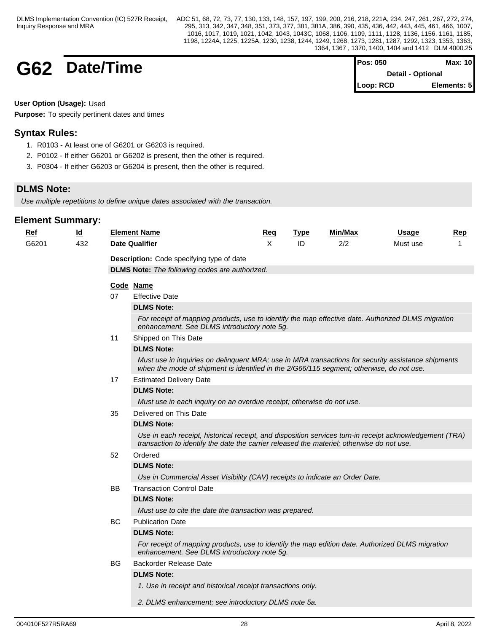## **G62 Date/Time**

| <b>Pos: 050</b>          | Max: $10$   |  |
|--------------------------|-------------|--|
| <b>Detail - Optional</b> |             |  |
| $\mathsf{Loop: RCD}$     | Elements: 5 |  |

**User Option (Usage):** Used

**Purpose:** To specify pertinent dates and times

## **Syntax Rules:**

- 1. R0103 At least one of G6201 or G6203 is required.
- 2. P0102 If either G6201 or G6202 is present, then the other is required.
- 3. P0304 If either G6203 or G6204 is present, then the other is required.

## **DLMS Note:**

*Use multiple repetitions to define unique dates associated with the transaction.* 

| <u>Ref</u> | <u>ld</u> |     | <b>Element Name</b>                                                                                                                                                                                  | <u>Req</u> | <b>Type</b> | Min/Max | <b>Usage</b> | <u>Rep</u> |
|------------|-----------|-----|------------------------------------------------------------------------------------------------------------------------------------------------------------------------------------------------------|------------|-------------|---------|--------------|------------|
| G6201      | 432       |     | <b>Date Qualifier</b>                                                                                                                                                                                | X          | ID          | 2/2     | Must use     | 1          |
|            |           |     | Description: Code specifying type of date                                                                                                                                                            |            |             |         |              |            |
|            |           |     | <b>DLMS Note:</b> The following codes are authorized.                                                                                                                                                |            |             |         |              |            |
|            |           |     | Code Name                                                                                                                                                                                            |            |             |         |              |            |
|            |           | 07  | <b>Effective Date</b>                                                                                                                                                                                |            |             |         |              |            |
|            |           |     | <b>DLMS Note:</b>                                                                                                                                                                                    |            |             |         |              |            |
|            |           |     | For receipt of mapping products, use to identify the map effective date. Authorized DLMS migration<br>enhancement. See DLMS introductory note 5g.                                                    |            |             |         |              |            |
|            |           | 11  | Shipped on This Date                                                                                                                                                                                 |            |             |         |              |            |
|            |           |     | <b>DLMS Note:</b>                                                                                                                                                                                    |            |             |         |              |            |
|            |           |     | Must use in inquiries on delinquent MRA; use in MRA transactions for security assistance shipments<br>when the mode of shipment is identified in the 2/G66/115 segment; otherwise, do not use.       |            |             |         |              |            |
|            |           | 17  | <b>Estimated Delivery Date</b>                                                                                                                                                                       |            |             |         |              |            |
|            |           |     | <b>DLMS Note:</b>                                                                                                                                                                                    |            |             |         |              |            |
|            |           |     | Must use in each inquiry on an overdue receipt; otherwise do not use.                                                                                                                                |            |             |         |              |            |
|            |           | 35  | Delivered on This Date                                                                                                                                                                               |            |             |         |              |            |
|            |           |     | <b>DLMS Note:</b>                                                                                                                                                                                    |            |             |         |              |            |
|            |           |     | Use in each receipt, historical receipt, and disposition services turn-in receipt acknowledgement (TRA)<br>transaction to identify the date the carrier released the materiel; otherwise do not use. |            |             |         |              |            |
|            |           | 52  | Ordered                                                                                                                                                                                              |            |             |         |              |            |
|            |           |     | <b>DLMS Note:</b>                                                                                                                                                                                    |            |             |         |              |            |
|            |           |     | Use in Commercial Asset Visibility (CAV) receipts to indicate an Order Date.                                                                                                                         |            |             |         |              |            |
|            |           | BB. | <b>Transaction Control Date</b>                                                                                                                                                                      |            |             |         |              |            |
|            |           |     | <b>DLMS Note:</b>                                                                                                                                                                                    |            |             |         |              |            |
|            |           |     | Must use to cite the date the transaction was prepared.                                                                                                                                              |            |             |         |              |            |
|            |           | BC  | <b>Publication Date</b>                                                                                                                                                                              |            |             |         |              |            |
|            |           |     | <b>DLMS Note:</b>                                                                                                                                                                                    |            |             |         |              |            |
|            |           |     | For receipt of mapping products, use to identify the map edition date. Authorized DLMS migration<br>enhancement. See DLMS introductory note 5g.                                                      |            |             |         |              |            |
|            |           | BG  | <b>Backorder Release Date</b>                                                                                                                                                                        |            |             |         |              |            |
|            |           |     | <b>DLMS Note:</b>                                                                                                                                                                                    |            |             |         |              |            |
|            |           |     | 1. Use in receipt and historical receipt transactions only.                                                                                                                                          |            |             |         |              |            |
|            |           |     | 2. DLMS enhancement; see introductory DLMS note 5a.                                                                                                                                                  |            |             |         |              |            |
|            |           |     |                                                                                                                                                                                                      |            |             |         |              |            |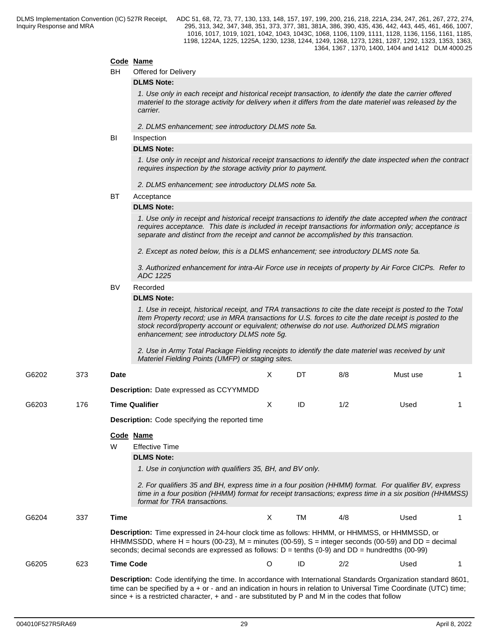## **Code Name**

BH Offered for Delivery

#### **DLMS Note:**

*1. Use only in each receipt and historical receipt transaction, to identify the date the carrier offered materiel to the storage activity for delivery when it differs from the date materiel was released by the carrier.*

*2. DLMS enhancement; see introductory DLMS note 5a.*

## **BI** Inspection

## **DLMS Note:**

*1. Use only in receipt and historical receipt transactions to identify the date inspected when the contract requires inspection by the storage activity prior to payment.*

*2. DLMS enhancement; see introductory DLMS note 5a.*

#### BT Acceptance

#### **DLMS Note:**

*1. Use only in receipt and historical receipt transactions to identify the date accepted when the contract requires acceptance. This date is included in receipt transactions for information only; acceptance is separate and distinct from the receipt and cannot be accomplished by this transaction.*

*2. Except as noted below, this is a DLMS enhancement; see introductory DLMS note 5a.*

*3. Authorized enhancement for intra-Air Force use in receipts of property by Air Force CICPs. Refer to ADC 1225*

## BV Recorded

## **DLMS Note:**

*1. Use in receipt, historical receipt, and TRA transactions to cite the date receipt is posted to the Total Item Property record; use in MRA transactions for U.S. forces to cite the date receipt is posted to the stock record/property account or equivalent; otherwise do not use. Authorized DLMS migration enhancement; see introductory DLMS note 5g.* 

*2. Use in Army Total Package Fielding receipts to identify the date materiel was received by unit Materiel Fielding Points (UMFP) or staging sites.*

| G6202 | 373 | <b>Date</b>      |                                                                                                                                                                                                                                                                                                                                             | X  | DT        | 8/8 | Must use |  |
|-------|-----|------------------|---------------------------------------------------------------------------------------------------------------------------------------------------------------------------------------------------------------------------------------------------------------------------------------------------------------------------------------------|----|-----------|-----|----------|--|
|       |     |                  | <b>Description:</b> Date expressed as CCYYMMDD                                                                                                                                                                                                                                                                                              |    |           |     |          |  |
| G6203 | 176 |                  | <b>Time Qualifier</b>                                                                                                                                                                                                                                                                                                                       | X  | ID        | 1/2 | Used     |  |
|       |     |                  | <b>Description:</b> Code specifying the reported time                                                                                                                                                                                                                                                                                       |    |           |     |          |  |
|       |     | W                | Code Name<br><b>Effective Time</b>                                                                                                                                                                                                                                                                                                          |    |           |     |          |  |
|       |     |                  | <b>DLMS Note:</b><br>1. Use in conjunction with qualifiers 35, BH, and BV only.<br>2. For qualifiers 35 and BH, express time in a four position (HHMM) format. For qualifier BV, express<br>time in a four position (HHMM) format for receipt transactions; express time in a six position (HHMMSS)<br>format for TRA transactions.         |    |           |     |          |  |
| G6204 | 337 | Time             |                                                                                                                                                                                                                                                                                                                                             | X. | <b>TM</b> | 4/8 | Used     |  |
|       |     |                  | Description: Time expressed in 24-hour clock time as follows: HHMM, or HHMMSS, or HHMMSSD, or<br>HHMMSSDD, where H = hours (00-23), M = minutes (00-59), S = integer seconds (00-59) and DD = decimal<br>seconds; decimal seconds are expressed as follows: $D = \text{tenths} (0.9)$ and $DD = \text{hundredths} (00.99)$                  |    |           |     |          |  |
| G6205 | 623 | <b>Time Code</b> |                                                                                                                                                                                                                                                                                                                                             | O  | ID        | 2/2 | Used     |  |
|       |     |                  | Description: Code identifying the time. In accordance with International Standards Organization standard 8601,<br>time can be specified by a + or - and an indication in hours in relation to Universal Time Coordinate (UTC) time;<br>since $+$ is a restricted character, $+$ and $-$ are substituted by P and M in the codes that follow |    |           |     |          |  |
|       |     |                  |                                                                                                                                                                                                                                                                                                                                             |    |           |     |          |  |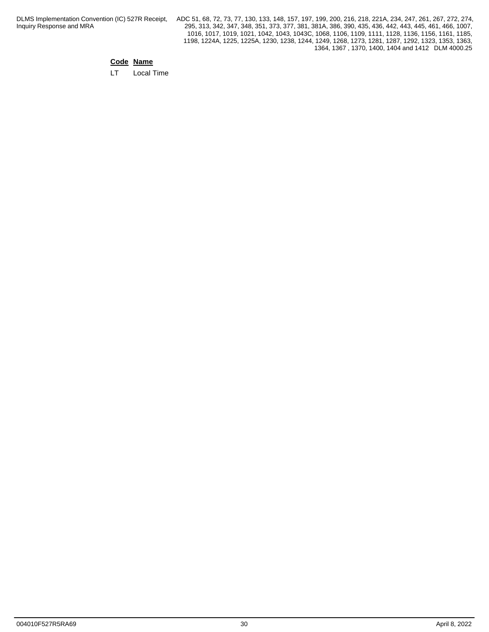DLMS Implementation Convention (IC) 527R Receipt, Inquiry Response and MRA

ADC 51, 68, 72, 73, 77, 130, 133, 148, 157, 197, 199, 200, 216, 218, 221A, 234, 247, 261, 267, 272, 274, 295, 313, 342, 347, 348, 351, 373, 377, 381, 381A, 386, 390, 435, 436, 442, 443, 445, 461, 466, 1007, 1016, 1017, 1019, 1021, 1042, 1043, 1043C, 1068, 1106, 1109, 1111, 1128, 1136, 1156, 1161, 1185, 1198, 1224A, 1225, 1225A, 1230, 1238, 1244, 1249, 1268, 1273, 1281, 1287, 1292, 1323, 1353, 1363, 1364, 1367 , 1370, 1400, 1404 and 1412 DLM 4000.25

## **Code Name**

LT Local Time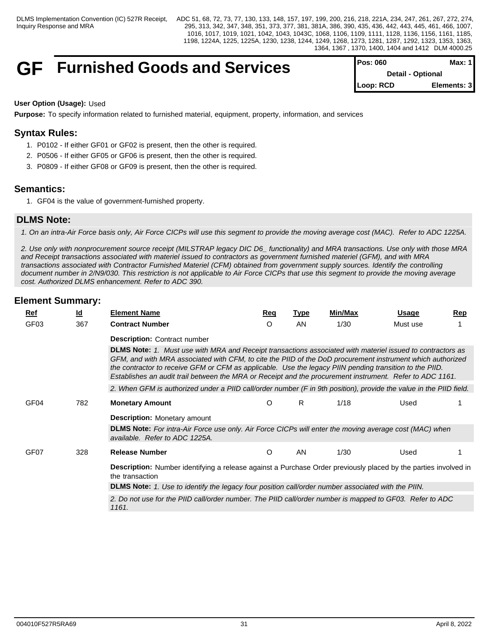## **GF** Furnished Goods and Services

| <b>IPos: 060</b> | Max: 1 I          |
|------------------|-------------------|
|                  | Detail - Optional |
| Loop: RCD        | Elements: 3       |

## **User Option (Usage):** Used

**Purpose:** To specify information related to furnished material, equipment, property, information, and services

## **Syntax Rules:**

- 1. P0102 If either GF01 or GF02 is present, then the other is required.
- 2. P0506 If either GF05 or GF06 is present, then the other is required.
- 3. P0809 If either GF08 or GF09 is present, then the other is required.

## **Semantics:**

1. GF04 is the value of government-furnished property.

## **DLMS Note:**

*1. On an intra-Air Force basis only, Air Force CICPs will use this segment to provide the moving average cost (MAC). Refer to ADC 1225A.*

*2. Use only with nonprocurement source receipt (MILSTRAP legacy DIC D6\_ functionality) and MRA transactions. Use only with those MRA and Receipt transactions associated with materiel issued to contractors as government furnished materiel (GFM), and with MRA transactions associated with Contractor Furnished Materiel (CFM) obtained from government supply sources. Identify the controlling document number in 2/N9/030. This restriction is not applicable to Air Force CICPs that use this segment to provide the moving average cost. Authorized DLMS enhancement. Refer to ADC 390.*

|                  |                                                                                                                                                                                                                                                                                                                                                                                                                                                 | <b>Element Name</b>                                                                                                                      |            |             | Min/Max |              |            |  |  |  |  |
|------------------|-------------------------------------------------------------------------------------------------------------------------------------------------------------------------------------------------------------------------------------------------------------------------------------------------------------------------------------------------------------------------------------------------------------------------------------------------|------------------------------------------------------------------------------------------------------------------------------------------|------------|-------------|---------|--------------|------------|--|--|--|--|
| <u>Ref</u>       | $\underline{\mathsf{Id}}$                                                                                                                                                                                                                                                                                                                                                                                                                       |                                                                                                                                          | <u>Req</u> | <b>Type</b> |         | <u>Usage</u> | <u>Rep</u> |  |  |  |  |
| GF <sub>03</sub> | 367                                                                                                                                                                                                                                                                                                                                                                                                                                             | <b>Contract Number</b>                                                                                                                   | O          | AN          | 1/30    | Must use     |            |  |  |  |  |
|                  |                                                                                                                                                                                                                                                                                                                                                                                                                                                 | <b>Description: Contract number</b>                                                                                                      |            |             |         |              |            |  |  |  |  |
|                  | DLMS Note: 1. Must use with MRA and Receipt transactions associated with materiel issued to contractors as<br>GFM, and with MRA associated with CFM, to cite the PIID of the DoD procurement instrument which authorized<br>the contractor to receive GFM or CFM as applicable. Use the legacy PIIN pending transition to the PIID.<br>Establishes an audit trail between the MRA or Receipt and the procurement instrument. Refer to ADC 1161. |                                                                                                                                          |            |             |         |              |            |  |  |  |  |
|                  |                                                                                                                                                                                                                                                                                                                                                                                                                                                 | 2. When GFM is authorized under a PIID call/order number (F in 9th position), provide the value in the PIID field.                       |            |             |         |              |            |  |  |  |  |
| GF <sub>04</sub> | 782                                                                                                                                                                                                                                                                                                                                                                                                                                             | <b>Monetary Amount</b>                                                                                                                   | O          | R           | 1/18    | Used         |            |  |  |  |  |
|                  |                                                                                                                                                                                                                                                                                                                                                                                                                                                 | <b>Description:</b> Monetary amount                                                                                                      |            |             |         |              |            |  |  |  |  |
|                  |                                                                                                                                                                                                                                                                                                                                                                                                                                                 | DLMS Note: For intra-Air Force use only. Air Force CICPs will enter the moving average cost (MAC) when<br>available. Refer to ADC 1225A. |            |             |         |              |            |  |  |  |  |
| GF <sub>07</sub> | 328                                                                                                                                                                                                                                                                                                                                                                                                                                             | <b>Release Number</b>                                                                                                                    | O          | AN          | 1/30    | Used         |            |  |  |  |  |
|                  |                                                                                                                                                                                                                                                                                                                                                                                                                                                 | Description: Number identifying a release against a Purchase Order previously placed by the parties involved in<br>the transaction       |            |             |         |              |            |  |  |  |  |
|                  |                                                                                                                                                                                                                                                                                                                                                                                                                                                 | DLMS Note: 1. Use to identify the legacy four position call/order number associated with the PIIN.                                       |            |             |         |              |            |  |  |  |  |
|                  |                                                                                                                                                                                                                                                                                                                                                                                                                                                 | 2. Do not use for the PIID call/order number. The PIID call/order number is mapped to GF03. Refer to ADC<br>1161.                        |            |             |         |              |            |  |  |  |  |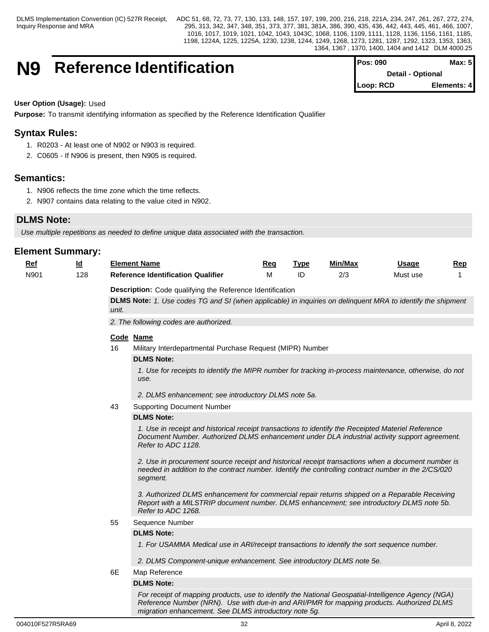## **N9** Reference Identification

| <b>IPos: 090</b>         | Max: 51     |  |
|--------------------------|-------------|--|
| <b>Detail - Optional</b> |             |  |
| Loop: RCD                | Elements: 4 |  |

## **User Option (Usage):** Used

**Purpose:** To transmit identifying information as specified by the Reference Identification Qualifier

## **Syntax Rules:**

- 1. R0203 At least one of N902 or N903 is required.
- 2. C0605 If N906 is present, then N905 is required.

## **Semantics:**

- 1. N906 reflects the time zone which the time reflects.
- 2. N907 contains data relating to the value cited in N902.

## **DLMS Note:**

*Use multiple repetitions as needed to define unique data associated with the transaction.* 

## **Element Summary:**

| <b>Ref</b> | $\underline{\mathsf{Id}}$ |                                                           | <b>Element Name</b>                                                                                                                                                                                                       | <b>Reg</b> | <b>Type</b> | Min/Max | <b>Usage</b> | Rep |  |  |  |
|------------|---------------------------|-----------------------------------------------------------|---------------------------------------------------------------------------------------------------------------------------------------------------------------------------------------------------------------------------|------------|-------------|---------|--------------|-----|--|--|--|
| N901       | 128                       |                                                           | <b>Reference Identification Qualifier</b>                                                                                                                                                                                 | M          | ID          | 2/3     | Must use     |     |  |  |  |
|            |                           | Description: Code qualifying the Reference Identification |                                                                                                                                                                                                                           |            |             |         |              |     |  |  |  |
|            |                           |                                                           | DLMS Note: 1. Use codes TG and SI (when applicable) in inquiries on delinquent MRA to identify the shipment                                                                                                               |            |             |         |              |     |  |  |  |
|            |                           | unit.                                                     |                                                                                                                                                                                                                           |            |             |         |              |     |  |  |  |
|            |                           |                                                           | 2. The following codes are authorized.                                                                                                                                                                                    |            |             |         |              |     |  |  |  |
|            |                           |                                                           | Code Name                                                                                                                                                                                                                 |            |             |         |              |     |  |  |  |
|            |                           | 16                                                        | Military Interdepartmental Purchase Request (MIPR) Number                                                                                                                                                                 |            |             |         |              |     |  |  |  |
|            |                           |                                                           | <b>DLMS Note:</b>                                                                                                                                                                                                         |            |             |         |              |     |  |  |  |
|            |                           |                                                           | 1. Use for receipts to identify the MIPR number for tracking in-process maintenance, otherwise, do not<br>use.                                                                                                            |            |             |         |              |     |  |  |  |
|            |                           |                                                           | 2. DLMS enhancement; see introductory DLMS note 5a.                                                                                                                                                                       |            |             |         |              |     |  |  |  |
|            |                           | 43                                                        | <b>Supporting Document Number</b>                                                                                                                                                                                         |            |             |         |              |     |  |  |  |
|            |                           |                                                           | <b>DLMS Note:</b>                                                                                                                                                                                                         |            |             |         |              |     |  |  |  |
|            |                           |                                                           | 1. Use in receipt and historical receipt transactions to identify the Receipted Materiel Reference<br>Document Number. Authorized DLMS enhancement under DLA industrial activity support agreement.<br>Refer to ADC 1128. |            |             |         |              |     |  |  |  |
|            |                           |                                                           | 2. Use in procurement source receipt and historical receipt transactions when a document number is<br>needed in addition to the contract number. Identify the controlling contract number in the 2/CS/020<br>segment.     |            |             |         |              |     |  |  |  |
|            |                           |                                                           | 3. Authorized DLMS enhancement for commercial repair returns shipped on a Reparable Receiving<br>Report with a MILSTRIP document number. DLMS enhancement; see introductory DLMS note 5b.<br>Refer to ADC 1268.           |            |             |         |              |     |  |  |  |
|            |                           | 55                                                        | Sequence Number                                                                                                                                                                                                           |            |             |         |              |     |  |  |  |
|            |                           |                                                           | <b>DLMS Note:</b>                                                                                                                                                                                                         |            |             |         |              |     |  |  |  |
|            |                           |                                                           | 1. For USAMMA Medical use in ARI/receipt transactions to identify the sort sequence number.                                                                                                                               |            |             |         |              |     |  |  |  |
|            |                           |                                                           | 2. DLMS Component-unique enhancement. See introductory DLMS note 5e.                                                                                                                                                      |            |             |         |              |     |  |  |  |
|            |                           | 6E                                                        | Map Reference                                                                                                                                                                                                             |            |             |         |              |     |  |  |  |
|            |                           |                                                           | <b>DLMS Note:</b>                                                                                                                                                                                                         |            |             |         |              |     |  |  |  |
|            |                           |                                                           | For receipt of mapping products, use to identify the National Geospatial-Intelligence Agency (NGA)<br>Reference Number (NRN). Use with due-in and ARI/PMR for mapping products, Authorized DLMS                           |            |             |         |              |     |  |  |  |

*migration enhancement. See DLMS introductory note 5g.*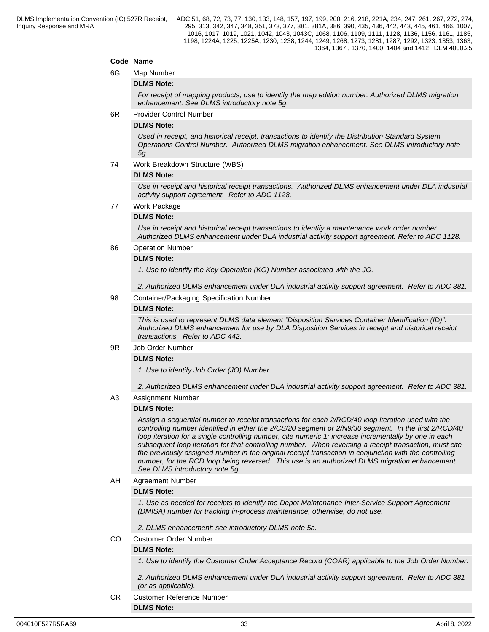## **Code Name**

6G Map Number

## **DLMS Note:**

*For receipt of mapping products, use to identify the map edition number. Authorized DLMS migration enhancement. See DLMS introductory note 5g.*

6R Provider Control Number

## **DLMS Note:**

*Used in receipt, and historical receipt, transactions to identify the Distribution Standard System Operations Control Number. Authorized DLMS migration enhancement. See DLMS introductory note 5g.*

74 Work Breakdown Structure (WBS)

## **DLMS Note:**

*Use in receipt and historical receipt transactions. Authorized DLMS enhancement under DLA industrial activity support agreement. Refer to ADC 1128.*

77 Work Package

## **DLMS Note:**

*Use in receipt and historical receipt transactions to identify a maintenance work order number. Authorized DLMS enhancement under DLA industrial activity support agreement. Refer to ADC 1128.*

## 86 Operation Number

#### **DLMS Note:**

*1. Use to identify the Key Operation (KO) Number associated with the JO.* 

*2. Authorized DLMS enhancement under DLA industrial activity support agreement. Refer to ADC 381.*

98 Container/Packaging Specification Number

#### **DLMS Note:**

*This is used to represent DLMS data element "Disposition Services Container Identification (ID)". Authorized DLMS enhancement for use by DLA Disposition Services in receipt and historical receipt transactions. Refer to ADC 442.*

## 9R Job Order Number

#### **DLMS Note:**

*1. Use to identify Job Order (JO) Number.* 

*2. Authorized DLMS enhancement under DLA industrial activity support agreement. Refer to ADC 381.*

A3 Assignment Number

## **DLMS Note:**

*Assign a sequential number to receipt transactions for each 2/RCD/40 loop iteration used with the controlling number identified in either the 2/CS/20 segment or 2/N9/30 segment. In the first 2/RCD/40 loop iteration for a single controlling number, cite numeric 1; increase incrementally by one in each subsequent loop iteration for that controlling number. When reversing a receipt transaction, must cite the previously assigned number in the original receipt transaction in conjunction with the controlling number, for the RCD loop being reversed. This use is an authorized DLMS migration enhancement. See DLMS introductory note 5g.*

## AH Agreement Number

#### **DLMS Note:**

*1. Use as needed for receipts to identify the Depot Maintenance Inter-Service Support Agreement (DMISA) number for tracking in-process maintenance, otherwise, do not use.*

*2. DLMS enhancement; see introductory DLMS note 5a.*

CO Customer Order Number

## **DLMS Note:**

**DLMS Note:**

*1. Use to identify the Customer Order Acceptance Record (COAR) applicable to the Job Order Number.*

*2. Authorized DLMS enhancement under DLA industrial activity support agreement. Refer to ADC 381 (or as applicable).*

CR Customer Reference Number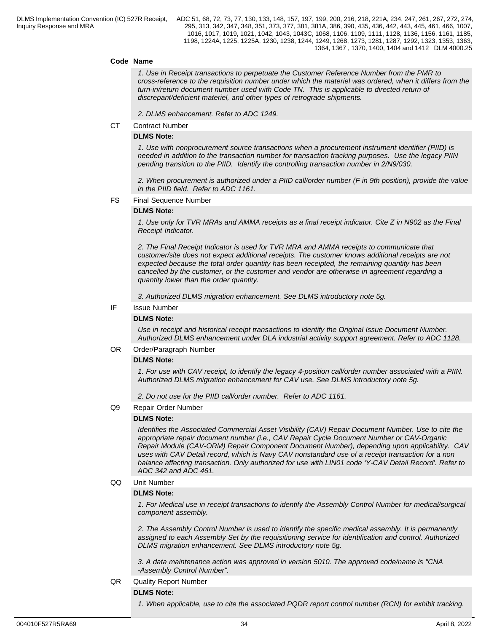## **Code Name**

*1. Use in Receipt transactions to perpetuate the Customer Reference Number from the PMR to cross-reference to the requisition number under which the materiel was ordered, when it differs from the turn-in/return document number used with Code TN. This is applicable to directed return of discrepant/deficient materiel, and other types of retrograde shipments.*

*2. DLMS enhancement. Refer to ADC 1249.*

CT Contract Number

## **DLMS Note:**

*1. Use with nonprocurement source transactions when a procurement instrument identifier (PIID) is needed in addition to the transaction number for transaction tracking purposes. Use the legacy PIIN pending transition to the PIID. Identify the controlling transaction number in 2/N9/030.*

*2. When procurement is authorized under a PIID call/order number (F in 9th position), provide the value in the PIID field. Refer to ADC 1161.*

#### FS Final Sequence Number

#### **DLMS Note:**

*1. Use only for TVR MRAs and AMMA receipts as a final receipt indicator. Cite Z in N902 as the Final Receipt Indicator.*

*2. The Final Receipt Indicator is used for TVR MRA and AMMA receipts to communicate that customer/site does not expect additional receipts. The customer knows additional receipts are not expected because the total order quantity has been receipted, the remaining quantity has been cancelled by the customer, or the customer and vendor are otherwise in agreement regarding a quantity lower than the order quantity.*

*3. Authorized DLMS migration enhancement. See DLMS introductory note 5g.*

## IF Issue Number

## **DLMS Note:**

*Use in receipt and historical receipt transactions to identify the Original Issue Document Number. Authorized DLMS enhancement under DLA industrial activity support agreement. Refer to ADC 1128.*

## OR Order/Paragraph Number

## **DLMS Note:**

*1. For use with CAV receipt, to identify the legacy 4-position call/order number associated with a PIIN. Authorized DLMS migration enhancement for CAV use. See DLMS introductory note 5g.*

*2. Do not use for the PIID call/order number. Refer to ADC 1161.*

#### Q9 Repair Order Number

#### **DLMS Note:**

*Identifies the Associated Commercial Asset Visibility (CAV) Repair Document Number. Use to cite the appropriate repair document number (i.e., CAV Repair Cycle Document Number or CAV-Organic Repair Module (CAV-ORM) Repair Component Document Number), depending upon applicability. CAV uses with CAV Detail record, which is Navy CAV nonstandard use of a receipt transaction for a non balance affecting transaction. Only authorized for use with LIN01 code 'Y-CAV Detail Record'. Refer to ADC 342 and ADC 461.*

QQ Unit Number

## **DLMS Note:**

*1. For Medical use in receipt transactions to identify the Assembly Control Number for medical/surgical component assembly.*

*2. The Assembly Control Number is used to identify the specific medical assembly. It is permanently assigned to each Assembly Set by the requisitioning service for identification and control. Authorized DLMS migration enhancement. See DLMS introductory note 5g.*

*3. A data maintenance action was approved in version 5010. The approved code/name is "CNA -Assembly Control Number".*

## QR Quality Report Number

**DLMS Note:**

*1. When applicable, use to cite the associated PQDR report control number (RCN) for exhibit tracking.*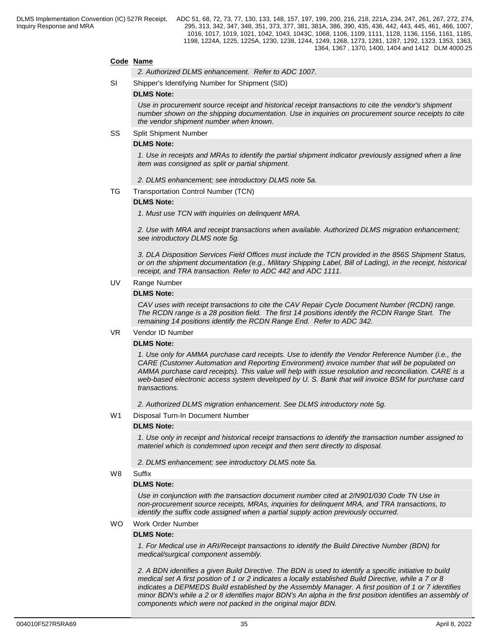## **Code Name**

*2. Authorized DLMS enhancement. Refer to ADC 1007.*

SI Shipper's Identifying Number for Shipment (SID)

#### **DLMS Note:**

*Use in procurement source receipt and historical receipt transactions to cite the vendor's shipment number shown on the shipping documentation. Use in inquiries on procurement source receipts to cite the vendor shipment number when known.*

#### SS Split Shipment Number

#### **DLMS Note:**

*1. Use in receipts and MRAs to identify the partial shipment indicator previously assigned when a line item was consigned as split or partial shipment.*

- *2. DLMS enhancement; see introductory DLMS note 5a.*
- TG Transportation Control Number (TCN)

### **DLMS Note:**

*1. Must use TCN with inquiries on delinquent MRA.*

*2. Use with MRA and receipt transactions when available. Authorized DLMS migration enhancement; see introductory DLMS note 5g.*

*3. DLA Disposition Services Field Offices must include the TCN provided in the 856S Shipment Status, or on the shipment documentation (e.g., Military Shipping Label, Bill of Lading), in the receipt, historical receipt, and TRA transaction. Refer to ADC 442 and ADC 1111.*

#### UV Range Number

## **DLMS Note:**

*CAV uses with receipt transactions to cite the CAV Repair Cycle Document Number (RCDN) range. The RCDN range is a 28 position field. The first 14 positions identify the RCDN Range Start. The remaining 14 positions identify the RCDN Range End. Refer to ADC 342.*

#### VR Vendor ID Number

#### **DLMS Note:**

*1. Use only for AMMA purchase card receipts. Use to identify the Vendor Reference Number (i.e., the CARE (Customer Automation and Reporting Environment) invoice number that will be populated on AMMA purchase card receipts). This value will help with issue resolution and reconciliation. CARE is a web-based electronic access system developed by U. S. Bank that will invoice BSM for purchase card transactions.*

*2. Authorized DLMS migration enhancement. See DLMS introductory note 5g.*

## W1 Disposal Turn-In Document Number

## **DLMS Note:**

*1. Use only in receipt and historical receipt transactions to identify the transaction number assigned to materiel which is condemned upon receipt and then sent directly to disposal.*

*2. DLMS enhancement; see introductory DLMS note 5a.*

#### W8 Suffix **Suffix Suffix Suffix Suffix Suffix Suffix SUFFIX SUFFIX SUFFIX**

#### **DLMS Note:**

*Use in conjunction with the transaction document number cited at 2/N901/030 Code TN Use in non-procurement source receipts, MRAs, inquiries for delinquent MRA, and TRA transactions, to identify the suffix code assigned when a partial supply action previously occurred.*

## WO Work Order Number

#### **DLMS Note:**

*1. For Medical use in ARI/Receipt transactions to identify the Build Directive Number (BDN) for medical/surgical component assembly.*

*2. A BDN identifies a given Build Directive. The BDN is used to identify a specific initiative to build medical set A first position of 1 or 2 indicates a locally established Build Directive, while a 7 or 8 indicates a DEPMEDS Build established by the Assembly Manager. A first position of 1 or 7 identifies minor BDN's while a 2 or 8 identifies major BDN's An alpha in the first position identifies an assembly of components which were not packed in the original major BDN.*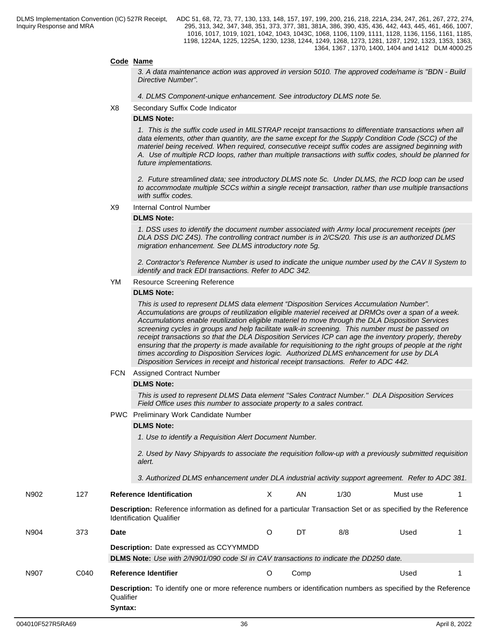## **Code Name**

*3. A data maintenance action was approved in version 5010. The approved code/name is "BDN - Build Directive Number".*

*4. DLMS Component-unique enhancement. See introductory DLMS note 5e.*

X8 Secondary Suffix Code Indicator

#### **DLMS Note:**

*1. This is the suffix code used in MILSTRAP receipt transactions to differentiate transactions when all data elements, other than quantity, are the same except for the Supply Condition Code (SCC) of the materiel being received. When required, consecutive receipt suffix codes are assigned beginning with A. Use of multiple RCD loops, rather than multiple transactions with suffix codes, should be planned for future implementations.* 

*2. Future streamlined data; see introductory DLMS note 5c. Under DLMS, the RCD loop can be used to accommodate multiple SCCs within a single receipt transaction, rather than use multiple transactions with suffix codes.*

X9 Internal Control Number

#### **DLMS Note:**

*1. DSS uses to identify the document number associated with Army local procurement receipts (per DLA DSS DIC Z4S). The controlling contract number is in 2/CS/20. This use is an authorized DLMS migration enhancement. See DLMS introductory note 5g.*

*2. Contractor's Reference Number is used to indicate the unique number used by the CAV II System to identify and track EDI transactions. Refer to ADC 342.*

#### YM Resource Screening Reference

#### **DLMS Note:**

*This is used to represent DLMS data element "Disposition Services Accumulation Number". Accumulations are groups of reutilization eligible materiel received at DRMOs over a span of a week. Accumulations enable reutilization eligible materiel to move through the DLA Disposition Services screening cycles in groups and help facilitate walk-in screening. This number must be passed on receipt transactions so that the DLA Disposition Services ICP can age the inventory properly, thereby ensuring that the property is made available for requisitioning to the right groups of people at the right times according to Disposition Services logic. Authorized DLMS enhancement for use by DLA Disposition Services in receipt and historical receipt transactions. Refer to ADC 442.*

#### FCN Assigned Contract Number

#### **DLMS Note:**

*This is used to represent DLMS Data element ''Sales Contract Number.'' DLA Disposition Services Field Office uses this number to associate property to a sales contract.*

#### PWC Preliminary Work Candidate Number

#### **DLMS Note:**

*1. Use to identify a Requisition Alert Document Number.* 

*2. Used by Navy Shipyards to associate the requisition follow-up with a previously submitted requisition alert.* 

*3. Authorized DLMS enhancement under DLA industrial activity support agreement. Refer to ADC 381.*

N904 373 **Date** O DT 8/8 Used 1

N902 127 **Reference Identification** X AN 1/30 Must use 1 **Description:** Reference information as defined for a particular Transaction Set or as specified by the Reference

Identification Qualifier

|  | <b>Description:</b> Date expressed as CCYYMMDD |  |  |  |
|--|------------------------------------------------|--|--|--|
|  |                                                |  |  |  |

**DLMS Note:** *Use with 2/N901/090 code SI in CAV transactions to indicate the DD250 date.* 

N907 C040 **Reference Identifier** O Comp Used 1

**Description:** To identify one or more reference numbers or identification numbers as specified by the Reference Qualifier **Syntax:**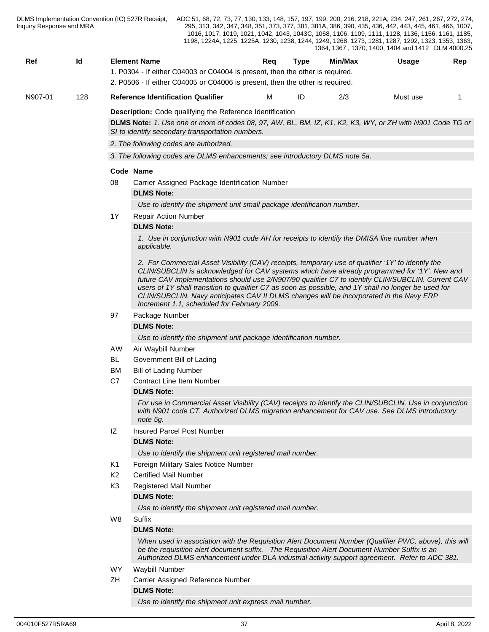| DLMS Implementation Convention (IC) 527R Receipt,<br>Inquiry Response and MRA |                           |                |                                                                               |                                                                        |     |      |         | ADC 51, 68, 72, 73, 77, 130, 133, 148, 157, 197, 199, 200, 216, 218, 221A, 234, 247, 261, 267, 272, 274,<br>295, 313, 342, 347, 348, 351, 373, 377, 381, 381A, 386, 390, 435, 436, 442, 443, 445, 461, 466, 1007,<br>1016, 1017, 1019, 1021, 1042, 1043, 1043C, 1068, 1106, 1109, 1111, 1128, 1136, 1156, 1161, 1185,<br>1198, 1224A, 1225, 1225A, 1230, 1238, 1244, 1249, 1268, 1273, 1281, 1287, 1292, 1323, 1353, 1363,<br>1364, 1367, 1370, 1400, 1404 and 1412 DLM 4000.25                             |                |
|-------------------------------------------------------------------------------|---------------------------|----------------|-------------------------------------------------------------------------------|------------------------------------------------------------------------|-----|------|---------|-------------------------------------------------------------------------------------------------------------------------------------------------------------------------------------------------------------------------------------------------------------------------------------------------------------------------------------------------------------------------------------------------------------------------------------------------------------------------------------------------------------|----------------|
| <u>Ref</u>                                                                    | $\underline{\mathsf{Id}}$ |                | <b>Element Name</b>                                                           |                                                                        | Req | Type | Min/Max | Usage                                                                                                                                                                                                                                                                                                                                                                                                                                                                                                       | $\mathbf{Rep}$ |
|                                                                               |                           |                | 1. P0304 - If either C04003 or C04004 is present, then the other is required. |                                                                        |     |      |         |                                                                                                                                                                                                                                                                                                                                                                                                                                                                                                             |                |
|                                                                               |                           |                | 2. P0506 - If either C04005 or C04006 is present, then the other is required. |                                                                        |     |      |         |                                                                                                                                                                                                                                                                                                                                                                                                                                                                                                             |                |
| N907-01                                                                       | 128                       |                | <b>Reference Identification Qualifier</b>                                     |                                                                        | м   | ID   | 2/3     | Must use                                                                                                                                                                                                                                                                                                                                                                                                                                                                                                    | 1              |
|                                                                               |                           |                | Description: Code qualifying the Reference Identification                     |                                                                        |     |      |         |                                                                                                                                                                                                                                                                                                                                                                                                                                                                                                             |                |
|                                                                               |                           |                | SI to identify secondary transportation numbers.                              |                                                                        |     |      |         | DLMS Note: 1. Use one or more of codes 08, 97, AW, BL, BM, IZ, K1, K2, K3, WY, or ZH with N901 Code TG or                                                                                                                                                                                                                                                                                                                                                                                                   |                |
|                                                                               |                           |                | 2. The following codes are authorized.                                        |                                                                        |     |      |         |                                                                                                                                                                                                                                                                                                                                                                                                                                                                                                             |                |
|                                                                               |                           |                | 3. The following codes are DLMS enhancements; see introductory DLMS note 5a.  |                                                                        |     |      |         |                                                                                                                                                                                                                                                                                                                                                                                                                                                                                                             |                |
|                                                                               |                           |                | Code Name                                                                     |                                                                        |     |      |         |                                                                                                                                                                                                                                                                                                                                                                                                                                                                                                             |                |
|                                                                               |                           | 08             | Carrier Assigned Package Identification Number                                |                                                                        |     |      |         |                                                                                                                                                                                                                                                                                                                                                                                                                                                                                                             |                |
|                                                                               |                           |                | <b>DLMS Note:</b>                                                             |                                                                        |     |      |         |                                                                                                                                                                                                                                                                                                                                                                                                                                                                                                             |                |
|                                                                               |                           |                |                                                                               | Use to identify the shipment unit small package identification number. |     |      |         |                                                                                                                                                                                                                                                                                                                                                                                                                                                                                                             |                |
|                                                                               |                           | 1Y             | <b>Repair Action Number</b>                                                   |                                                                        |     |      |         |                                                                                                                                                                                                                                                                                                                                                                                                                                                                                                             |                |
|                                                                               |                           |                | <b>DLMS Note:</b>                                                             |                                                                        |     |      |         |                                                                                                                                                                                                                                                                                                                                                                                                                                                                                                             |                |
|                                                                               |                           |                | applicable.                                                                   |                                                                        |     |      |         | 1. Use in conjunction with N901 code AH for receipts to identify the DMISA line number when                                                                                                                                                                                                                                                                                                                                                                                                                 |                |
|                                                                               |                           |                |                                                                               | Increment 1.1, scheduled for February 2009.                            |     |      |         | 2. For Commercial Asset Visibility (CAV) receipts, temporary use of qualifier '1Y' to identify the<br>CLIN/SUBCLIN is acknowledged for CAV systems which have already programmed for '1Y'. New and<br>future CAV implementations should use 2/N907/90 qualifier C7 to identify CLIN/SUBCLIN. Current CAV<br>users of 1Y shall transition to qualifier C7 as soon as possible, and 1Y shall no longer be used for<br>CLIN/SUBCLIN. Navy anticipates CAV II DLMS changes will be incorporated in the Navy ERP |                |
|                                                                               |                           | 97             | Package Number                                                                |                                                                        |     |      |         |                                                                                                                                                                                                                                                                                                                                                                                                                                                                                                             |                |
|                                                                               |                           |                | <b>DLMS Note:</b>                                                             |                                                                        |     |      |         |                                                                                                                                                                                                                                                                                                                                                                                                                                                                                                             |                |
|                                                                               |                           |                |                                                                               | Use to identify the shipment unit package identification number.       |     |      |         |                                                                                                                                                                                                                                                                                                                                                                                                                                                                                                             |                |
|                                                                               |                           | AW             | Air Waybill Number                                                            |                                                                        |     |      |         |                                                                                                                                                                                                                                                                                                                                                                                                                                                                                                             |                |
|                                                                               |                           | BL             | Government Bill of Lading                                                     |                                                                        |     |      |         |                                                                                                                                                                                                                                                                                                                                                                                                                                                                                                             |                |
|                                                                               |                           | BM             | <b>Bill of Lading Number</b>                                                  |                                                                        |     |      |         |                                                                                                                                                                                                                                                                                                                                                                                                                                                                                                             |                |
|                                                                               |                           | C7             | <b>Contract Line Item Number</b>                                              |                                                                        |     |      |         |                                                                                                                                                                                                                                                                                                                                                                                                                                                                                                             |                |
|                                                                               |                           |                | <b>DLMS Note:</b>                                                             |                                                                        |     |      |         |                                                                                                                                                                                                                                                                                                                                                                                                                                                                                                             |                |
|                                                                               |                           |                | note 5g.                                                                      |                                                                        |     |      |         | For use in Commercial Asset Visibility (CAV) receipts to identify the CLIN/SUBCLIN. Use in conjunction<br>with N901 code CT. Authorized DLMS migration enhancement for CAV use. See DLMS introductory                                                                                                                                                                                                                                                                                                       |                |
|                                                                               |                           | IZ             | Insured Parcel Post Number                                                    |                                                                        |     |      |         |                                                                                                                                                                                                                                                                                                                                                                                                                                                                                                             |                |
|                                                                               |                           |                | <b>DLMS Note:</b>                                                             |                                                                        |     |      |         |                                                                                                                                                                                                                                                                                                                                                                                                                                                                                                             |                |
|                                                                               |                           |                |                                                                               | Use to identify the shipment unit registered mail number.              |     |      |         |                                                                                                                                                                                                                                                                                                                                                                                                                                                                                                             |                |
|                                                                               |                           | K1             | Foreign Military Sales Notice Number                                          |                                                                        |     |      |         |                                                                                                                                                                                                                                                                                                                                                                                                                                                                                                             |                |
|                                                                               |                           | K <sub>2</sub> | <b>Certified Mail Number</b>                                                  |                                                                        |     |      |         |                                                                                                                                                                                                                                                                                                                                                                                                                                                                                                             |                |
|                                                                               |                           | K3             | <b>Registered Mail Number</b>                                                 |                                                                        |     |      |         |                                                                                                                                                                                                                                                                                                                                                                                                                                                                                                             |                |
|                                                                               |                           |                | <b>DLMS Note:</b>                                                             |                                                                        |     |      |         |                                                                                                                                                                                                                                                                                                                                                                                                                                                                                                             |                |
|                                                                               |                           |                |                                                                               | Use to identify the shipment unit registered mail number.              |     |      |         |                                                                                                                                                                                                                                                                                                                                                                                                                                                                                                             |                |
|                                                                               |                           | W8             | Suffix                                                                        |                                                                        |     |      |         |                                                                                                                                                                                                                                                                                                                                                                                                                                                                                                             |                |
|                                                                               |                           |                | <b>DLMS Note:</b>                                                             |                                                                        |     |      |         |                                                                                                                                                                                                                                                                                                                                                                                                                                                                                                             |                |
|                                                                               |                           |                |                                                                               |                                                                        |     |      |         | When used in association with the Requisition Alert Document Number (Qualifier PWC, above), this will<br>be the requisition alert document suffix. The Requisition Alert Document Number Suffix is an<br>Authorized DLMS enhancement under DLA industrial activity support agreement. Refer to ADC 381.                                                                                                                                                                                                     |                |
|                                                                               |                           | WY.            | Waybill Number                                                                |                                                                        |     |      |         |                                                                                                                                                                                                                                                                                                                                                                                                                                                                                                             |                |
|                                                                               |                           | ZH             | Carrier Assigned Reference Number                                             |                                                                        |     |      |         |                                                                                                                                                                                                                                                                                                                                                                                                                                                                                                             |                |
|                                                                               |                           |                | <b>DLMS Note:</b>                                                             |                                                                        |     |      |         |                                                                                                                                                                                                                                                                                                                                                                                                                                                                                                             |                |
|                                                                               |                           |                |                                                                               | Use to identify the shipment unit express mail number.                 |     |      |         |                                                                                                                                                                                                                                                                                                                                                                                                                                                                                                             |                |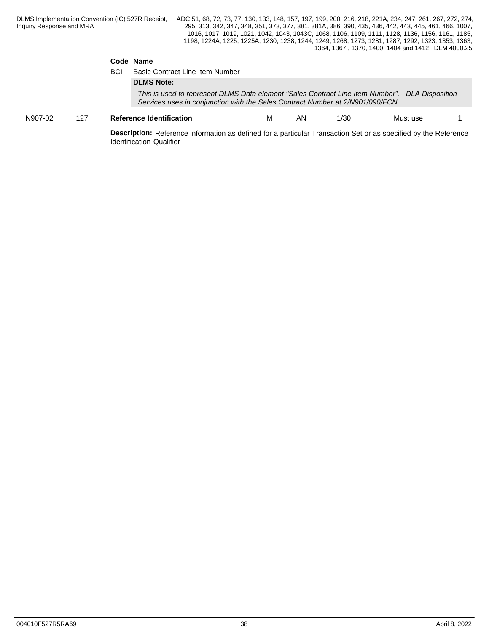## **Code Name**

|         |     | <b>BCI</b> | <b>Basic Contract Line Item Number</b>                                                                                                                                           |    |      |          |  |
|---------|-----|------------|----------------------------------------------------------------------------------------------------------------------------------------------------------------------------------|----|------|----------|--|
|         |     |            | <b>DLMS Note:</b>                                                                                                                                                                |    |      |          |  |
|         |     |            | This is used to represent DLMS Data element "Sales Contract Line Item Number". DLA Disposition<br>Services uses in conjunction with the Sales Contract Number at 2/N901/090/FCN. |    |      |          |  |
| N907-02 | 127 |            | <b>Reference Identification</b>                                                                                                                                                  | ΑN | 1/30 | Must use |  |
|         |     |            |                                                                                                                                                                                  |    |      |          |  |

**Description:** Reference information as defined for a particular Transaction Set or as specified by the Reference Identification Qualifier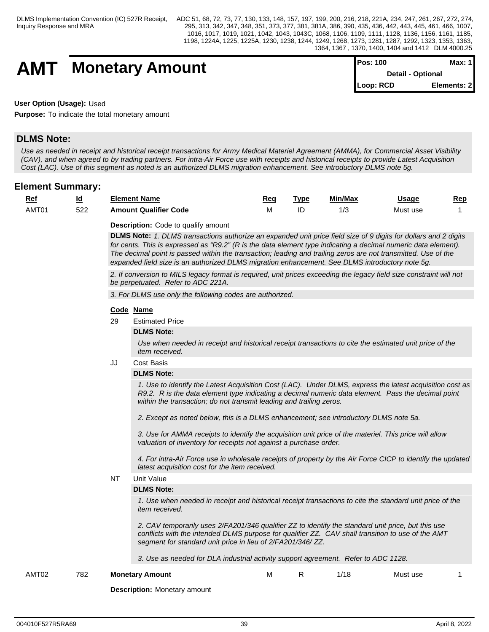## **AMT** Monetary Amount

| $Pos: 100$               | Max: 1       |
|--------------------------|--------------|
| <b>Detail - Optional</b> |              |
| Loop: RCD                | Elements: 21 |

**User Option (Usage):** Used

**Purpose:** To indicate the total monetary amount

## **DLMS Note:**

*Use as needed in receipt and historical receipt transactions for Army Medical Materiel Agreement (AMMA), for Commercial Asset Visibility (CAV), and when agreed to by trading partners. For intra-Air Force use with receipts and historical receipts to provide Latest Acquisition Cost (LAC). Use of this segment as noted is an authorized DLMS migration enhancement. See introductory DLMS note 5g.*

## **Element Summary:**

| <u>Re.</u>        | - 14<br>المستحدة | <b>Element Name</b>          | Req | Tvp. | Min/Max | <u>Usage</u> | Rep |
|-------------------|------------------|------------------------------|-----|------|---------|--------------|-----|
| AMT0 <sup>-</sup> | E O O<br>522     | <b>Amount Qualifier Code</b> | .   | IC   | ں ،     | Must use     |     |

**Description:** Code to qualify amount

**DLMS Note:** *1. DLMS transactions authorize an expanded unit price field size of 9 digits for dollars and 2 digits for cents. This is expressed as "R9.2" (R is the data element type indicating a decimal numeric data element). The decimal point is passed within the transaction; leading and trailing zeros are not transmitted. Use of the expanded field size is an authorized DLMS migration enhancement. See DLMS introductory note 5g.*

*2. If conversion to MILS legacy format is required, unit prices exceeding the legacy field size constraint will not be perpetuated. Refer to ADC 221A.*

*3. For DLMS use only the following codes are authorized.*

## **Code Name**

29 Estimated Price

## **DLMS Note:**

*Use when needed in receipt and historical receipt transactions to cite the estimated unit price of the item received.*

JJ Cost Basis

## **DLMS Note:**

*1. Use to identify the Latest Acquisition Cost (LAC). Under DLMS, express the latest acquisition cost as R9.2. R is the data element type indicating a decimal numeric data element. Pass the decimal point within the transaction; do not transmit leading and trailing zeros.*

*2. Except as noted below, this is a DLMS enhancement; see introductory DLMS note 5a.*

*3. Use for AMMA receipts to identify the acquisition unit price of the materiel. This price will allow valuation of inventory for receipts not against a purchase order.*

*4. For intra-Air Force use in wholesale receipts of property by the Air Force CICP to identify the updated latest acquisition cost for the item received.* 

NT Unit Value

## **DLMS Note:**

*1. Use when needed in receipt and historical receipt transactions to cite the standard unit price of the item received.*

*2. CAV temporarily uses 2/FA201/346 qualifier ZZ to identify the standard unit price, but this use conflicts with the intended DLMS purpose for qualifier ZZ. CAV shall transition to use of the AMT segment for standard unit price in lieu of 2/FA201/346/ ZZ.*

*3. Use as needed for DLA industrial activity support agreement. Refer to ADC 1128.*

AMT02 782 **Monetary Amount** M R 1/18 Must use 1

**Description:** Monetary amount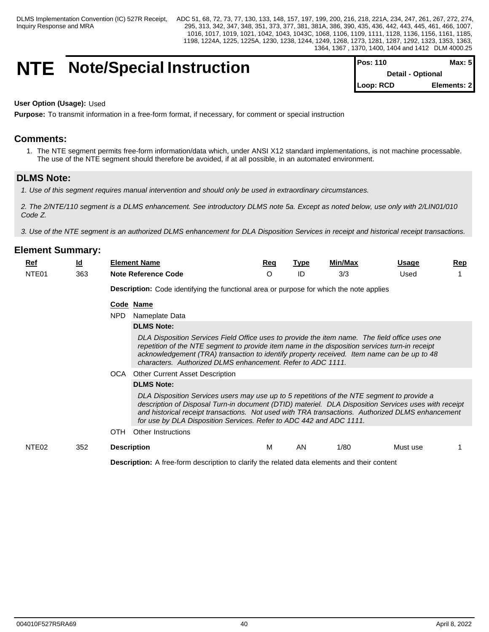## **NTE** Note/Special Instruction

| <b>IPos: 110</b> | Max: 5I                  |
|------------------|--------------------------|
|                  | <b>Detail - Optional</b> |
| Loop: RCD        | Elements: 2              |

## **User Option (Usage):** Used

**Purpose:** To transmit information in a free-form format, if necessary, for comment or special instruction

## **Comments:**

1. The NTE segment permits free-form information/data which, under ANSI X12 standard implementations, is not machine processable. The use of the NTE segment should therefore be avoided, if at all possible, in an automated environment.

## **DLMS Note:**

*1. Use of this segment requires manual intervention and should only be used in extraordinary circumstances.*

*2. The 2/NTE/110 segment is a DLMS enhancement. See introductory DLMS note 5a. Except as noted below, use only with 2/LIN01/010 Code Z.*

*3. Use of the NTE segment is an authorized DLMS enhancement for DLA Disposition Services in receipt and historical receipt transactions.*

## **Element Summary:**

| <u>Rei</u>        | Id<br>-- | Element Name             | Red | Type | Min/Max | Usage | Rep |
|-------------------|----------|--------------------------|-----|------|---------|-------|-----|
| NTE <sub>01</sub> | 363      | Note<br>. Reference Code |     | ID   | ں اں    | Used  |     |

**Description:** Code identifying the functional area or purpose for which the note applies

#### **Code Name**

NPD Nameplate Data

#### **DLMS Note:**

*DLA Disposition Services Field Office uses to provide the item name. The field office uses one repetition of the NTE segment to provide item name in the disposition services turn-in receipt acknowledgement (TRA) transaction to identify property received. Item name can be up to 48 characters. Authorized DLMS enhancement. Refer to ADC 1111.*

OCA Other Current Asset Description

#### **DLMS Note:**

*DLA Disposition Services users may use up to 5 repetitions of the NTE segment to provide a description of Disposal Turn-in document (DTID) materiel. DLA Disposition Services uses with receipt and historical receipt transactions. Not used with TRA transactions. Authorized DLMS enhancement for use by DLA Disposition Services. Refer to ADC 442 and ADC 1111.*

OTH Other Instructions

## NTE02 352 **Description** M AN 1/80 Must use 1

**Description:** A free-form description to clarify the related data elements and their content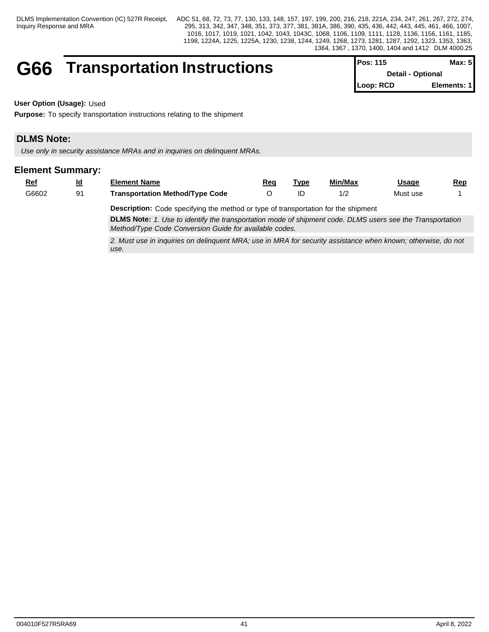# **G66 Transportation Instructions** Pos: 115

| IPos: 115                | Max: 51     |
|--------------------------|-------------|
| <b>Detail - Optional</b> |             |
| Loop: RCD                | Elements: 1 |

**User Option (Usage):** Used

**Purpose:** To specify transportation instructions relating to the shipment

## **DLMS Note:**

*Use only in security assistance MRAs and in inquiries on delinquent MRAs.* 

## **Element Summary:**

| <u>Ref</u> | Id<br>- | <b>Element Name</b>                    | Req | Tvɒ€ | Min/Max | Usage    | Rep<br>$\sim$ |
|------------|---------|----------------------------------------|-----|------|---------|----------|---------------|
| G6602      | ົ 1     | <b>Transportation Method/Type Code</b> |     | ᄔ    | 17 L    | Must use |               |

**Description:** Code specifying the method or type of transportation for the shipment **DLMS Note:** *1. Use to identify the transportation mode of shipment code. DLMS users see the Transportation Method/Type Code Conversion Guide for available codes.*

*2. Must use in inquiries on delinquent MRA; use in MRA for security assistance when known; otherwise, do not use.*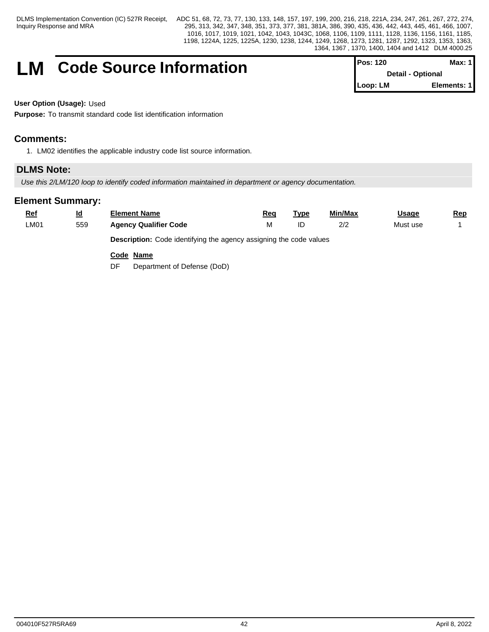## **LM** Code Source Information

| <b>IPos: 120</b> | Max: 1 I                 |
|------------------|--------------------------|
|                  | <b>Detail - Optional</b> |
| Loop: LM         | Elements: 1              |

**User Option (Usage):** Used

**Purpose:** To transmit standard code list identification information

## **Comments:**

1. LM02 identifies the applicable industry code list source information.

## **DLMS Note:**

*Use this 2/LM/120 loop to identify coded information maintained in department or agency documentation.* 

| $Ref$ | $\underline{\mathsf{Id}}$ | <b>Element Name</b>                                                       | Req | <u>Type</u> | Min/Max | <u>Usage</u> | <u>Rep</u> |
|-------|---------------------------|---------------------------------------------------------------------------|-----|-------------|---------|--------------|------------|
| LM01  | 559                       | <b>Agency Qualifier Code</b>                                              | М   | ID          | 2/2     | Must use     |            |
|       |                           | <b>Description:</b> Code identifying the agency assigning the code values |     |             |         |              |            |
|       |                           | Code Name                                                                 |     |             |         |              |            |
|       |                           | Department of Defense (DoD)<br>DF                                         |     |             |         |              |            |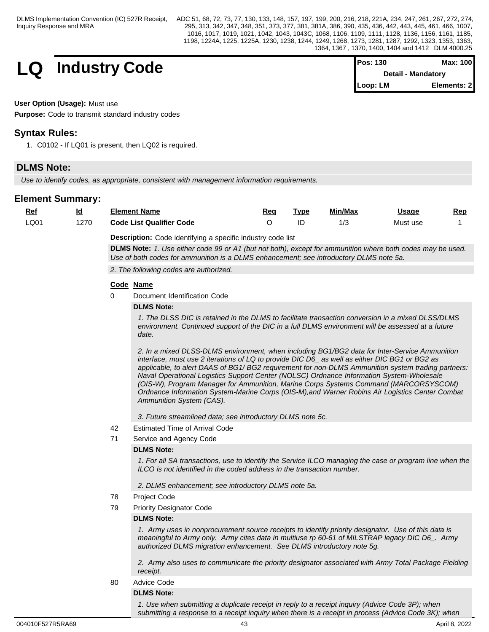DLMS Implementation Convention (IC) 527R Receipt, Inquiry Response and MRA

ADC 51, 68, 72, 73, 77, 130, 133, 148, 157, 197, 199, 200, 216, 218, 221A, 234, 247, 261, 267, 272, 274, 295, 313, 342, 347, 348, 351, 373, 377, 381, 381A, 386, 390, 435, 436, 442, 443, 445, 461, 466, 1007, 1016, 1017, 1019, 1021, 1042, 1043, 1043C, 1068, 1106, 1109, 1111, 1128, 1136, 1156, 1161, 1185, 1198, 1224A, 1225, 1225A, 1230, 1238, 1244, 1249, 1268, 1273, 1281, 1287, 1292, 1323, 1353, 1363, 1364, 1367 , 1370, 1400, 1404 and 1412 DLM 4000.25

**LQ** Industry Code

| <b>Pos: 130</b> | Max: 100                  |
|-----------------|---------------------------|
|                 | <b>Detail - Mandatory</b> |
| Loop: LM        | Elements: 21              |

## **User Option (Usage):** Must use

**Purpose:** Code to transmit standard industry codes

## **Syntax Rules:**

1. C0102 - If LQ01 is present, then LQ02 is required.

## **DLMS Note:**

*Use to identify codes, as appropriate, consistent with management information requirements.* 

| $Ref$ | <u>ld</u> | <b>Element Name</b>             |                                                                                                                                                                                                                                                                                                                                                                                                                                                                                                                                                                                                                         | Req      | <u>Type</u> | Min/Max | <b>Usage</b> | Rep |
|-------|-----------|---------------------------------|-------------------------------------------------------------------------------------------------------------------------------------------------------------------------------------------------------------------------------------------------------------------------------------------------------------------------------------------------------------------------------------------------------------------------------------------------------------------------------------------------------------------------------------------------------------------------------------------------------------------------|----------|-------------|---------|--------------|-----|
| LQ01  | 1270      | <b>Code List Qualifier Code</b> |                                                                                                                                                                                                                                                                                                                                                                                                                                                                                                                                                                                                                         | $\Omega$ | ID          | 1/3     | Must use     |     |
|       |           |                                 | Description: Code identifying a specific industry code list                                                                                                                                                                                                                                                                                                                                                                                                                                                                                                                                                             |          |             |         |              |     |
|       |           |                                 | DLMS Note: 1. Use either code 99 or A1 (but not both), except for ammunition where both codes may be used.<br>Use of both codes for ammunition is a DLMS enhancement; see introductory DLMS note 5a.                                                                                                                                                                                                                                                                                                                                                                                                                    |          |             |         |              |     |
|       |           |                                 | 2. The following codes are authorized.                                                                                                                                                                                                                                                                                                                                                                                                                                                                                                                                                                                  |          |             |         |              |     |
|       |           |                                 |                                                                                                                                                                                                                                                                                                                                                                                                                                                                                                                                                                                                                         |          |             |         |              |     |
|       |           | Code Name                       |                                                                                                                                                                                                                                                                                                                                                                                                                                                                                                                                                                                                                         |          |             |         |              |     |
|       |           | 0                               | Document Identification Code                                                                                                                                                                                                                                                                                                                                                                                                                                                                                                                                                                                            |          |             |         |              |     |
|       |           | <b>DLMS Note:</b>               |                                                                                                                                                                                                                                                                                                                                                                                                                                                                                                                                                                                                                         |          |             |         |              |     |
|       |           | date.                           | 1. The DLSS DIC is retained in the DLMS to facilitate transaction conversion in a mixed DLSS/DLMS<br>environment. Continued support of the DIC in a full DLMS environment will be assessed at a future                                                                                                                                                                                                                                                                                                                                                                                                                  |          |             |         |              |     |
|       |           |                                 | 2. In a mixed DLSS-DLMS environment, when including BG1/BG2 data for Inter-Service Ammunition<br>interface, must use 2 iterations of LQ to provide DIC D6_ as well as either DIC BG1 or BG2 as<br>applicable, to alert DAAS of BG1/ BG2 requirement for non-DLMS Ammunition system trading partners:<br>Naval Operational Logistics Support Center (NOLSC) Ordnance Information System-Wholesale<br>(OIS-W), Program Manager for Ammunition, Marine Corps Systems Command (MARCORSYSCOM)<br>Ordnance Information System-Marine Corps (OIS-M), and Warner Robins Air Logistics Center Combat<br>Ammunition System (CAS). |          |             |         |              |     |
|       |           |                                 | 3. Future streamlined data; see introductory DLMS note 5c.                                                                                                                                                                                                                                                                                                                                                                                                                                                                                                                                                              |          |             |         |              |     |
|       |           | 42                              | <b>Estimated Time of Arrival Code</b>                                                                                                                                                                                                                                                                                                                                                                                                                                                                                                                                                                                   |          |             |         |              |     |
|       |           | 71                              | Service and Agency Code                                                                                                                                                                                                                                                                                                                                                                                                                                                                                                                                                                                                 |          |             |         |              |     |
|       |           | <b>DLMS Note:</b>               |                                                                                                                                                                                                                                                                                                                                                                                                                                                                                                                                                                                                                         |          |             |         |              |     |
|       |           |                                 | 1. For all SA transactions, use to identify the Service ILCO managing the case or program line when the<br>ILCO is not identified in the coded address in the transaction number.                                                                                                                                                                                                                                                                                                                                                                                                                                       |          |             |         |              |     |
|       |           |                                 | 2. DLMS enhancement; see introductory DLMS note 5a.                                                                                                                                                                                                                                                                                                                                                                                                                                                                                                                                                                     |          |             |         |              |     |
|       |           | Project Code<br>78              |                                                                                                                                                                                                                                                                                                                                                                                                                                                                                                                                                                                                                         |          |             |         |              |     |
|       |           | 79                              | <b>Priority Designator Code</b>                                                                                                                                                                                                                                                                                                                                                                                                                                                                                                                                                                                         |          |             |         |              |     |
|       |           | <b>DLMS Note:</b>               |                                                                                                                                                                                                                                                                                                                                                                                                                                                                                                                                                                                                                         |          |             |         |              |     |
|       |           |                                 | 1. Army uses in nonprocurement source receipts to identify priority designator. Use of this data is<br>meaningful to Army only. Army cites data in multiuse rp 60-61 of MILSTRAP legacy DIC D6_. Army<br>authorized DLMS migration enhancement. See DLMS introductory note 5g.                                                                                                                                                                                                                                                                                                                                          |          |             |         |              |     |
|       |           | receipt.                        | 2. Army also uses to communicate the priority designator associated with Army Total Package Fielding                                                                                                                                                                                                                                                                                                                                                                                                                                                                                                                    |          |             |         |              |     |
|       |           | Advice Code<br>80               |                                                                                                                                                                                                                                                                                                                                                                                                                                                                                                                                                                                                                         |          |             |         |              |     |
|       |           | <b>DLMS Note:</b>               |                                                                                                                                                                                                                                                                                                                                                                                                                                                                                                                                                                                                                         |          |             |         |              |     |
|       |           |                                 | 1. Use when submitting a duplicate receipt in reply to a receipt inquiry (Advice Code 3P); when<br>submitting a response to a receipt inquiry when there is a receipt in process (Advice Code 3K); when                                                                                                                                                                                                                                                                                                                                                                                                                 |          |             |         |              |     |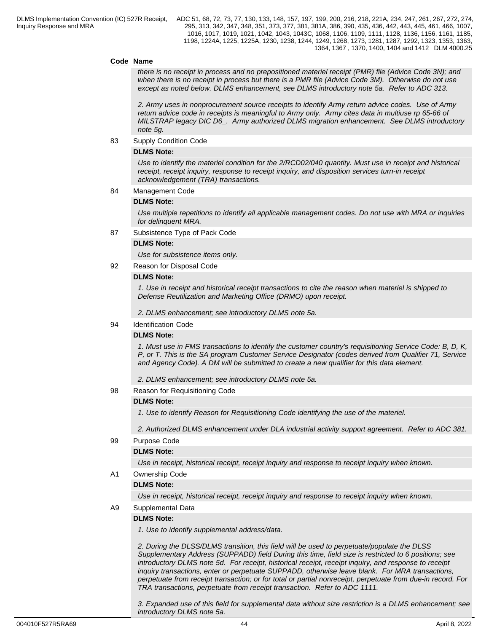## **Code Name**

*there is no receipt in process and no prepositioned materiel receipt (PMR) file (Advice Code 3N); and when there is no receipt in process but there is a PMR file (Advice Code 3M). Otherwise do not use except as noted below. DLMS enhancement, see DLMS introductory note 5a. Refer to ADC 313.*

*2. Army uses in nonprocurement source receipts to identify Army return advice codes. Use of Army return advice code in receipts is meaningful to Army only. Army cites data in multiuse rp 65-66 of MILSTRAP legacy DIC D6\_. Army authorized DLMS migration enhancement. See DLMS introductory note 5g.*

83 Supply Condition Code

## **DLMS Note:**

*Use to identify the materiel condition for the 2/RCD02/040 quantity. Must use in receipt and historical receipt, receipt inquiry, response to receipt inquiry, and disposition services turn-in receipt acknowledgement (TRA) transactions.*

84 Management Code

#### **DLMS Note:**

*Use multiple repetitions to identify all applicable management codes. Do not use with MRA or inquiries for delinquent MRA.*

87 Subsistence Type of Pack Code

#### **DLMS Note:**

*Use for subsistence items only.* 

92 Reason for Disposal Code

#### **DLMS Note:**

*1. Use in receipt and historical receipt transactions to cite the reason when materiel is shipped to Defense Reutilization and Marketing Office (DRMO) upon receipt.*

*2. DLMS enhancement; see introductory DLMS note 5a.*

94 Identification Code

### **DLMS Note:**

*1. Must use in FMS transactions to identify the customer country's requisitioning Service Code: B, D, K, P, or T. This is the SA program Customer Service Designator (codes derived from Qualifier 71, Service and Agency Code). A DM will be submitted to create a new qualifier for this data element.*

*2. DLMS enhancement; see introductory DLMS note 5a.*

98 Reason for Requisitioning Code

## **DLMS Note:**

*1. Use to identify Reason for Requisitioning Code identifying the use of the materiel.* 

*2. Authorized DLMS enhancement under DLA industrial activity support agreement. Refer to ADC 381.*

#### 99 Purpose Code

## **DLMS Note:**

*Use in receipt, historical receipt, receipt inquiry and response to receipt inquiry when known.*

### A1 Ownership Code

## **DLMS Note:**

*Use in receipt, historical receipt, receipt inquiry and response to receipt inquiry when known.* 

A9 Supplemental Data

## **DLMS Note:**

*1. Use to identify supplemental address/data.*

*2. During the DLSS/DLMS transition, this field will be used to perpetuate/populate the DLSS Supplementary Address (SUPPADD) field During this time, field size is restricted to 6 positions; see introductory DLMS note 5d. For receipt, historical receipt, receipt inquiry, and response to receipt inquiry transactions, enter or perpetuate SUPPADD, otherwise leave blank. For MRA transactions, perpetuate from receipt transaction; or for total or partial nonreceipt, perpetuate from due-in record. For TRA transactions, perpetuate from receipt transaction. Refer to ADC 1111.*

*3. Expanded use of this field for supplemental data without size restriction is a DLMS enhancement; see introductory DLMS note 5a.*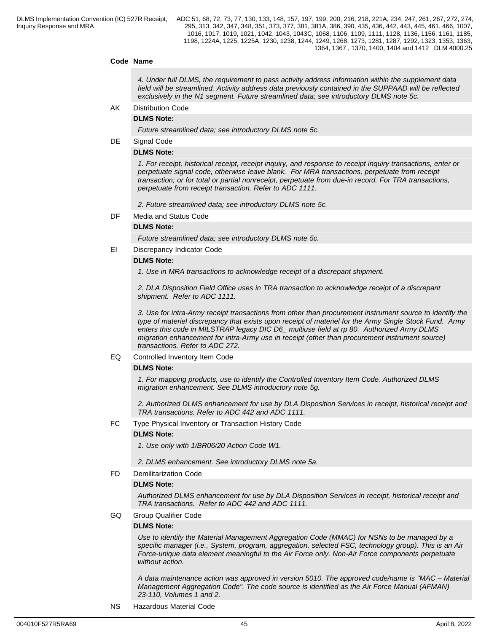## **Code Name**

*4. Under full DLMS, the requirement to pass activity address information within the supplement data field will be streamlined. Activity address data previously contained in the SUPPAAD will be reflected exclusively in the N1 segment. Future streamlined data; see introductory DLMS note 5c.*

AK Distribution Code

**DLMS Note:**

*Future streamlined data; see introductory DLMS note 5c.*

DE Signal Code

## **DLMS Note:**

*1. For receipt, historical receipt, receipt inquiry, and response to receipt inquiry transactions, enter or perpetuate signal code, otherwise leave blank. For MRA transactions, perpetuate from receipt transaction; or for total or partial nonreceipt, perpetuate from due-in record. For TRA transactions, perpetuate from receipt transaction. Refer to ADC 1111.*

*2. Future streamlined data; see introductory DLMS note 5c.*

DF Media and Status Code

#### **DLMS Note:**

*Future streamlined data; see introductory DLMS note 5c.* 

EI Discrepancy Indicator Code

#### **DLMS Note:**

*1. Use in MRA transactions to acknowledge receipt of a discrepant shipment.*

*2. DLA Disposition Field Office uses in TRA transaction to acknowledge receipt of a discrepant shipment. Refer to ADC 1111.*

*3. Use for intra-Army receipt transactions from other than procurement instrument source to identify the type of materiel discrepancy that exists upon receipt of materiel for the Army Single Stock Fund. Army enters this code in MILSTRAP legacy DIC D6\_ multiuse field at rp 80. Authorized Army DLMS migration enhancement for intra-Army use in receipt (other than procurement instrument source) transactions. Refer to ADC 272.*

## EQ Controlled Inventory Item Code

## **DLMS Note:**

*1. For mapping products, use to identify the Controlled Inventory Item Code. Authorized DLMS migration enhancement. See DLMS introductory note 5g.*

*2. Authorized DLMS enhancement for use by DLA Disposition Services in receipt, historical receipt and TRA transactions. Refer to ADC 442 and ADC 1111.*

FC Type Physical Inventory or Transaction History Code

#### **DLMS Note:**

*1. Use only with 1/BR06/20 Action Code W1.*

*2. DLMS enhancement. See introductory DLMS note 5a.*

## FD Demilitarization Code

#### **DLMS Note:**

*Authorized DLMS enhancement for use by DLA Disposition Services in receipt, historical receipt and TRA transactions. Refer to ADC 442 and ADC 1111.*

GQ Group Qualifier Code

#### **DLMS Note:**

*Use to identify the Material Management Aggregation Code (MMAC) for NSNs to be managed by a specific manager (i.e., System, program, aggregation, selected FSC, technology group). This is an Air Force-unique data element meaningful to the Air Force only. Non-Air Force components perpetuate without action.*

*A data maintenance action was approved in version 5010. The approved code/name is "MAC – Material Management Aggregation Code". The code source is identified as the Air Force Manual (AFMAN) 23-110, Volumes 1 and 2.*

NS Hazardous Material Code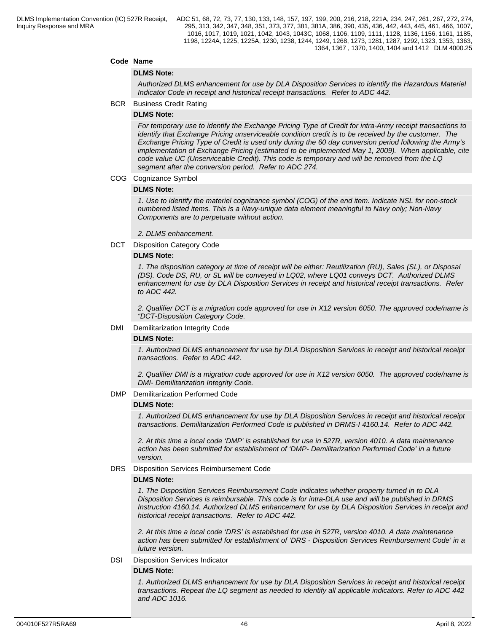## **Code Name**

### **DLMS Note:**

*Authorized DLMS enhancement for use by DLA Disposition Services to identify the Hazardous Materiel Indicator Code in receipt and historical receipt transactions. Refer to ADC 442.*

BCR Business Credit Rating

### **DLMS Note:**

*For temporary use to identify the Exchange Pricing Type of Credit for intra-Army receipt transactions to identify that Exchange Pricing unserviceable condition credit is to be received by the customer. The Exchange Pricing Type of Credit is used only during the 60 day conversion period following the Army's implementation of Exchange Pricing (estimated to be implemented May 1, 2009). When applicable, cite code value UC (Unserviceable Credit). This code is temporary and will be removed from the LQ segment after the conversion period. Refer to ADC 274.*

#### COG Cognizance Symbol

## **DLMS Note:**

*1. Use to identify the materiel cognizance symbol (COG) of the end item. Indicate NSL for non-stock numbered listed items. This is a Navy-unique data element meaningful to Navy only; Non-Navy Components are to perpetuate without action.* 

*2. DLMS enhancement.*

DCT Disposition Category Code

## **DLMS Note:**

*1. The disposition category at time of receipt will be either: Reutilization (RU), Sales (SL), or Disposal (DS). Code DS, RU, or SL will be conveyed in LQ02, where LQ01 conveys DCT. Authorized DLMS enhancement for use by DLA Disposition Services in receipt and historical receipt transactions. Refer to ADC 442.*

*2. Qualifier DCT is a migration code approved for use in X12 version 6050. The approved code/name is "DCT-Disposition Category Code.*

#### DMI Demilitarization Integrity Code

#### **DLMS Note:**

*1. Authorized DLMS enhancement for use by DLA Disposition Services in receipt and historical receipt transactions. Refer to ADC 442.* 

*2. Qualifier DMI is a migration code approved for use in X12 version 6050. The approved code/name is DMI- Demilitarization Integrity Code.*

#### DMP Demilitarization Performed Code

#### **DLMS Note:**

*1. Authorized DLMS enhancement for use by DLA Disposition Services in receipt and historical receipt transactions. Demilitarization Performed Code is published in DRMS-I 4160.14. Refer to ADC 442.*

*2. At this time a local code 'DMP' is established for use in 527R, version 4010. A data maintenance action has been submitted for establishment of 'DMP- Demilitarization Performed Code' in a future version.*

#### DRS Disposition Services Reimbursement Code

## **DLMS Note:**

*1. The Disposition Services Reimbursement Code indicates whether property turned in to DLA Disposition Services is reimbursable. This code is for intra-DLA use and will be published in DRMS Instruction 4160.14. Authorized DLMS enhancement for use by DLA Disposition Services in receipt and historical receipt transactions. Refer to ADC 442.*

*2. At this time a local code 'DRS' is established for use in 527R, version 4010. A data maintenance action has been submitted for establishment of 'DRS - Disposition Services Reimbursement Code' in a future version.*

## DSI Disposition Services Indicator

## **DLMS Note:**

*1. Authorized DLMS enhancement for use by DLA Disposition Services in receipt and historical receipt transactions. Repeat the LQ segment as needed to identify all applicable indicators. Refer to ADC 442 and ADC 1016.*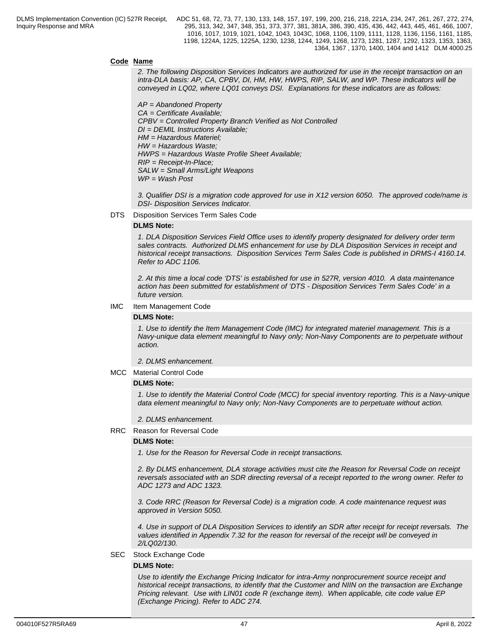## **Code Name**

*2. The following Disposition Services Indicators are authorized for use in the receipt transaction on an intra-DLA basis: AP, CA, CPBV, DI, HM, HW, HWPS, RIP, SALW, and WP. These indicators will be conveyed in LQ02, where LQ01 conveys DSI. Explanations for these indicators are as follows:*

 *AP = Abandoned Property CA = Certificate Available; CPBV = Controlled Property Branch Verified as Not Controlled DI = DEMIL Instructions Available; HM = Hazardous Materiel; HW = Hazardous Waste; HWPS = Hazardous Waste Profile Sheet Available; RIP = Receipt-In-Place; SALW = Small Arms/Light Weapons WP = Wash Post*

*3. Qualifier DSI is a migration code approved for use in X12 version 6050. The approved code/name is DSI- Disposition Services Indicator.*

#### DTS Disposition Services Term Sales Code

## **DLMS Note:**

*1. DLA Disposition Services Field Office uses to identify property designated for delivery order term sales contracts. Authorized DLMS enhancement for use by DLA Disposition Services in receipt and historical receipt transactions. Disposition Services Term Sales Code is published in DRMS-I 4160.14. Refer to ADC 1106.*

*2. At this time a local code 'DTS' is established for use in 527R, version 4010. A data maintenance action has been submitted for establishment of 'DTS - Disposition Services Term Sales Code' in a future version.*

#### IMC Item Management Code

#### **DLMS Note:**

*1. Use to identify the Item Management Code (IMC) for integrated materiel management. This is a Navy-unique data element meaningful to Navy only; Non-Navy Components are to perpetuate without action.*

*2. DLMS enhancement.*

MCC Material Control Code

#### **DLMS Note:**

*1. Use to identify the Material Control Code (MCC) for special inventory reporting. This is a Navy-unique data element meaningful to Navy only; Non-Navy Components are to perpetuate without action.* 

## *2. DLMS enhancement.*

#### RRC Reason for Reversal Code

#### **DLMS Note:**

*1. Use for the Reason for Reversal Code in receipt transactions.*

*2. By DLMS enhancement, DLA storage activities must cite the Reason for Reversal Code on receipt reversals associated with an SDR directing reversal of a receipt reported to the wrong owner. Refer to ADC 1273 and ADC 1323.*

*3. Code RRC (Reason for Reversal Code) is a migration code. A code maintenance request was approved in Version 5050.*

*4. Use in support of DLA Disposition Services to identify an SDR after receipt for receipt reversals. The values identified in Appendix 7.32 for the reason for reversal of the receipt will be conveyed in 2/LQ02/130.*

#### SEC Stock Exchange Code

#### **DLMS Note:**

*Use to identify the Exchange Pricing Indicator for intra-Army nonprocurement source receipt and historical receipt transactions, to identify that the Customer and NIIN on the transaction are Exchange Pricing relevant. Use with LIN01 code R (exchange item). When applicable, cite code value EP (Exchange Pricing). Refer to ADC 274.*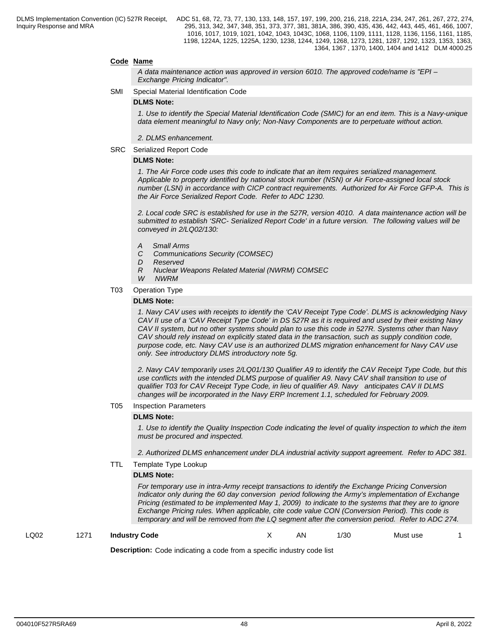## **Code Name**

*A data maintenance action was approved in version 6010. The approved code/name is "EPI – Exchange Pricing Indicator".*

SMI Special Material Identification Code

#### **DLMS Note:**

*1. Use to identify the Special Material Identification Code (SMIC) for an end item. This is a Navy-unique data element meaningful to Navy only; Non-Navy Components are to perpetuate without action.*

*2. DLMS enhancement.*

SRC Serialized Report Code

#### **DLMS Note:**

*1. The Air Force code uses this code to indicate that an item requires serialized management. Applicable to property identified by national stock number (NSN) or Air Force-assigned local stock number (LSN) in accordance with CICP contract requirements. Authorized for Air Force GFP-A. This is the Air Force Serialized Report Code. Refer to ADC 1230.*

*2. Local code SRC is established for use in the 527R, version 4010. A data maintenance action will be submitted to establish 'SRC- Serialized Report Code' in a future version. The following values will be conveyed in 2/LQ02/130:*

- *A Small Arms*
- *C Communications Security (COMSEC)*
- *D Reserved*
- *R Nuclear Weapons Related Material (NWRM) COMSEC*

*W NWRM*

T03 Operation Type

#### **DLMS Note:**

*1. Navy CAV uses with receipts to identify the 'CAV Receipt Type Code'. DLMS is acknowledging Navy CAV II use of a 'CAV Receipt Type Code' in DS 527R as it is required and used by their existing Navy CAV II system, but no other systems should plan to use this code in 527R. Systems other than Navy CAV should rely instead on explicitly stated data in the transaction, such as supply condition code, purpose code, etc. Navy CAV use is an authorized DLMS migration enhancement for Navy CAV use only. See introductory DLMS introductory note 5g.*

*2. Navy CAV temporarily uses 2/LQ01/130 Qualifier A9 to identify the CAV Receipt Type Code, but this use conflicts with the intended DLMS purpose of qualifier A9. Navy CAV shall transition to use of qualifier T03 for CAV Receipt Type Code, in lieu of qualifier A9. Navy anticipates CAV II DLMS changes will be incorporated in the Navy ERP Increment 1.1, scheduled for February 2009.*

#### T05 Inspection Parameters

## **DLMS Note:**

*1. Use to identify the Quality Inspection Code indicating the level of quality inspection to which the item must be procured and inspected.*

*2. Authorized DLMS enhancement under DLA industrial activity support agreement. Refer to ADC 381.*

TTL Template Type Lookup

#### **DLMS Note:**

*For temporary use in intra-Army receipt transactions to identify the Exchange Pricing Conversion Indicator only during the 60 day conversion period following the Army's implementation of Exchange Pricing (estimated to be implemented May 1, 2009) to indicate to the systems that they are to ignore Exchange Pricing rules. When applicable, cite code value CON (Conversion Period). This code is temporary and will be removed from the LQ segment after the conversion period. Refer to ADC 274.*

LQ02 1271 **Industry Code** X AN 1/30 Must use 1

**Description:** Code indicating a code from a specific industry code list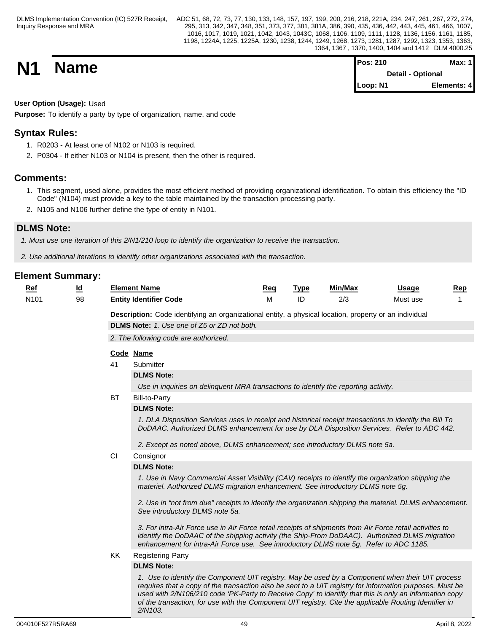| <b>N1</b> | <b>Name</b> | <b>Pos: 210</b>          | <b>Max: 1</b> |  |
|-----------|-------------|--------------------------|---------------|--|
|           |             | <b>Detail - Optional</b> |               |  |
|           |             | Loop: N1                 | Elements: 4   |  |

## **User Option (Usage):** Used

**Purpose:** To identify a party by type of organization, name, and code

## **Syntax Rules:**

- 1. R0203 At least one of N102 or N103 is required.
- 2. P0304 If either N103 or N104 is present, then the other is required.

## **Comments:**

- 1. This segment, used alone, provides the most efficient method of providing organizational identification. To obtain this efficiency the "ID Code" (N104) must provide a key to the table maintained by the transaction processing party.
- 2. N105 and N106 further define the type of entity in N101.

## **DLMS Note:**

*1. Must use one iteration of this 2/N1/210 loop to identify the organization to receive the transaction.*

*2. Use additional iterations to identify other organizations associated with the transaction.*

| Ref              | <u>ld</u> |    | <b>Element Name</b>                                                                                                                                                                                                                                                                                                                                                                                                                         | Req | <b>Type</b> | Min/Max | <b>Usage</b> | <u>Rep</u> |
|------------------|-----------|----|---------------------------------------------------------------------------------------------------------------------------------------------------------------------------------------------------------------------------------------------------------------------------------------------------------------------------------------------------------------------------------------------------------------------------------------------|-----|-------------|---------|--------------|------------|
| N <sub>101</sub> | 98        |    | <b>Entity Identifier Code</b>                                                                                                                                                                                                                                                                                                                                                                                                               | M   | ID          | 2/3     | Must use     |            |
|                  |           |    | Description: Code identifying an organizational entity, a physical location, property or an individual                                                                                                                                                                                                                                                                                                                                      |     |             |         |              |            |
|                  |           |    | <b>DLMS Note:</b> 1. Use one of Z5 or ZD not both.                                                                                                                                                                                                                                                                                                                                                                                          |     |             |         |              |            |
|                  |           |    | 2. The following code are authorized.                                                                                                                                                                                                                                                                                                                                                                                                       |     |             |         |              |            |
|                  |           |    |                                                                                                                                                                                                                                                                                                                                                                                                                                             |     |             |         |              |            |
|                  |           |    | Code Name                                                                                                                                                                                                                                                                                                                                                                                                                                   |     |             |         |              |            |
|                  |           | 41 | Submitter<br><b>DLMS Note:</b>                                                                                                                                                                                                                                                                                                                                                                                                              |     |             |         |              |            |
|                  |           |    | Use in inquiries on delinquent MRA transactions to identify the reporting activity.                                                                                                                                                                                                                                                                                                                                                         |     |             |         |              |            |
|                  |           | BT | <b>Bill-to-Party</b>                                                                                                                                                                                                                                                                                                                                                                                                                        |     |             |         |              |            |
|                  |           |    | <b>DLMS Note:</b>                                                                                                                                                                                                                                                                                                                                                                                                                           |     |             |         |              |            |
|                  |           |    | 1. DLA Disposition Services uses in receipt and historical receipt transactions to identify the Bill To                                                                                                                                                                                                                                                                                                                                     |     |             |         |              |            |
|                  |           |    | DoDAAC. Authorized DLMS enhancement for use by DLA Disposition Services. Refer to ADC 442.                                                                                                                                                                                                                                                                                                                                                  |     |             |         |              |            |
|                  |           |    | 2. Except as noted above, DLMS enhancement; see introductory DLMS note 5a.                                                                                                                                                                                                                                                                                                                                                                  |     |             |         |              |            |
|                  |           | CI | Consignor                                                                                                                                                                                                                                                                                                                                                                                                                                   |     |             |         |              |            |
|                  |           |    | <b>DLMS Note:</b>                                                                                                                                                                                                                                                                                                                                                                                                                           |     |             |         |              |            |
|                  |           |    | 1. Use in Navy Commercial Asset Visibility (CAV) receipts to identify the organization shipping the<br>materiel. Authorized DLMS migration enhancement. See introductory DLMS note 5g.                                                                                                                                                                                                                                                      |     |             |         |              |            |
|                  |           |    | 2. Use in "not from due" receipts to identify the organization shipping the materiel. DLMS enhancement.<br>See introductory DLMS note 5a.                                                                                                                                                                                                                                                                                                   |     |             |         |              |            |
|                  |           |    | 3. For intra-Air Force use in Air Force retail receipts of shipments from Air Force retail activities to<br>identify the DoDAAC of the shipping activity (the Ship-From DoDAAC). Authorized DLMS migration<br>enhancement for intra-Air Force use. See introductory DLMS note 5g. Refer to ADC 1185.                                                                                                                                        |     |             |         |              |            |
|                  |           | KK | <b>Registering Party</b>                                                                                                                                                                                                                                                                                                                                                                                                                    |     |             |         |              |            |
|                  |           |    | <b>DLMS Note:</b>                                                                                                                                                                                                                                                                                                                                                                                                                           |     |             |         |              |            |
|                  |           |    | 1. Use to identify the Component UIT registry. May be used by a Component when their UIT process<br>requires that a copy of the transaction also be sent to a UIT registry for information purposes. Must be<br>used with 2/N106/210 code 'PK-Party to Receive Copy' to identify that this is only an information copy<br>of the transaction, for use with the Component UIT registry. Cite the applicable Routing Identifier in<br>2/N103. |     |             |         |              |            |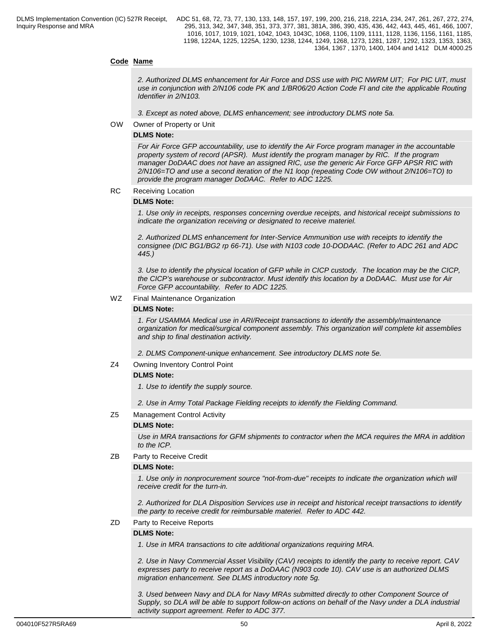## **Code Name**

*2. Authorized DLMS enhancement for Air Force and DSS use with PIC NWRM UIT; For PIC UIT, must use in conjunction with 2/N106 code PK and 1/BR06/20 Action Code FI and cite the applicable Routing Identifier in 2/N103.* 

*3. Except as noted above, DLMS enhancement; see introductory DLMS note 5a.*

OW Owner of Property or Unit

## **DLMS Note:**

*For Air Force GFP accountability, use to identify the Air Force program manager in the accountable property system of record (APSR). Must identify the program manager by RIC. If the program manager DoDAAC does not have an assigned RIC, use the generic Air Force GFP APSR RIC with 2/N106=TO and use a second iteration of the N1 loop (repeating Code OW without 2/N106=TO) to provide the program manager DoDAAC. Refer to ADC 1225.*

RC Receiving Location

### **DLMS Note:**

*1. Use only in receipts, responses concerning overdue receipts, and historical receipt submissions to indicate the organization receiving or designated to receive materiel.*

*2. Authorized DLMS enhancement for Inter-Service Ammunition use with receipts to identify the consignee (DIC BG1/BG2 rp 66-71). Use with N103 code 10-DODAAC. (Refer to ADC 261 and ADC 445.)*

*3. Use to identify the physical location of GFP while in CICP custody. The location may be the CICP, the CICP's warehouse or subcontractor. Must identify this location by a DoDAAC. Must use for Air Force GFP accountability. Refer to ADC 1225.* 

#### WZ Final Maintenance Organization

#### **DLMS Note:**

*1. For USAMMA Medical use in ARI/Receipt transactions to identify the assembly/maintenance organization for medical/surgical component assembly. This organization will complete kit assemblies and ship to final destination activity.*

*2. DLMS Component-unique enhancement. See introductory DLMS note 5e.*

## Z4 Owning Inventory Control Point

## **DLMS Note:**

*1. Use to identify the supply source.*

*2. Use in Army Total Package Fielding receipts to identify the Fielding Command.*

## Z5 Management Control Activity

## **DLMS Note:**

*Use in MRA transactions for GFM shipments to contractor when the MCA requires the MRA in addition to the ICP.*

## ZB Party to Receive Credit

## **DLMS Note:**

*1. Use only in nonprocurement source "not-from-due" receipts to indicate the organization which will receive credit for the turn-in.*

*2. Authorized for DLA Disposition Services use in receipt and historical receipt transactions to identify the party to receive credit for reimbursable materiel. Refer to ADC 442.*

## ZD Party to Receive Reports

## **DLMS Note:**

*1. Use in MRA transactions to cite additional organizations requiring MRA.*

*2. Use in Navy Commercial Asset Visibility (CAV) receipts to identify the party to receive report. CAV expresses party to receive report as a DoDAAC (N903 code 10). CAV use is an authorized DLMS migration enhancement. See DLMS introductory note 5g.*

*3. Used between Navy and DLA for Navy MRAs submitted directly to other Component Source of Supply, so DLA will be able to support follow-on actions on behalf of the Navy under a DLA industrial activity support agreement. Refer to ADC 377.*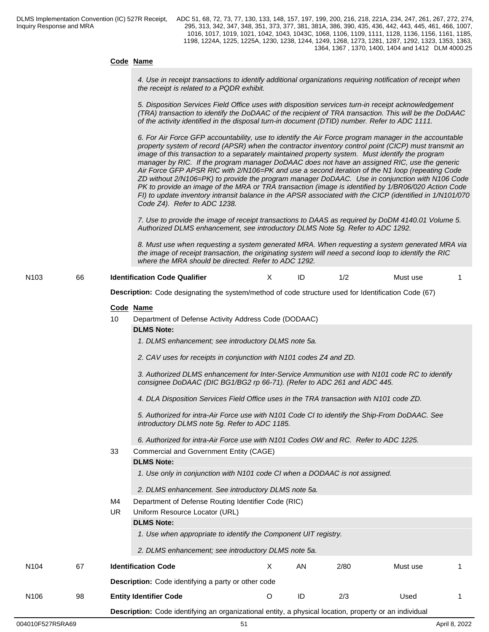## **Code Name**

*4. Use in receipt transactions to identify additional organizations requiring notification of receipt when the receipt is related to a PQDR exhibit.*

*5. Disposition Services Field Office uses with disposition services turn-in receipt acknowledgement (TRA) transaction to identify the DoDAAC of the recipient of TRA transaction. This will be the DoDAAC of the activity identified in the disposal turn-in document (DTID) number. Refer to ADC 1111.*

*6. For Air Force GFP accountability, use to identify the Air Force program manager in the accountable property system of record (APSR) when the contractor inventory control point (CICP) must transmit an image of this transaction to a separately maintained property system. Must identify the program manager by RIC. If the program manager DoDAAC does not have an assigned RIC, use the generic Air Force GFP APSR RIC with 2/N106=PK and use a second iteration of the N1 loop (repeating Code ZD without 2/N106=PK) to provide the program manager DoDAAC. Use in conjunction with N106 Code PK to provide an image of the MRA or TRA transaction (image is identified by 1/BR06/020 Action Code FI) to update inventory intransit balance in the APSR associated with the CICP (identified in 1/N101/070 Code Z4). Refer to ADC 1238.*

*7. Use to provide the image of receipt transactions to DAAS as required by DoDM 4140.01 Volume 5. Authorized DLMS enhancement, see introductory DLMS Note 5g. Refer to ADC 1292.*

*8. Must use when requesting a system generated MRA. When requesting a system generated MRA via the image of receipt transaction, the originating system will need a second loop to identify the RIC where the MRA should be directed. Refer to ADC 1292.*

N103 66 **Identification Code Qualifier** Must Note 1/2 Must use 1

**Description:** Code designating the system/method of code structure used for Identification Code (67)

|      |    |     | Code Name                                                                                                                                                                |   |    |      |          |    |
|------|----|-----|--------------------------------------------------------------------------------------------------------------------------------------------------------------------------|---|----|------|----------|----|
|      |    | 10  | Department of Defense Activity Address Code (DODAAC)                                                                                                                     |   |    |      |          |    |
|      |    |     | <b>DLMS Note:</b>                                                                                                                                                        |   |    |      |          |    |
|      |    |     | 1. DLMS enhancement; see introductory DLMS note 5a.                                                                                                                      |   |    |      |          |    |
|      |    |     | 2. CAV uses for receipts in conjunction with N101 codes Z4 and ZD.                                                                                                       |   |    |      |          |    |
|      |    |     | 3. Authorized DLMS enhancement for Inter-Service Ammunition use with N101 code RC to identify<br>consignee DoDAAC (DIC BG1/BG2 rp 66-71). (Refer to ADC 261 and ADC 445. |   |    |      |          |    |
|      |    |     | 4. DLA Disposition Services Field Office uses in the TRA transaction with N101 code ZD.                                                                                  |   |    |      |          |    |
|      |    |     | 5. Authorized for intra-Air Force use with N101 Code CI to identify the Ship-From DoDAAC. See<br>introductory DLMS note 5g. Refer to ADC 1185.                           |   |    |      |          |    |
|      |    |     | 6. Authorized for intra-Air Force use with N101 Codes OW and RC. Refer to ADC 1225.                                                                                      |   |    |      |          |    |
|      |    | 33  | Commercial and Government Entity (CAGE)                                                                                                                                  |   |    |      |          |    |
|      |    |     | <b>DLMS Note:</b>                                                                                                                                                        |   |    |      |          |    |
|      |    |     | 1. Use only in conjunction with N101 code CI when a DODAAC is not assigned.                                                                                              |   |    |      |          |    |
|      |    |     | 2. DLMS enhancement. See introductory DLMS note 5a.                                                                                                                      |   |    |      |          |    |
|      |    | M4  | Department of Defense Routing Identifier Code (RIC)                                                                                                                      |   |    |      |          |    |
|      |    | UR. | Uniform Resource Locator (URL)                                                                                                                                           |   |    |      |          |    |
|      |    |     | <b>DLMS Note:</b>                                                                                                                                                        |   |    |      |          |    |
|      |    |     | 1. Use when appropriate to identify the Component UIT registry.                                                                                                          |   |    |      |          |    |
|      |    |     | 2. DLMS enhancement; see introductory DLMS note 5a.                                                                                                                      |   |    |      |          |    |
| N104 | 67 |     | <b>Identification Code</b>                                                                                                                                               | X | AN | 2/80 | Must use | -1 |
|      |    |     | <b>Description:</b> Code identifying a party or other code                                                                                                               |   |    |      |          |    |
|      |    |     |                                                                                                                                                                          |   |    |      |          |    |

**Description:** Code identifying an organizational entity, a physical location, property or an individual

N106 98 **Entity Identifier Code** O ID 2/3 Used 1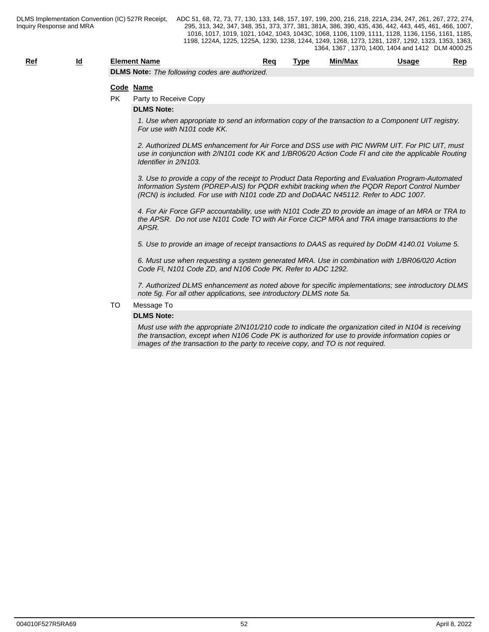| <u>Rei</u> | __ | Element Name                                                 | Rec | Tvpe | Min/Max | Jsaqe | Rep |
|------------|----|--------------------------------------------------------------|-----|------|---------|-------|-----|
|            |    | <b>DLMS Note</b><br>e following codes are authorized.<br>The |     |      |         |       |     |

#### **Code Name**

PK Party to Receive Copy

#### **DLMS Note:**

*1. Use when appropriate to send an information copy of the transaction to a Component UIT registry. For use with N101 code KK.*

*2. Authorized DLMS enhancement for Air Force and DSS use with PIC NWRM UIT. For PIC UIT, must use in conjunction with 2/N101 code KK and 1/BR06/20 Action Code FI and cite the applicable Routing Identifier in 2/N103.*

*3. Use to provide a copy of the receipt to Product Data Reporting and Evaluation Program-Automated Information System (PDREP-AIS) for PQDR exhibit tracking when the PQDR Report Control Number (RCN) is included. For use with N101 code ZD and DoDAAC N45112. Refer to ADC 1007.* 

*4. For Air Force GFP accountability, use with N101 Code ZD to provide an image of an MRA or TRA to the APSR. Do not use N101 Code TO with Air Force CICP MRA and TRA image transactions to the APSR.*

*5. Use to provide an image of receipt transactions to DAAS as required by DoDM 4140.01 Volume 5.*

 *6. Must use when requesting a system generated MRA. Use in combination with 1/BR06/020 Action Code FI, N101 Code ZD, and N106 Code PK. Refer to ADC 1292.* 

*7. Authorized DLMS enhancement as noted above for specific implementations; see introductory DLMS note 5g. For all other applications, see introductory DLMS note 5a.*

#### TO Message To

#### **DLMS Note:**

*Must use with the appropriate 2/N101/210 code to indicate the organization cited in N104 is receiving the transaction, except when N106 Code PK is authorized for use to provide information copies or images of the transaction to the party to receive copy, and TO is not required.*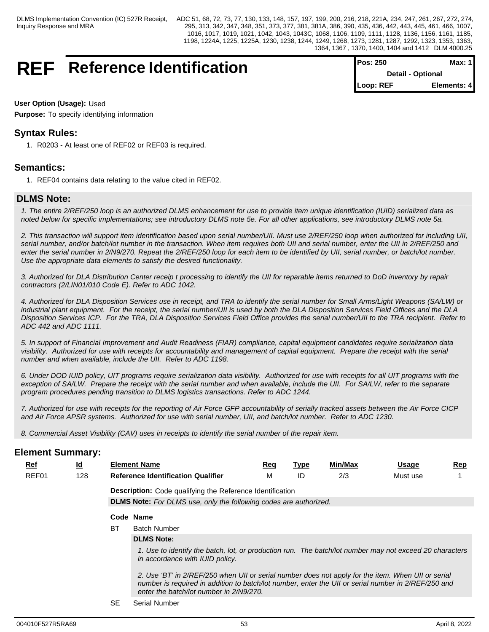## **REF** Reference Identification

| <b>Pos: 250</b> | Max: 1 I                 |
|-----------------|--------------------------|
|                 | <b>Detail - Optional</b> |
| Loop: REF       | Elements: 4              |

## **User Option (Usage):** Used

**Purpose:** To specify identifying information

## **Syntax Rules:**

1. R0203 - At least one of REF02 or REF03 is required.

## **Semantics:**

1. REF04 contains data relating to the value cited in REF02.

## **DLMS Note:**

*1. The entire 2/REF/250 loop is an authorized DLMS enhancement for use to provide item unique identification (IUID) serialized data as noted below for specific implementations; see introductory DLMS note 5e. For all other applications, see introductory DLMS note 5a.*

*2. This transaction will support item identification based upon serial number/UII. Must use 2/REF/250 loop when authorized for including UII, serial number, and/or batch/lot number in the transaction. When item requires both UII and serial number, enter the UII in 2/REF/250 and enter the serial number in 2/N9/270. Repeat the 2/REF/250 loop for each item to be identified by UII, serial number, or batch/lot number. Use the appropriate data elements to satisfy the desired functionality.* 

*3. Authorized for DLA Distribution Center receip t processing to identify the UII for reparable items returned to DoD inventory by repair contractors (2/LIN01/010 Code E). Refer to ADC 1042.* 

*4. Authorized for DLA Disposition Services use in receipt, and TRA to identify the serial number for Small Arms/Light Weapons (SA/LW) or industrial plant equipment. For the receipt, the serial number/UII is used by both the DLA Disposition Services Field Offices and the DLA Disposition Services ICP. For the TRA, DLA Disposition Services Field Office provides the serial number/UII to the TRA recipient. Refer to ADC 442 and ADC 1111.*

*5. In support of Financial Improvement and Audit Readiness (FIAR) compliance, capital equipment candidates require serialization data visibility. Authorized for use with receipts for accountability and management of capital equipment. Prepare the receipt with the serial number and when available, include the UII. Refer to ADC 1198.*

*6. Under DOD IUID policy, UIT programs require serialization data visibility. Authorized for use with receipts for all UIT programs with the exception of SA/LW. Prepare the receipt with the serial number and when available, include the UII. For SA/LW, refer to the separate program procedures pending transition to DLMS logistics transactions. Refer to ADC 1244.*

*7. Authorized for use with receipts for the reporting of Air Force GFP accountability of serially tracked assets between the Air Force CICP and Air Force APSR systems. Authorized for use with serial number, UII, and batch/lot number. Refer to ADC 1230.* 

*8. Commercial Asset Visibility (CAV) uses in receipts to identify the serial number of the repair item.*

| <b>Element Summary:</b> |                           |    |                                                                                                                                                                                                                                                      |            |             |         |              |            |
|-------------------------|---------------------------|----|------------------------------------------------------------------------------------------------------------------------------------------------------------------------------------------------------------------------------------------------------|------------|-------------|---------|--------------|------------|
| <u>Ref</u>              | $\underline{\mathsf{Id}}$ |    | <b>Element Name</b>                                                                                                                                                                                                                                  | <u>Req</u> | <b>Type</b> | Min/Max | <b>Usage</b> | <u>Rep</u> |
| REF01                   | 128                       |    | <b>Reference Identification Qualifier</b>                                                                                                                                                                                                            | M          | ID          | 2/3     | Must use     |            |
|                         |                           |    | <b>Description:</b> Code qualifying the Reference Identification                                                                                                                                                                                     |            |             |         |              |            |
|                         |                           |    | <b>DLMS Note:</b> For DLMS use, only the following codes are authorized.                                                                                                                                                                             |            |             |         |              |            |
|                         |                           |    | Code Name                                                                                                                                                                                                                                            |            |             |         |              |            |
|                         |                           | BT | <b>Batch Number</b>                                                                                                                                                                                                                                  |            |             |         |              |            |
|                         |                           |    | <b>DLMS Note:</b>                                                                                                                                                                                                                                    |            |             |         |              |            |
|                         |                           |    | 1. Use to identify the batch, lot, or production run. The batch/lot number may not exceed 20 characters<br>in accordance with IUID policy.                                                                                                           |            |             |         |              |            |
|                         |                           |    | 2. Use 'BT' in 2/REF/250 when UII or serial number does not apply for the item. When UII or serial<br>number is required in addition to batch/lot number, enter the UII or serial number in 2/REF/250 and<br>enter the batch/lot number in 2/N9/270. |            |             |         |              |            |
|                         |                           |    | $\sim$ $\sim$ $\sim$ $\sim$ $\sim$                                                                                                                                                                                                                   |            |             |         |              |            |

SE Serial Number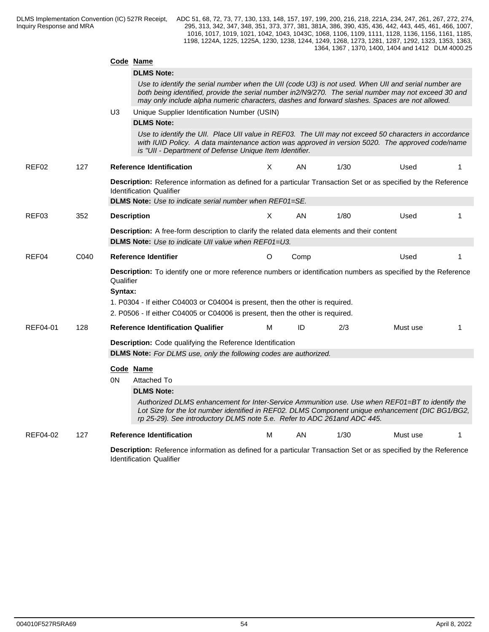|          |      |           | Code Name                                                                                                                                                                                                                                                                                                      |   |      |      |          |  |
|----------|------|-----------|----------------------------------------------------------------------------------------------------------------------------------------------------------------------------------------------------------------------------------------------------------------------------------------------------------------|---|------|------|----------|--|
|          |      |           | <b>DLMS Note:</b>                                                                                                                                                                                                                                                                                              |   |      |      |          |  |
|          |      |           | Use to identify the serial number when the UII (code U3) is not used. When UII and serial number are<br>both being identified, provide the serial number in2/N9/270. The serial number may not exceed 30 and<br>may only include alpha numeric characters, dashes and forward slashes. Spaces are not allowed. |   |      |      |          |  |
|          |      | U3        | Unique Supplier Identification Number (USIN)                                                                                                                                                                                                                                                                   |   |      |      |          |  |
|          |      |           | <b>DLMS Note:</b>                                                                                                                                                                                                                                                                                              |   |      |      |          |  |
|          |      |           | Use to identify the UII. Place UII value in REF03. The UII may not exceed 50 characters in accordance<br>with IUID Policy. A data maintenance action was approved in version 5020. The approved code/name<br>is "UII - Department of Defense Unique Item Identifier.                                           |   |      |      |          |  |
| REF02    | 127  |           | <b>Reference Identification</b>                                                                                                                                                                                                                                                                                | X | AN   | 1/30 | Used     |  |
|          |      |           | Description: Reference information as defined for a particular Transaction Set or as specified by the Reference<br><b>Identification Qualifier</b>                                                                                                                                                             |   |      |      |          |  |
|          |      |           | <b>DLMS Note:</b> Use to indicate serial number when REF01=SE.                                                                                                                                                                                                                                                 |   |      |      |          |  |
| REF03    | 352  |           | <b>Description</b>                                                                                                                                                                                                                                                                                             | X | AN   | 1/80 | Used     |  |
|          |      |           | Description: A free-form description to clarify the related data elements and their content                                                                                                                                                                                                                    |   |      |      |          |  |
|          |      |           | <b>DLMS Note:</b> Use to indicate UII value when REF01=U3.                                                                                                                                                                                                                                                     |   |      |      |          |  |
| REF04    | C040 |           | Reference Identifier                                                                                                                                                                                                                                                                                           | O | Comp |      | Used     |  |
|          |      | Qualifier | Description: To identify one or more reference numbers or identification numbers as specified by the Reference                                                                                                                                                                                                 |   |      |      |          |  |
|          |      | Syntax:   |                                                                                                                                                                                                                                                                                                                |   |      |      |          |  |
|          |      |           | 1. P0304 - If either C04003 or C04004 is present, then the other is required.                                                                                                                                                                                                                                  |   |      |      |          |  |
|          |      |           | 2. P0506 - If either C04005 or C04006 is present, then the other is required.                                                                                                                                                                                                                                  |   |      |      |          |  |
| REF04-01 | 128  |           | <b>Reference Identification Qualifier</b>                                                                                                                                                                                                                                                                      | M | ID   | 2/3  | Must use |  |
|          |      |           | Description: Code qualifying the Reference Identification                                                                                                                                                                                                                                                      |   |      |      |          |  |
|          |      |           | <b>DLMS Note:</b> For DLMS use, only the following codes are authorized.                                                                                                                                                                                                                                       |   |      |      |          |  |
|          |      |           | Code Name                                                                                                                                                                                                                                                                                                      |   |      |      |          |  |
|          |      | 0N        | Attached To                                                                                                                                                                                                                                                                                                    |   |      |      |          |  |
|          |      |           | <b>DLMS Note:</b>                                                                                                                                                                                                                                                                                              |   |      |      |          |  |
|          |      |           | Authorized DLMS enhancement for Inter-Service Ammunition use. Use when REF01=BT to identify the<br>Lot Size for the lot number identified in REF02. DLMS Component unique enhancement (DIC BG1/BG2,<br>rp 25-29). See introductory DLMS note 5.e. Refer to ADC 261 and ADC 445.                                |   |      |      |          |  |
| REF04-02 | 127  |           | <b>Reference Identification</b>                                                                                                                                                                                                                                                                                | м | AN.  | 1/30 | Must use |  |
|          |      |           | Description: Reference information as defined for a particular Transaction Set or as specified by the Reference                                                                                                                                                                                                |   |      |      |          |  |
|          |      |           |                                                                                                                                                                                                                                                                                                                |   |      |      |          |  |

Identification Qualifier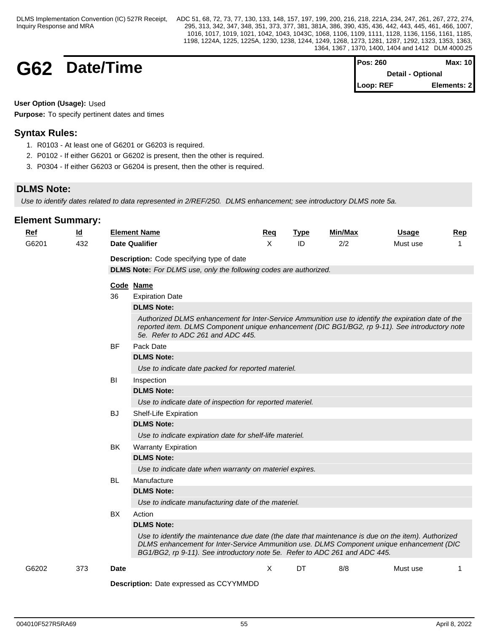## **G62 Date/Time**

| Pos: 260                 | Max: 10     |  |
|--------------------------|-------------|--|
| <b>Detail - Optional</b> |             |  |
| Loop: REF                | Elements: 2 |  |

**User Option (Usage):** Used

**Purpose:** To specify pertinent dates and times

## **Syntax Rules:**

- 1. R0103 At least one of G6201 or G6203 is required.
- 2. P0102 If either G6201 or G6202 is present, then the other is required.
- 3. P0304 If either G6203 or G6204 is present, then the other is required.

## **DLMS Note:**

*Use to identify dates related to data represented in 2/REF/250. DLMS enhancement; see introductory DLMS note 5a.*

| <b>Ref</b> | <u>ld</u> |             | <b>Element Name</b>                                                                                                                                                                                                                                                            | Req          | <b>Type</b> | Min/Max | Usage    | <b>Rep</b> |
|------------|-----------|-------------|--------------------------------------------------------------------------------------------------------------------------------------------------------------------------------------------------------------------------------------------------------------------------------|--------------|-------------|---------|----------|------------|
| G6201      | 432       |             | <b>Date Qualifier</b>                                                                                                                                                                                                                                                          | $\mathsf{x}$ | ID          | 2/2     | Must use |            |
|            |           |             | Description: Code specifying type of date                                                                                                                                                                                                                                      |              |             |         |          |            |
|            |           |             | <b>DLMS Note:</b> For DLMS use, only the following codes are authorized.                                                                                                                                                                                                       |              |             |         |          |            |
|            |           |             | Code Name                                                                                                                                                                                                                                                                      |              |             |         |          |            |
|            |           | 36          | <b>Expiration Date</b>                                                                                                                                                                                                                                                         |              |             |         |          |            |
|            |           |             | <b>DLMS Note:</b>                                                                                                                                                                                                                                                              |              |             |         |          |            |
|            |           |             | Authorized DLMS enhancement for Inter-Service Ammunition use to identify the expiration date of the<br>reported item. DLMS Component unique enhancement (DIC BG1/BG2, rp 9-11). See introductory note<br>5e. Refer to ADC 261 and ADC 445.                                     |              |             |         |          |            |
|            |           | <b>BF</b>   | Pack Date                                                                                                                                                                                                                                                                      |              |             |         |          |            |
|            |           |             | <b>DLMS Note:</b>                                                                                                                                                                                                                                                              |              |             |         |          |            |
|            |           |             | Use to indicate date packed for reported materiel.                                                                                                                                                                                                                             |              |             |         |          |            |
|            |           | BI          | Inspection                                                                                                                                                                                                                                                                     |              |             |         |          |            |
|            |           |             | <b>DLMS Note:</b>                                                                                                                                                                                                                                                              |              |             |         |          |            |
|            |           |             | Use to indicate date of inspection for reported materiel.                                                                                                                                                                                                                      |              |             |         |          |            |
|            |           | <b>BJ</b>   | Shelf-Life Expiration                                                                                                                                                                                                                                                          |              |             |         |          |            |
|            |           |             | <b>DLMS Note:</b>                                                                                                                                                                                                                                                              |              |             |         |          |            |
|            |           |             | Use to indicate expiration date for shelf-life materiel.                                                                                                                                                                                                                       |              |             |         |          |            |
|            |           | BK          | <b>Warranty Expiration</b>                                                                                                                                                                                                                                                     |              |             |         |          |            |
|            |           |             | <b>DLMS Note:</b>                                                                                                                                                                                                                                                              |              |             |         |          |            |
|            |           |             | Use to indicate date when warranty on materiel expires.                                                                                                                                                                                                                        |              |             |         |          |            |
|            |           | <b>BL</b>   | Manufacture                                                                                                                                                                                                                                                                    |              |             |         |          |            |
|            |           |             | <b>DLMS Note:</b>                                                                                                                                                                                                                                                              |              |             |         |          |            |
|            |           |             | Use to indicate manufacturing date of the materiel.                                                                                                                                                                                                                            |              |             |         |          |            |
|            |           | BX          | Action                                                                                                                                                                                                                                                                         |              |             |         |          |            |
|            |           |             | <b>DLMS Note:</b>                                                                                                                                                                                                                                                              |              |             |         |          |            |
|            |           |             | Use to identify the maintenance due date (the date that maintenance is due on the item). Authorized<br>DLMS enhancement for Inter-Service Ammunition use. DLMS Component unique enhancement (DIC<br>BG1/BG2, rp 9-11). See introductory note 5e. Refer to ADC 261 and ADC 445. |              |             |         |          |            |
| G6202      | 373       | <b>Date</b> |                                                                                                                                                                                                                                                                                | $\times$     | DT          | 8/8     | Must use | 1          |
|            |           |             | Description: Date expressed as CCYYMMDD                                                                                                                                                                                                                                        |              |             |         |          |            |
|            |           |             |                                                                                                                                                                                                                                                                                |              |             |         |          |            |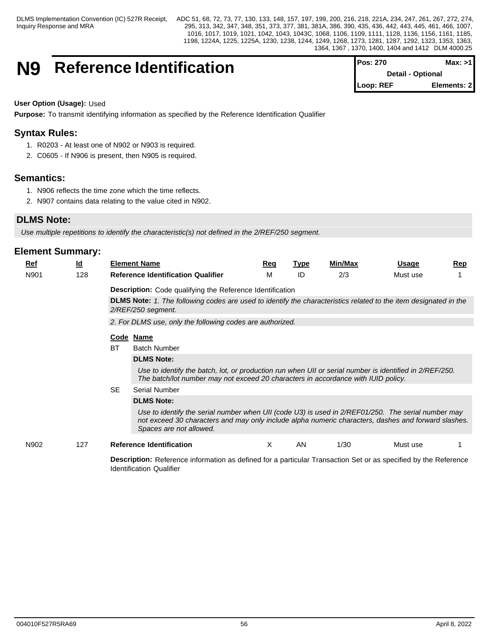## **N9** Reference Identification

| <b>IPos: 270</b>         | Max: >11    |  |
|--------------------------|-------------|--|
| <b>Detail - Optional</b> |             |  |
| Loop: REF                | Elements: 2 |  |

## **User Option (Usage):** Used

**Purpose:** To transmit identifying information as specified by the Reference Identification Qualifier

## **Syntax Rules:**

- 1. R0203 At least one of N902 or N903 is required.
- 2. C0605 If N906 is present, then N905 is required.

## **Semantics:**

- 1. N906 reflects the time zone which the time reflects.
- 2. N907 contains data relating to the value cited in N902.

## **DLMS Note:**

*Use multiple repetitions to identify the characteristic(s) not defined in the 2/REF/250 segment.*

Identification Qualifier

| $Ref$ | <u>ld</u> |           | <b>Element Name</b>                                                                                                                                                                                                                  | <u>Req</u> | Type | Min/Max | Usage    | <b>Rep</b> |  |  |  |
|-------|-----------|-----------|--------------------------------------------------------------------------------------------------------------------------------------------------------------------------------------------------------------------------------------|------------|------|---------|----------|------------|--|--|--|
| N901  | 128       |           | <b>Reference Identification Qualifier</b>                                                                                                                                                                                            | M          | ID   | 2/3     | Must use |            |  |  |  |
|       |           |           | <b>Description:</b> Code qualifying the Reference Identification                                                                                                                                                                     |            |      |         |          |            |  |  |  |
|       |           |           | <b>DLMS Note:</b> 1. The following codes are used to identify the characteristics related to the item designated in the<br>2/REF/250 segment.<br>2. For DLMS use, only the following codes are authorized.                           |            |      |         |          |            |  |  |  |
|       |           |           |                                                                                                                                                                                                                                      |            |      |         |          |            |  |  |  |
|       |           |           | Code Name                                                                                                                                                                                                                            |            |      |         |          |            |  |  |  |
|       |           | ВT        | <b>Batch Number</b>                                                                                                                                                                                                                  |            |      |         |          |            |  |  |  |
|       |           |           | <b>DLMS Note:</b>                                                                                                                                                                                                                    |            |      |         |          |            |  |  |  |
|       |           |           | Use to identify the batch, lot, or production run when UII or serial number is identified in 2/REF/250.<br>The batch/lot number may not exceed 20 characters in accordance with IUID policy.                                         |            |      |         |          |            |  |  |  |
|       |           | <b>SE</b> | Serial Number                                                                                                                                                                                                                        |            |      |         |          |            |  |  |  |
|       |           |           | <b>DLMS Note:</b>                                                                                                                                                                                                                    |            |      |         |          |            |  |  |  |
|       |           |           | Use to identify the serial number when UII (code U3) is used in 2/REF01/250. The serial number may<br>not exceed 30 characters and may only include alpha numeric characters, dashes and forward slashes.<br>Spaces are not allowed. |            |      |         |          |            |  |  |  |
| N902  | 127       |           | <b>Reference Identification</b>                                                                                                                                                                                                      | X          | AN   | 1/30    | Must use |            |  |  |  |
|       |           |           | <b>Description:</b> Reference information as defined for a particular Transaction Set or as specified by the Reference                                                                                                               |            |      |         |          |            |  |  |  |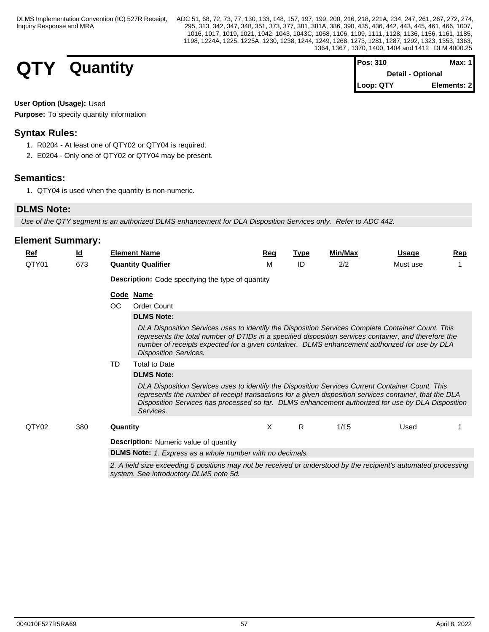## **QTY** Quantity

| <b>Pos: 310</b>          | Max: 1      |
|--------------------------|-------------|
| <b>Detail - Optional</b> |             |
| Loop: QTY                | Elements: 2 |

## **User Option (Usage):** Used

**Purpose:** To specify quantity information

## **Syntax Rules:**

- 1. R0204 At least one of QTY02 or QTY04 is required.
- 2. E0204 Only one of QTY02 or QTY04 may be present.

## **Semantics:**

1. QTY04 is used when the quantity is non-numeric.

## **DLMS Note:**

*Use of the QTY segment is an authorized DLMS enhancement for DLA Disposition Services only. Refer to ADC 442.*

| <u>Ref</u> | <u>ld</u> |                                                                                                                                                           | <b>Element Name</b>                                                                                                                                                                                                                                                                                                                         | Req | <b>Type</b> | Min/Max | Usage    | <b>Rep</b> |  |  |  |  |  |
|------------|-----------|-----------------------------------------------------------------------------------------------------------------------------------------------------------|---------------------------------------------------------------------------------------------------------------------------------------------------------------------------------------------------------------------------------------------------------------------------------------------------------------------------------------------|-----|-------------|---------|----------|------------|--|--|--|--|--|
| QTY01      | 673       |                                                                                                                                                           | <b>Quantity Qualifier</b>                                                                                                                                                                                                                                                                                                                   | М   | ID          | 2/2     | Must use |            |  |  |  |  |  |
|            |           |                                                                                                                                                           | <b>Description:</b> Code specifying the type of quantity                                                                                                                                                                                                                                                                                    |     |             |         |          |            |  |  |  |  |  |
|            |           |                                                                                                                                                           | Code Name                                                                                                                                                                                                                                                                                                                                   |     |             |         |          |            |  |  |  |  |  |
|            |           | OC                                                                                                                                                        | <b>Order Count</b>                                                                                                                                                                                                                                                                                                                          |     |             |         |          |            |  |  |  |  |  |
|            |           |                                                                                                                                                           | <b>DLMS Note:</b>                                                                                                                                                                                                                                                                                                                           |     |             |         |          |            |  |  |  |  |  |
|            |           |                                                                                                                                                           | DLA Disposition Services uses to identify the Disposition Services Complete Container Count. This<br>represents the total number of DTIDs in a specified disposition services container, and therefore the<br>number of receipts expected for a given container. DLMS enhancement authorized for use by DLA<br><b>Disposition Services.</b> |     |             |         |          |            |  |  |  |  |  |
|            |           | TD                                                                                                                                                        | <b>Total to Date</b>                                                                                                                                                                                                                                                                                                                        |     |             |         |          |            |  |  |  |  |  |
|            |           |                                                                                                                                                           | <b>DLMS Note:</b>                                                                                                                                                                                                                                                                                                                           |     |             |         |          |            |  |  |  |  |  |
|            |           |                                                                                                                                                           | DLA Disposition Services uses to identify the Disposition Services Current Container Count. This<br>represents the number of receipt transactions for a given disposition services container, that the DLA<br>Disposition Services has processed so far. DLMS enhancement authorized for use by DLA Disposition<br>Services.                |     |             |         |          |            |  |  |  |  |  |
| QTY02      | 380       | Quantity                                                                                                                                                  |                                                                                                                                                                                                                                                                                                                                             | X.  | R.          | 1/15    | Used     |            |  |  |  |  |  |
|            |           |                                                                                                                                                           | <b>Description:</b> Numeric value of quantity                                                                                                                                                                                                                                                                                               |     |             |         |          |            |  |  |  |  |  |
|            |           |                                                                                                                                                           | <b>DLMS Note:</b> 1. Express as a whole number with no decimals.                                                                                                                                                                                                                                                                            |     |             |         |          |            |  |  |  |  |  |
|            |           | 2. A field size exceeding 5 positions may not be received or understood by the recipient's automated processing<br>system. See introductory DLMS note 5d. |                                                                                                                                                                                                                                                                                                                                             |     |             |         |          |            |  |  |  |  |  |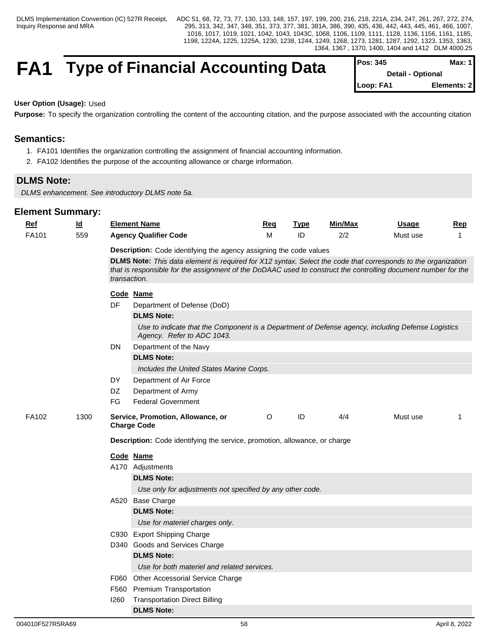## **FA1** Type of Financial Accounting Data

| <b>IPos: 345</b>         | Max: 1 <b>I</b> |
|--------------------------|-----------------|
| <b>Detail - Optional</b> |                 |
| Loop: FA1                | Elements: 2     |

**User Option (Usage):** Used

Purpose: To specify the organization controlling the content of the accounting citation, and the purpose associated with the accounting citation

## **Semantics:**

- 1. FA101 Identifies the organization controlling the assignment of financial accounting information.
- 2. FA102 Identifies the purpose of the accounting allowance or charge information.

## **DLMS Note:**

*DLMS enhancement. See introductory DLMS note 5a.* 

| <b>Ref</b> | $\underline{\mathsf{Id}}$ |                                                                    | <b>Element Name</b>                                                                                                             | Req     | <b>Type</b> | Min/Max | <b>Usage</b> | <b>Rep</b>   |  |
|------------|---------------------------|--------------------------------------------------------------------|---------------------------------------------------------------------------------------------------------------------------------|---------|-------------|---------|--------------|--------------|--|
| FA101      | 559                       |                                                                    | <b>Agency Qualifier Code</b>                                                                                                    | M       | ID          | 2/2     | Must use     | $\mathbf 1$  |  |
|            |                           | Description: Code identifying the agency assigning the code values |                                                                                                                                 |         |             |         |              |              |  |
|            |                           |                                                                    | DLMS Note: This data element is required for X12 syntax. Select the code that corresponds to the organization                   |         |             |         |              |              |  |
|            |                           | transaction.                                                       | that is responsible for the assignment of the DoDAAC used to construct the controlling document number for the                  |         |             |         |              |              |  |
|            |                           |                                                                    | Code Name                                                                                                                       |         |             |         |              |              |  |
|            |                           | <b>DF</b>                                                          | Department of Defense (DoD)                                                                                                     |         |             |         |              |              |  |
|            |                           |                                                                    | <b>DLMS Note:</b>                                                                                                               |         |             |         |              |              |  |
|            |                           |                                                                    | Use to indicate that the Component is a Department of Defense agency, including Defense Logistics<br>Agency. Refer to ADC 1043. |         |             |         |              |              |  |
|            |                           | DN                                                                 | Department of the Navy                                                                                                          |         |             |         |              |              |  |
|            |                           |                                                                    | <b>DLMS Note:</b>                                                                                                               |         |             |         |              |              |  |
|            |                           |                                                                    | Includes the United States Marine Corps.                                                                                        |         |             |         |              |              |  |
|            |                           | DY                                                                 | Department of Air Force                                                                                                         |         |             |         |              |              |  |
|            |                           | DZ                                                                 | Department of Army                                                                                                              |         |             |         |              |              |  |
|            |                           | FG                                                                 | <b>Federal Government</b>                                                                                                       |         |             |         |              |              |  |
| FA102      | 1300                      |                                                                    | Service, Promotion, Allowance, or<br><b>Charge Code</b>                                                                         | $\circ$ | ID          | 4/4     | Must use     | $\mathbf{1}$ |  |
|            |                           |                                                                    | Description: Code identifying the service, promotion, allowance, or charge                                                      |         |             |         |              |              |  |
|            |                           |                                                                    | Code Name                                                                                                                       |         |             |         |              |              |  |
|            |                           |                                                                    | A170 Adjustments                                                                                                                |         |             |         |              |              |  |
|            |                           |                                                                    | <b>DLMS Note:</b>                                                                                                               |         |             |         |              |              |  |
|            |                           |                                                                    | Use only for adjustments not specified by any other code.                                                                       |         |             |         |              |              |  |
|            |                           |                                                                    | A520 Base Charge                                                                                                                |         |             |         |              |              |  |
|            |                           |                                                                    | <b>DLMS Note:</b>                                                                                                               |         |             |         |              |              |  |
|            |                           |                                                                    | Use for materiel charges only.                                                                                                  |         |             |         |              |              |  |
|            |                           |                                                                    | C930 Export Shipping Charge                                                                                                     |         |             |         |              |              |  |
|            |                           |                                                                    | D340 Goods and Services Charge                                                                                                  |         |             |         |              |              |  |
|            |                           |                                                                    | <b>DLMS Note:</b>                                                                                                               |         |             |         |              |              |  |
|            |                           |                                                                    | Use for both materiel and related services.                                                                                     |         |             |         |              |              |  |
|            |                           |                                                                    | F060 Other Accessorial Service Charge                                                                                           |         |             |         |              |              |  |
|            |                           |                                                                    | F560 Premium Transportation                                                                                                     |         |             |         |              |              |  |
|            |                           | 1260                                                               | <b>Transportation Direct Billing</b>                                                                                            |         |             |         |              |              |  |
|            |                           |                                                                    | <b>DLMS Note:</b>                                                                                                               |         |             |         |              |              |  |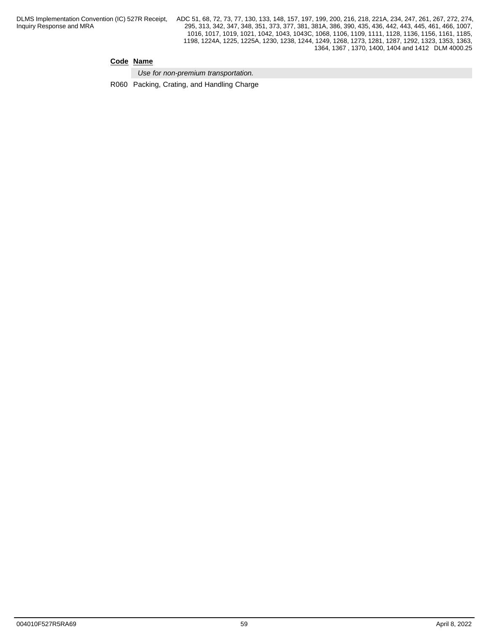## **Code Name**

*Use for non-premium transportation.* 

R060 Packing, Crating, and Handling Charge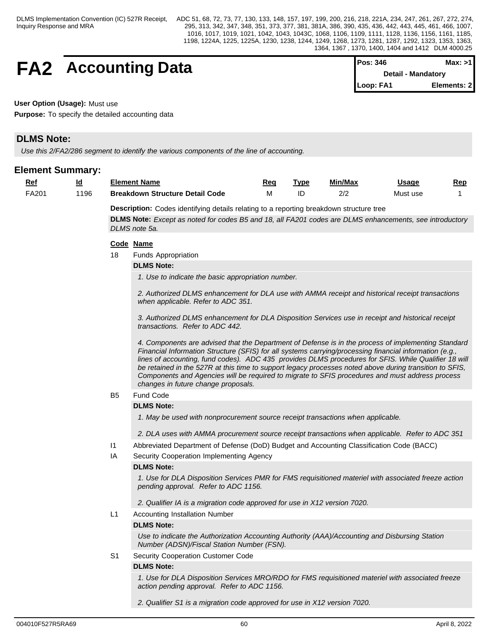## **FA2** Accounting Data

| <b>IPos: 346</b> | Max: >11                  |
|------------------|---------------------------|
|                  | <b>Detail - Mandatory</b> |
| Loop: FA1        | Elements: 21              |

**User Option (Usage):** Must use

**Purpose:** To specify the detailed accounting data

## **DLMS Note:**

*Use this 2/FA2/286 segment to identify the various components of the line of accounting.* 

## **Element Summary:**

| <u>Ref</u> | $\underline{\mathsf{Id}}$ |                 | <b>Element Name</b>                                                                                                                                                                                                                                                                                                                                                                                                                                                                                                                                                         | Req | <b>Type</b> | Min/Max | <b>Usage</b> | Rep |
|------------|---------------------------|-----------------|-----------------------------------------------------------------------------------------------------------------------------------------------------------------------------------------------------------------------------------------------------------------------------------------------------------------------------------------------------------------------------------------------------------------------------------------------------------------------------------------------------------------------------------------------------------------------------|-----|-------------|---------|--------------|-----|
| FA201      | 1196                      |                 | <b>Breakdown Structure Detail Code</b>                                                                                                                                                                                                                                                                                                                                                                                                                                                                                                                                      | м   | ID          | 2/2     | Must use     |     |
|            |                           |                 | Description: Codes identifying details relating to a reporting breakdown structure tree                                                                                                                                                                                                                                                                                                                                                                                                                                                                                     |     |             |         |              |     |
|            |                           |                 | DLMS Note: Except as noted for codes B5 and 18, all FA201 codes are DLMS enhancements, see introductory                                                                                                                                                                                                                                                                                                                                                                                                                                                                     |     |             |         |              |     |
|            |                           |                 | DLMS note 5a.                                                                                                                                                                                                                                                                                                                                                                                                                                                                                                                                                               |     |             |         |              |     |
|            |                           |                 | Code Name                                                                                                                                                                                                                                                                                                                                                                                                                                                                                                                                                                   |     |             |         |              |     |
|            |                           | 18              | <b>Funds Appropriation</b>                                                                                                                                                                                                                                                                                                                                                                                                                                                                                                                                                  |     |             |         |              |     |
|            |                           |                 | <b>DLMS Note:</b>                                                                                                                                                                                                                                                                                                                                                                                                                                                                                                                                                           |     |             |         |              |     |
|            |                           |                 | 1. Use to indicate the basic appropriation number.                                                                                                                                                                                                                                                                                                                                                                                                                                                                                                                          |     |             |         |              |     |
|            |                           |                 |                                                                                                                                                                                                                                                                                                                                                                                                                                                                                                                                                                             |     |             |         |              |     |
|            |                           |                 | 2. Authorized DLMS enhancement for DLA use with AMMA receipt and historical receipt transactions<br>when applicable. Refer to ADC 351.                                                                                                                                                                                                                                                                                                                                                                                                                                      |     |             |         |              |     |
|            |                           |                 | 3. Authorized DLMS enhancement for DLA Disposition Services use in receipt and historical receipt<br>transactions. Refer to ADC 442.                                                                                                                                                                                                                                                                                                                                                                                                                                        |     |             |         |              |     |
|            |                           |                 | 4. Components are advised that the Department of Defense is in the process of implementing Standard<br>Financial Information Structure (SFIS) for all systems carrying/processing financial information (e.g.,<br>lines of accounting, fund codes). ADC 435 provides DLMS procedures for SFIS. While Qualifier 18 will<br>be retained in the 527R at this time to support legacy processes noted above during transition to SFIS,<br>Components and Agencies will be required to migrate to SFIS procedures and must address process<br>changes in future change proposals. |     |             |         |              |     |
|            |                           | <b>B5</b>       | <b>Fund Code</b>                                                                                                                                                                                                                                                                                                                                                                                                                                                                                                                                                            |     |             |         |              |     |
|            |                           |                 | <b>DLMS Note:</b>                                                                                                                                                                                                                                                                                                                                                                                                                                                                                                                                                           |     |             |         |              |     |
|            |                           |                 | 1. May be used with nonprocurement source receipt transactions when applicable.                                                                                                                                                                                                                                                                                                                                                                                                                                                                                             |     |             |         |              |     |
|            |                           |                 |                                                                                                                                                                                                                                                                                                                                                                                                                                                                                                                                                                             |     |             |         |              |     |
|            |                           |                 | 2. DLA uses with AMMA procurement source receipt transactions when applicable. Refer to ADC 351                                                                                                                                                                                                                                                                                                                                                                                                                                                                             |     |             |         |              |     |
|            |                           | $\overline{11}$ | Abbreviated Department of Defense (DoD) Budget and Accounting Classification Code (BACC)                                                                                                                                                                                                                                                                                                                                                                                                                                                                                    |     |             |         |              |     |
|            |                           | IA              | Security Cooperation Implementing Agency                                                                                                                                                                                                                                                                                                                                                                                                                                                                                                                                    |     |             |         |              |     |
|            |                           |                 | <b>DLMS Note:</b><br>1. Use for DLA Disposition Services PMR for FMS requisitioned materiel with associated freeze action<br>pending approval. Refer to ADC 1156.                                                                                                                                                                                                                                                                                                                                                                                                           |     |             |         |              |     |
|            |                           |                 | 2. Qualifier IA is a migration code approved for use in X12 version 7020.                                                                                                                                                                                                                                                                                                                                                                                                                                                                                                   |     |             |         |              |     |
|            |                           | L1              | Accounting Installation Number                                                                                                                                                                                                                                                                                                                                                                                                                                                                                                                                              |     |             |         |              |     |
|            |                           |                 | <b>DLMS Note:</b>                                                                                                                                                                                                                                                                                                                                                                                                                                                                                                                                                           |     |             |         |              |     |
|            |                           |                 | Use to indicate the Authorization Accounting Authority (AAA)/Accounting and Disbursing Station<br>Number (ADSN)/Fiscal Station Number (FSN).                                                                                                                                                                                                                                                                                                                                                                                                                                |     |             |         |              |     |
|            |                           | S1              | Security Cooperation Customer Code                                                                                                                                                                                                                                                                                                                                                                                                                                                                                                                                          |     |             |         |              |     |
|            |                           |                 | <b>DLMS Note:</b>                                                                                                                                                                                                                                                                                                                                                                                                                                                                                                                                                           |     |             |         |              |     |
|            |                           |                 |                                                                                                                                                                                                                                                                                                                                                                                                                                                                                                                                                                             |     |             |         |              |     |

*1. Use for DLA Disposition Services MRO/RDO for FMS requisitioned materiel with associated freeze action pending approval. Refer to ADC 1156.*

*2. Qualifier S1 is a migration code approved for use in X12 version 7020.*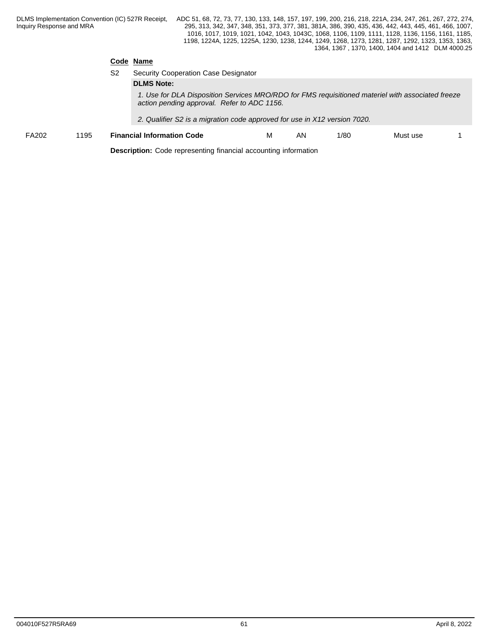## **Code Name**

|       |      | S2 | Security Cooperation Case Designator                                                                                                             |   |     |      |          |  |
|-------|------|----|--------------------------------------------------------------------------------------------------------------------------------------------------|---|-----|------|----------|--|
|       |      |    | <b>DLMS Note:</b>                                                                                                                                |   |     |      |          |  |
|       |      |    | 1. Use for DLA Disposition Services MRO/RDO for FMS requisitioned materiel with associated freeze<br>action pending approval. Refer to ADC 1156. |   |     |      |          |  |
|       |      |    | 2. Qualifier S2 is a migration code approved for use in X12 version 7020.                                                                        |   |     |      |          |  |
| FA202 | 1195 |    | <b>Financial Information Code</b>                                                                                                                | м | AN. | 1/80 | Must use |  |

**Description:** Code representing financial accounting information